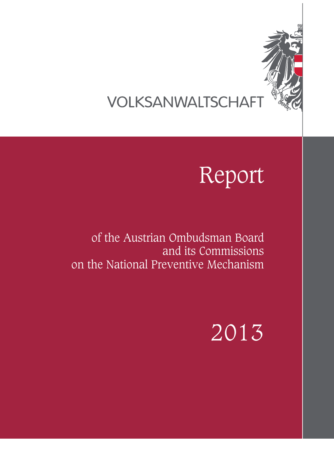

# VOLKSANWALTSCHAFT

# Report

of the Austrian Ombudsman Board and its Commissions on the National Preventive Mechanism

# 2013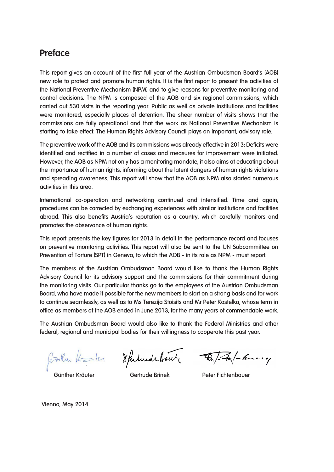## **Preface**

This report gives an account of the first full year of the Austrian Ombudsman Board's (AOB) new role to protect and promote human rights. It is the first report to present the activities of the National Preventive Mechanism (NPM) and to give reasons for preventive monitoring and control decisions. The NPM is composed of the AOB and six regional commissions, which carried out 530 visits in the reporting year. Public as well as private institutions and facilities were monitored, especially places of detention. The sheer number of visits shows that the commissions are fully operational and that the work as National Preventive Mechanism is starting to take effect. The Human Rights Advisory Council plays an important, advisory role.

The preventive work of the AOB and its commissions was already effective in 2013: Deficits were identified and rectified in a number of cases and measures for improvement were initiated. However, the AOB as NPM not only has a monitoring mandate, it also aims at educating about the importance of human rights, informing about the latent dangers of human rights violations and spreading awareness. This report will show that the AOB as NPM also started numerous activities in this area.

International co-operation and networking continued and intensified. Time and again, procedures can be corrected by exchanging experiences with similar institutions and facilities abroad. This also benefits Austria's reputation as a country, which carefully monitors and promotes the observance of human rights.

This report presents the key figures for 2013 in detail in the performance record and focuses on preventive monitoring activities. This report will also be sent to the UN Subcommittee on Prevention of Torture (SPT) in Geneva, to which the AOB - in its role as NPM - must report.

The members of the Austrian Ombudsman Board would like to thank the Human Rights Advisory Council for its advisory support and the commissions for their commitment during the monitoring visits. Our particular thanks go to the employees of the Austrian Ombudsman Board, who have made it possible for the new members to start on a strong basis and for work to continue seamlessly, as well as to Ms Terezija Stoisits and Mr Peter Kostelka, whose term in office as members of the AOB ended in June 2013, for the many years of commendable work.

The Austrian Ombudsman Board would also like to thank the Federal Ministries and other federal, regional and municipal bodies for their willingness to cooperate this past year.

finiture them to Spelurde brute Tapit theme up

Vienna, May 2014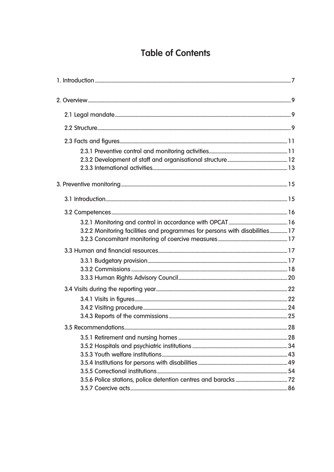## **Table of Contents**

| 3.2.2 Monitoring facilities and programmes for persons with disabilities 17 |  |
|-----------------------------------------------------------------------------|--|
|                                                                             |  |
|                                                                             |  |
|                                                                             |  |
|                                                                             |  |
|                                                                             |  |
|                                                                             |  |
|                                                                             |  |
|                                                                             |  |
|                                                                             |  |
|                                                                             |  |
|                                                                             |  |
|                                                                             |  |
|                                                                             |  |
|                                                                             |  |
|                                                                             |  |
|                                                                             |  |
|                                                                             |  |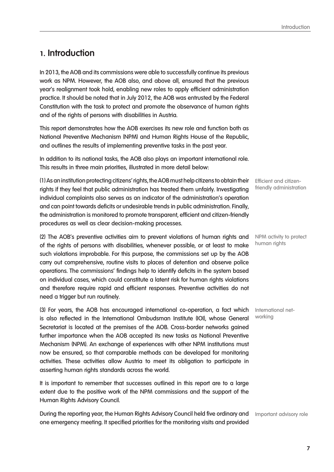## **1. Introduction**

In 2013, the AOB and its commissions were able to successfully continue its previous work as NPM. However, the AOB also, and above all, ensured that the previous year's realignment took hold, enabling new roles to apply efficient administration practice. It should be noted that in July 2012, the AOB was entrusted by the Federal Constitution with the task to protect and promote the observance of human rights and of the rights of persons with disabilities in Austria.

This report demonstrates how the AOB exercises its new role and function both as National Preventive Mechanism (NPM) and Human Rights House of the Republic, and outlines the results of implementing preventive tasks in the past year.

In addition to its national tasks, the AOB also plays an important international role. This results in three main priorities, illustrated in more detail below:

(1) As an institution protecting citizens' rights, the AOB must help citizens to obtain their rights if they feel that public administration has treated them unfairly. Investigating individual complaints also serves as an indicator of the administration's operation and can point towards deficits or undesirable trends in public administration. Finally, the administration is monitored to promote transparent, efficient and citizen-friendly procedures as well as clear decision-making processes.

(2) The AOB's preventive activities aim to prevent violations of human rights and of the rights of persons with disabilities, whenever possible, or at least to make such violations improbable. For this purpose, the commissions set up by the AOB carry out comprehensive, routine visits to places of detention and observe police operations. The commissions' findings help to identify deficits in the system based on individual cases, which could constitute a latent risk for human rights violations and therefore require rapid and efficient responses. Preventive activities do not need a trigger but run routinely.

(3) For years, the AOB has encouraged international co-operation, a fact which is also reflected in the International Ombudsman Institute (IOI), whose General Secretariat is located at the premises of the AOB. Cross-border networks gained further importance when the AOB accepted its new tasks as National Preventive Mechanism (NPM). An exchange of experiences with other NPM institutions must now be ensured, so that comparable methods can be developed for monitoring activities. These activities allow Austria to meet its obligation to participate in asserting human rights standards across the world.

It is important to remember that successes outlined in this report are to a large extent due to the positive work of the NPM commissions and the support of the Human Rights Advisory Council.

During the reporting year, the Human Rights Advisory Council held five ordinary and one emergency meeting. It specified priorities for the monitoring visits and provided Important advisory role

Efficient and citizenfriendly administration

NPM activity to protect human rights

International networking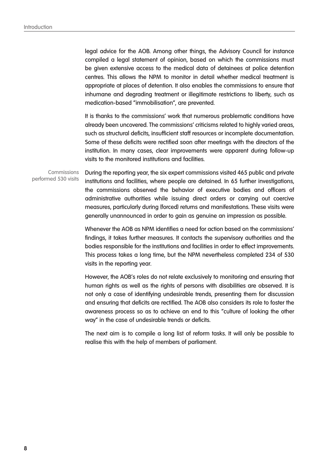legal advice for the AOB. Among other things, the Advisory Council for instance compiled a legal statement of opinion, based on which the commissions must be given extensive access to the medical data of detainees at police detention centres. This allows the NPM to monitor in detail whether medical treatment is appropriate at places of detention. It also enables the commissions to ensure that inhumane and degrading treatment or illegitimate restrictions to liberty, such as medication-based "immobilisation", are prevented.

It is thanks to the commissions' work that numerous problematic conditions have already been uncovered. The commissions' criticisms related to highly varied areas, such as structural deficits, insufficient staff resources or incomplete documentation. Some of these deficits were rectified soon after meetings with the directors of the institution. In many cases, clear improvements were apparent during follow-up visits to the monitored institutions and facilities.

During the reporting year, the six expert commissions visited 465 public and private institutions and facilities, where people are detained. In 65 further investigations, the commissions observed the behavior of executive bodies and officers of administrative authorities while issuing direct orders or carrying out coercive measures, particularly during (forced) returns and manifestations. These visits were generally unannounced in order to gain as genuine an impression as possible. **Commissions** performed 530 visits

> Whenever the AOB as NPM identifies a need for action based on the commissions' findings, it takes further measures. It contacts the supervisory authorities and the bodies responsible for the institutions and facilities in order to effect improvements. This process takes a long time, but the NPM nevertheless completed 234 of 530 visits in the reporting year.

> However, the AOB's roles do not relate exclusively to monitoring and ensuring that human rights as well as the rights of persons with disabilities are observed. It is not only a case of identifying undesirable trends, presenting them for discussion and ensuring that deficits are rectified. The AOB also considers its role to foster the awareness process so as to achieve an end to this "culture of looking the other way" in the case of undesirable trends or deficits.

> The next aim is to compile a long list of reform tasks. It will only be possible to realise this with the help of members of parliament.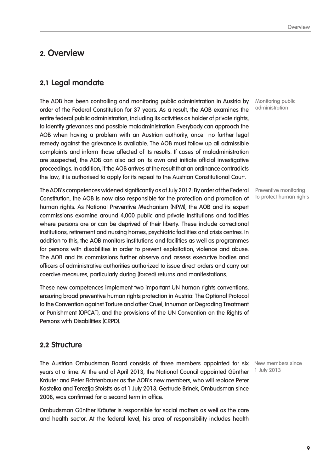## **2. Overview**

## **2.1 Legal mandate**

The AOB has been controlling and monitoring public administration in Austria by order of the Federal Constitution for 37 years. As a result, the AOB examines the entire federal public administration, including its activities as holder of private rights, to identify grievances and possible maladministration. Everybody can approach the AOB when having a problem with an Austrian authority, once no further legal remedy against the grievance is available. The AOB must follow up all admissible complaints and inform those affected of its results. If cases of maladministration are suspected, the AOB can also act on its own and initiate official investigative proceedings. In addition, if the AOB arrives at the result that an ordinance contradicts the law, it is authorised to apply for its repeal to the Austrian Constitutional Court.

The AOB's competences widened significantly as of July 2012: By order of the Federal Constitution, the AOB is now also responsible for the protection and promotion of human rights. As National Preventive Mechanism (NPM), the AOB and its expert commissions examine around 4,000 public and private institutions and facilities where persons are or can be deprived of their liberty. These include correctional institutions, retirement and nursing homes, psychiatric facilities and crisis centres. In addition to this, the AOB monitors institutions and facilities as well as programmes for persons with disabilities in order to prevent exploitation, violence and abuse. The AOB and its commissions further observe and assess executive bodies and officers of administrative authorities authorized to issue direct orders and carry out coercive measures, particularly during (forced) returns and manifestations.

These new competences implement two important UN human rights conventions, ensuring broad preventive human rights protection in Austria: The Optional Protocol to the Convention against Torture and other Cruel, Inhuman or Degrading Treatment or Punishment (OPCAT), and the provisions of the UN Convention on the Rights of Persons with Disabilities (CRPD).

## **2.2 Structure**

The Austrian Ombudsman Board consists of three members appointed for six New members since years at a time. At the end of April 2013, the National Council appointed Günther Kräuter and Peter Fichtenbauer as the AOB's new members, who will replace Peter Kostelka and Terezija Stoisits as of 1 July 2013. Gertrude Brinek, Ombudsman since 2008, was confirmed for a second term in office.

Ombudsman Günther Kräuter is responsible for social matters as well as the care and health sector. At the federal level, his area of responsibility includes health

Monitoring public administration

Preventive monitoring to protect human rights

1 July 2013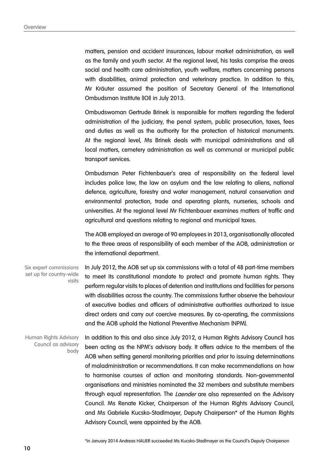matters, pension and accident insurances, labour market administration, as well as the family and youth sector. At the regional level, his tasks comprise the areas social and health care administration, youth welfare, matters concerning persons with disabilities, animal protection and veterinary practice. In addition to this, Mr Kräuter assumed the position of Secretary General of the International Ombudsman Institute (IOI) in July 2013.

Ombudswoman Gertrude Brinek is responsible for matters regarding the federal administration of the judiciary, the penal system, public prosecution, taxes, fees and duties as well as the authority for the protection of historical monuments. At the regional level, Ms Brinek deals with municipal administrations and all local matters, cemetery administration as well as communal or municipal public transport services.

Ombudsman Peter Fichtenbauer's area of responsibility on the federal level includes police law, the law on asylum and the law relating to aliens, national defence, agriculture, forestry and water management, natural conservation and environmental protection, trade and operating plants, nurseries, schools and universities. At the regional level Mr Fichtenbauer examines matters of traffic and agricultural and questions relating to regional and municipal taxes.

The AOB employed an average of 90 employees in 2013, organisationally allocated to the three areas of responsibility of each member of the AOB, administration or the international department.

In July 2012, the AOB set up six commissions with a total of 48 part-time members to meet its constitutional mandate to protect and promote human rights. They perform regular visits to places of detention and institutions and facilities for persons with disabilities across the country. The commissions further observe the behaviour of executive bodies and officers of administrative authorities authorized to issue direct orders and carry out coercive measures. By co-operating, the commissions and the AOB uphold the National Preventive Mechanism (NPM). Six expert commissions set up for country-wide visits

In addition to this and also since July 2012, a Human Rights Advisory Council has been acting as the NPM's advisory body. It offers advice to the members of the AOB when setting general monitoring priorities and prior to issuing determinations of maladministration or recommendations. It can make recommendations on how to harmonise courses of action and monitoring standards. Non-governmental organisations and ministries nominated the 32 members and substitute members through equal representation. The *Laender* are also represented on the Advisory Council. Ms Renate Kicker, Chairperson of the Human Rights Advisory Council, and Ms Gabriele Kucsko-Stadlmayer, Deputy Chairperson\* of the Human Rights Advisory Council, were appointed by the AOB. Human Rights Advisory Council as advisory body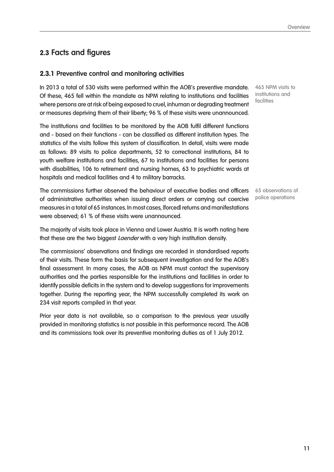## **2.3 Facts and figures**

### **2.3.1 Preventive control and monitoring activities**

In 2013 a total of 530 visits were performed within the AOB's preventive mandate. Of these, 465 fell within the mandate as NPM relating to institutions and facilities where persons are at risk of being exposed to cruel, inhuman or degrading treatment or measures depriving them of their liberty; 96 % of these visits were unannounced.

The institutions and facilities to be monitored by the AOB fulfil different functions and - based on their functions - can be classified as different institution types. The statistics of the visits follow this system of classification. In detail, visits were made as follows: 89 visits to police departments, 52 to correctional institutions, 84 to youth welfare institutions and facilities, 67 to institutions and facilities for persons with disabilities, 106 to retirement and nursing homes, 63 to psychiatric wards at hospitals and medical facilities and 4 to military barracks.

The commissions further observed the behaviour of executive bodies and officers of administrative authorities when issuing direct orders or carrying out coercive measures in a total of 65 instances. In most cases, (forced) returns and manifestations were observed; 61 % of these visits were unannounced.

The majority of visits took place in Vienna and Lower Austria. It is worth noting here that these are the two biggest *Laender* with a very high institution density.

The commissions' observations and findings are recorded in standardised reports of their visits. These form the basis for subsequent investigation and for the AOB's final assessment. In many cases, the AOB as NPM must contact the supervisory authorities and the parties responsible for the institutions and facilities in order to identify possible deficits in the system and to develop suggestions for improvements together. During the reporting year, the NPM successfully completed its work on 234 visit reports compiled in that year.

Prior year data is not available, so a comparison to the previous year usually provided in monitoring statistics is not possible in this performance record. The AOB and its commissions took over its preventive monitoring duties as of 1 July 2012.

465 NPM visits to institutions and facilities

65 observations of police operations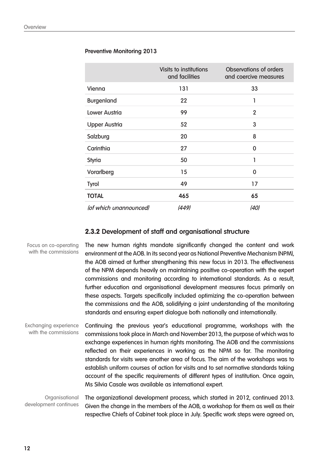#### **Preventive Monitoring 2013**

|                        | Visits to institutions<br>and facilities | <b>Observations of orders</b><br>and coercive measures |
|------------------------|------------------------------------------|--------------------------------------------------------|
| Vienna                 | 131                                      | 33                                                     |
| <b>Burgenland</b>      | 22                                       | 1                                                      |
| <b>Lower Austria</b>   | 99                                       | $\overline{2}$                                         |
| <b>Upper Austria</b>   | 52                                       | 3                                                      |
| Salzburg               | 20                                       | 8                                                      |
| Carinthia              | 27                                       | 0                                                      |
| <b>Styria</b>          | 50                                       | 1                                                      |
| Vorarlberg             | 15                                       | 0                                                      |
| <b>Tyrol</b>           | 49                                       | 17                                                     |
| <b>TOTAL</b>           | 465                                      | 65                                                     |
| (of which unannounced) | (449)                                    | (40)                                                   |

## **2.3.2 Development of staff and organisational structure**

| Focus on co-operating<br>with the commissions        | The new human rights mandate significantly changed the content and work<br>environment at the AOB. In its second year as National Preventive Mechanism (NPM),<br>the AOB aimed at further strengthening this new focus in 2013. The effectiveness<br>of the NPM depends heavily on maintaining positive co-operation with the expert<br>commissions and monitoring according to international standards. As a result,<br>further education and organisational development measures focus primarily on<br>these aspects. Targets specifically included optimizing the co-operation between<br>the commissions and the AOB, solidifying a joint understanding of the monitoring<br>standards and ensuring expert dialogue both nationally and internationally. |
|------------------------------------------------------|--------------------------------------------------------------------------------------------------------------------------------------------------------------------------------------------------------------------------------------------------------------------------------------------------------------------------------------------------------------------------------------------------------------------------------------------------------------------------------------------------------------------------------------------------------------------------------------------------------------------------------------------------------------------------------------------------------------------------------------------------------------|
| <b>Exchanging experience</b><br>with the commissions | Continuing the previous year's educational programme, workshops with the<br>commissions took place in March and November 2013, the purpose of which was to<br>exchange experiences in human rights monitoring. The AOB and the commissions<br>reflected on their experiences in working as the NPM so far. The monitoring<br>standards for visits were another area of focus. The aim of the workshops was to<br>establish uniform courses of action for visits and to set normative standards taking<br>account of the specific requirements of different types of institution. Once again,<br>Ms Silvia Casale was available as international expert.                                                                                                      |
| Organisational<br>development continues              | The organizational development process, which started in 2012, continued 2013.<br>Given the change in the members of the AOB, a workshop for them as well as their                                                                                                                                                                                                                                                                                                                                                                                                                                                                                                                                                                                           |

respective Chiefs of Cabinet took place in July. Specific work steps were agreed on,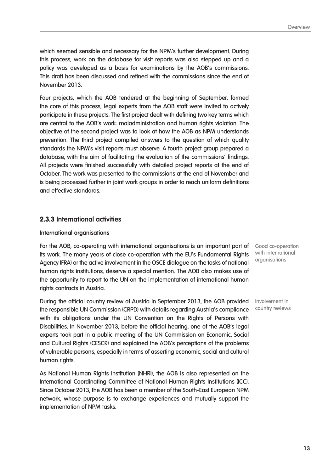which seemed sensible and necessary for the NPM's further development. During this process, work on the database for visit reports was also stepped up and a policy was developed as a basis for examinations by the AOB's commissions. This draft has been discussed and refined with the commissions since the end of November 2013.

Four projects, which the AOB tendered at the beginning of September, formed the core of this process; legal experts from the AOB staff were invited to actively participate in these projects. The first project dealt with defining two key terms which are central to the AOB's work: maladministration and human rights violation. The objective of the second project was to look at how the AOB as NPM understands prevention. The third project compiled answers to the question of which quality standards the NPM's visit reports must observe. A fourth project group prepared a database, with the aim of facilitating the evaluation of the commissions' findings. All projects were finished successfully with detailed project reports at the end of October. The work was presented to the commissions at the end of November and is being processed further in joint work groups in order to reach uniform definitions and effective standards.

#### **2.3.3 International activities**

#### **International organisations**

For the AOB, co-operating with international organisations is an important part of its work. The many years of close co-operation with the EU's Fundamental Rights Agency (FRA) or the active involvement in the OSCE dialogue on the tasks of national human rights institutions, deserve a special mention. The AOB also makes use of the opportunity to report to the UN on the implementation of international human rights contracts in Austria.

During the official country review of Austria in September 2013, the AOB provided the responsible UN Commission (CRPD) with details regarding Austria's compliance with its obligations under the UN Convention on the Rights of Persons with Disabilities. In November 2013, before the official hearing, one of the AOB's legal experts took part in a public meeting of the UN Commission on Economic, Social and Cultural Rights (CESCR) and explained the AOB's perceptions of the problems of vulnerable persons, especially in terms of asserting economic, social and cultural human rights.

As National Human Rights Institution (NHRI), the AOB is also represented on the International Coordinating Committee of National Human Rights Institutions (ICC). Since October 2013, the AOB has been a member of the South-East European NPM network, whose purpose is to exchange experiences and mutually support the implementation of NPM tasks.

Good co-operation with international organisations

Involvement in country reviews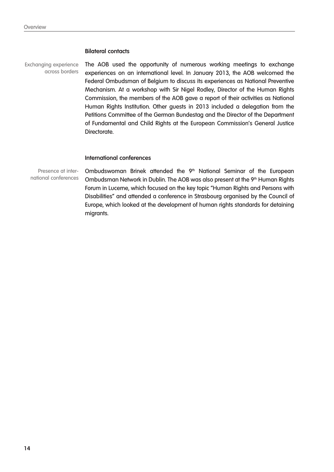#### **Bilateral contacts**

Exchanging experience across borders

The AOB used the opportunity of numerous working meetings to exchange experiences on an international level. In January 2013, the AOB welcomed the Federal Ombudsman of Belgium to discuss its experiences as National Preventive Mechanism. At a workshop with Sir Nigel Rodley, Director of the Human Rights Commission, the members of the AOB gave a report of their activities as National Human Rights Institution. Other guests in 2013 included a delegation from the Petitions Committee of the German Bundestag and the Director of the Department of Fundamental and Child Rights at the European Commission's General Justice Directorate.

#### **International conferences**

Ombudswoman Brinek attended the 9<sup>th</sup> National Seminar of the European Ombudsman Network in Dublin. The AOB was also present at the 9<sup>th</sup> Human Rights Forum in Lucerne, which focused on the key topic "Human Rights and Persons with Disabilities" and attended a conference in Strasbourg organised by the Council of Europe, which looked at the development of human rights standards for detaining migrants. Presence at international conferences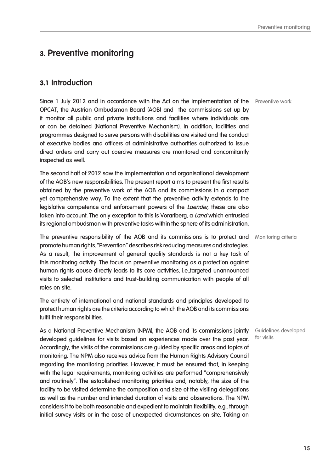## **3. Preventive monitoring**

## **3.1 Introduction**

Since 1 July 2012 and in accordance with the Act on the Implementation of the Preventive work OPCAT, the Austrian Ombudsman Board (AOB) and the commissions set up by it monitor all public and private institutions and facilities where individuals are or can be detained (National Preventive Mechanism). In addition, facilities and programmes designed to serve persons with disabilities are visited and the conduct of executive bodies and officers of administrative authorities authorized to issue direct orders and carry out coercive measures are monitored and concomitantly inspected as well.

The second half of 2012 saw the implementation and organisational development of the AOB's new responsibilities. The present report aims to present the first results obtained by the preventive work of the AOB and its commissions in a compact yet comprehensive way. To the extent that the preventive activity extends to the legislative competence and enforcement powers of the *Laender*, these are also taken into account. The only exception to this is Vorarlberg, a Land which entrusted its regional ombudsman with preventive tasks within the sphere of its administration.

The preventive responsibility of the AOB and its commissions is to protect and Monitoring criteria promote human rights. "Prevention" describes risk reducing measures and strategies. As a result, the improvement of general quality standards is not a key task of this monitoring activity. The focus on preventive monitoring as a protection against human rights abuse directly leads to its core activities, i.e.,targeted unannounced visits to selected institutions and trust-building communication with people of all roles on site.

The entirety of international and national standards and principles developed to protect human rights are the criteria according to which the AOB and its commissions fulfil their responsibilities.

As a National Preventive Mechanism (NPM), the AOB and its commissions jointly developed guidelines for visits based on experiences made over the past year. Accordingly, the visits of the commissions are guided by specific areas and topics of monitoring. The NPM also receives advice from the Human Rights Advisory Council regarding the monitoring priorities. However, it must be ensured that, in keeping with the legal requirements, monitoring activities are performed "comprehensively and routinely". The established monitoring priorities and, notably, the size of the facility to be visited determine the composition and size of the visiting delegations as well as the number and intended duration of visits and observations. The NPM considers it to be both reasonable and expedient to maintain flexibility, e.g., through initial survey visits or in the case of unexpected circumstances on site. Taking an

Guidelines developed for visits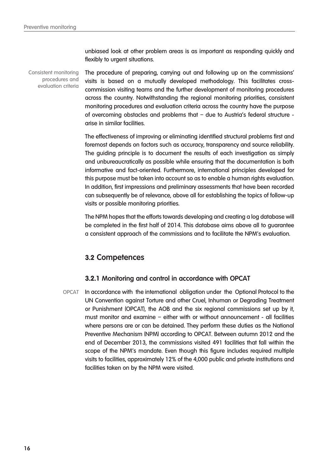unbiased look at other problem areas is as important as responding quickly and flexibly to urgent situations.

Consistent monitoring procedures and evaluation criteria

The procedure of preparing, carrying out and following up on the commissions' visits is based on a mutually developed methodology. This facilitates crosscommission visiting teams and the further development of monitoring procedures across the country. Notwithstanding the regional monitoring priorities, consistent monitoring procedures and evaluation criteria across the country have the purpose of overcoming obstacles and problems that – due to Austria's federal structure arise in similar facilities.

The effectiveness of improving or eliminating identified structural problems first and foremost depends on factors such as accuracy, transparency and source reliability. The guiding principle is to document the results of each investigation as simply and unbureaucratically as possible while ensuring that the documentation is both informative and fact-oriented. Furthermore, international principles developed for this purpose must be taken into account so as to enable a human rights evaluation. In addition, first impressions and preliminary assessments that have been recorded can subsequently be of relevance, above all for establishing the topics of follow-up visits or possible monitoring priorities.

The NPM hopes that the efforts towards developing and creating a log database will be completed in the first half of 2014. This database aims above all to guarantee a consistent approach of the commissions and to facilitate the NPM's evaluation.

## **3.2 Competences**

#### **3.2.1 Monitoring and control in accordance with OPCAT**

OPCAT In accordance with the international obligation under the Optional Protocol to the UN Convention against Torture and other Cruel, Inhuman or Degrading Treatment or Punishment (OPCAT), the AOB and the six regional commissions set up by it, must monitor and examine – either with or without announcement - all facilities where persons are or can be detained. They perform these duties as the National Preventive Mechanism (NPM) according to OPCAT. Between autumn 2012 and the end of December 2013, the commissions visited 491 facilities that fall within the scope of the NPM's mandate. Even though this figure includes required multiple visits to facilities, approximately 12% of the 4,000 public and private institutions and facilities taken on by the NPM were visited.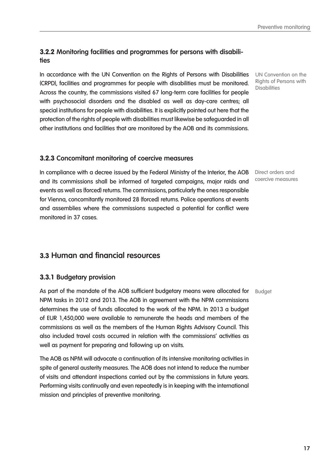**17**

## **3.2.2 Monitoring facilities and programmes for persons with disabilities**

In accordance with the UN Convention on the Rights of Persons with Disabilities (CRPD), facilities and programmes for people with disabilities must be monitored. Across the country, the commissions visited 67 long-term care facilities for people with psychosocial disorders and the disabled as well as day-care centres; all special institutions for people with disabilities. It is explicitly pointed out here that the protection of the rights of people with disabilities must likewise be safeguarded in all other institutions and facilities that are monitored by the AOB and its commissions.

## **3.2.3 Concomitant monitoring of coercive measures**

In compliance with a decree issued by the Federal Ministry of the Interior, the AOB Direct orders and and its commissions shall be informed of targeted campaigns, major raids and events as well as (forced) returns. The commissions, particularly the ones responsible for Vienna, concomitantly monitored 28 (forced) returns. Police operations at events and assemblies where the commissions suspected a potential for conflict were monitored in 37 cases.

## **3.3 Human and financial resources**

## **3.3.1 Budgetary provision**

As part of the mandate of the AOB sufficient budgetary means were allocated for Budget NPM tasks in 2012 and 2013. The AOB in agreement with the NPM commissions determines the use of funds allocated to the work of the NPM. In 2013 a budget of EUR 1,450,000 were available to remunerate the heads and members of the commissions as well as the members of the Human Rights Advisory Council. This also included travel costs occurred in relation with the commissions' activities as well as payment for preparing and following up on visits.

The AOB as NPM will advocate a continuation of its intensive monitoring activities in spite of general austerity measures. The AOB does not intend to reduce the number of visits and attendant inspections carried out by the commissions in future years. Performing visits continually and even repeatedly is in keeping with the international mission and principles of preventive monitoring.

UN Convention on the Rights of Persons with **Disabilities** 

coercive measures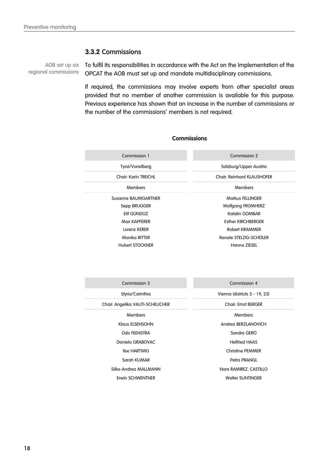#### **3.3.2 Commissions**

regional commissions

AOB set up six  $\top$  To fulfil its responsibilities in accordance with the Act on the Implementation of the OPCAT the AOB must set up and mandate multidisciplinary commissions.

> If required, the commissions may involve experts from other specialist areas provided that no member of another commission is available for this purpose. Previous experience has shown that an increase in the number of commissions or the number of the commissions' members is not required.

#### **Commissions**

| Commission 1                | Commission 2                      |
|-----------------------------|-----------------------------------|
| <b>Tyrol/Vorarlberg</b>     | Salzburg/Upper Austria            |
| <b>Chair: Karin TREICHL</b> | <b>Chair: Reinhard KLAUSHOFER</b> |
| <b>Members</b>              | Members                           |
| Susanne BAUMGARTNER         | Markus FELLINGER                  |
| Sepp BRUGGER                | <b>Wolfgang FROMHERZ</b>          |
| Elif GÜNDÜZ                 | Katalin GOMBAR                    |
| Max KAPFERER                | <b>Esther KIRCHBERGER</b>         |
| Lorenz KERER                | Robert KRAMMER                    |
| <b>Monika RITTER</b>        | Renate STELZIG-SCHOLER            |
| <b>Hubert STOCKNER</b>      | Hanna ZIESEL                      |

| Commission 3                    | Commission 4                  |
|---------------------------------|-------------------------------|
|                                 |                               |
| Styria/Carinthia                | Vienna (districts 3 - 19, 23) |
| Chair: Angelika VAUTI-SCHEUCHER | <b>Chair: Ernst BERGER</b>    |
| <b>Members</b>                  | Members                       |
| Klaus ELSENSOHN                 | Andrea BERZLANOVICH           |
| <b>Odo FEENSTRA</b>             | Sandra GERO                   |
| Daniela GRABOVAC                | <b>Helfried HAAS</b>          |
| <b>Ilse HARTWIG</b>             | <b>Christine PEMMER</b>       |
| Sarah KUMAR                     | Petra PRANGL                  |
| Silke-Andrea MALLMANN           | Norg RAMIREZ CASTILLO         |
| Erwin SCHWENTNER                | <b>Walter SUNTINGER</b>       |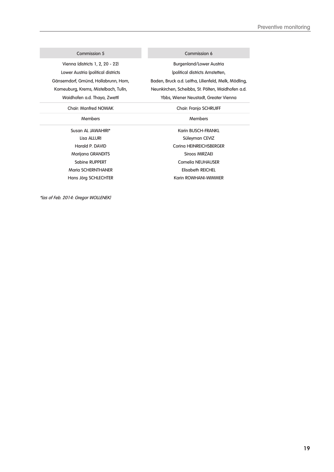#### Commission 5 Commission 6

Vienna (districts 1, 2, 20 - 22) Lower Austria (political districts Gänserndorf, Gmünd, Hollabrunn, Horn, Korneuburg, Krems, Mistelbach, Tulln, Waidhofen a.d. Thaya, Zwettl

#### Chair: Manfred NOWAK Chair: Franjo SCHRUIFF

#### Members Members Members Members Members Members Members Members Members Members Members Members  $\sim$

Marijana GRANDITS Siroos MIRZAEI Maria SCHERNTHANER Elisabeth REICHEL

Burgenland/Lower Austria (political districts Amstetten, Baden, Bruck a.d. Leitha, Lilienfeld, Melk, Mödling, Neunkirchen, Scheibbs, St. Pölten, Waidhofen a.d. Ybbs, Wiener Neustadt, Greater Vienna

Susan AL JAWAHIRI\* Karin BUSCH-FRANKL Lisa ALLURI NAMA Süleyman CEVIZ Harald P. DAVID Corina HEINREICHSBERGER Sabine RUPPERT Cornelia NEUHAUSER Hans Jörg SCHLECHTER Karin ROWHANI-WIMMER

\*(as of Feb. 2014: Gregor WOLLENEK)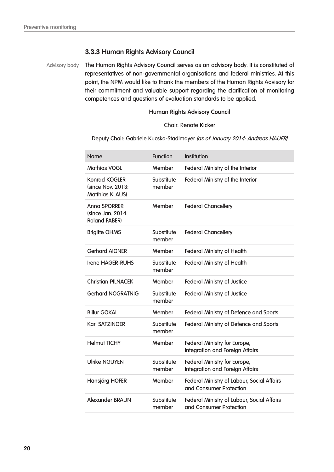## **3.3.3 Human Rights Advisory Council**

The Human Rights Advisory Council serves as an advisory body. It is constituted of representatives of non-governmental organisations and federal ministries. At this point, the NPM would like to thank the members of the Human Rights Advisory for their commitment and valuable support regarding the clarification of monitoring competences and questions of evaluation standards to be applied. Advisory body

#### **Human Rights Advisory Council**

#### Chair: Renate Kicker

Deputy Chair: Gabriele Kucsko-Stadlmayer (as of January 2014: Andreas HAUER)

| <b>Name</b>                                                        | <b>Function</b>      | Institution                                                                  |
|--------------------------------------------------------------------|----------------------|------------------------------------------------------------------------------|
| <b>Mathias VOGL</b>                                                | Member               | Federal Ministry of the Interior                                             |
| <b>Konrad KOGLER</b><br>(since Nov. 2013:<br><b>Matthias KLAUS</b> | Substitute<br>member | Federal Ministry of the Interior                                             |
| <b>Anna SPORRER</b><br>(since Jan. 2014:<br><b>Roland FABER)</b>   | Member               | <b>Federal Chancellery</b>                                                   |
| <b>Brigitte OHMS</b>                                               | Substitute<br>member | <b>Federal Chancellery</b>                                                   |
| <b>Gerhard AIGNER</b>                                              | Member               | <b>Federal Ministry of Health</b>                                            |
| <b>Irene HAGER-RUHS</b>                                            | Substitute<br>member | <b>Federal Ministry of Health</b>                                            |
| <b>Christian PILNACEK</b>                                          | Member               | <b>Federal Ministry of Justice</b>                                           |
| <b>Gerhard NOGRATNIG</b>                                           | Substitute<br>member | <b>Federal Ministry of Justice</b>                                           |
| <b>Billur GÖKAL</b>                                                | Member               | Federal Ministry of Defence and Sports                                       |
| <b>Karl SATZINGER</b>                                              | Substitute<br>member | Federal Ministry of Defence and Sports                                       |
| <b>Helmut TICHY</b>                                                | Member               | Federal Ministry for Europe,<br><b>Integration and Foreign Affairs</b>       |
| <b>Ulrike NGUYEN</b>                                               | Substitute<br>member | Federal Ministry for Europe,<br><b>Integration and Foreign Affairs</b>       |
| Hansjörg HOFER                                                     | Member               | Federal Ministry of Labour, Social Affairs<br>and Consumer Protection        |
| Alexander BRAUN                                                    | Substitute<br>member | <b>Federal Ministry of Labour, Social Affairs</b><br>and Consumer Protection |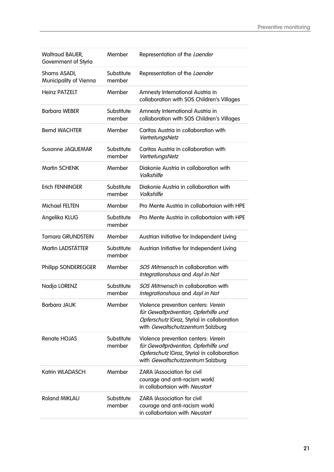| <b>Waltraud BAUER,</b><br>Government of Styria | Member               | Representation of the Laender                                                                                                                                   |
|------------------------------------------------|----------------------|-----------------------------------------------------------------------------------------------------------------------------------------------------------------|
| Shams ASADI,<br>Municipality of Vienna         | Substitute<br>member | Representation of the Laender                                                                                                                                   |
| <b>Heinz PATZELT</b>                           | Member               | Amnesty International Austria in<br>collaboration with SOS Children's Villages                                                                                  |
| <b>Barbara WEBER</b>                           | Substitute<br>member | Amnesty International Austria in<br>collaboration with SOS Children's Villages                                                                                  |
| <b>Bernd WACHTER</b>                           | Member               | Caritas Austria in collaboration with<br>VertretungsNetz                                                                                                        |
| <b>Susanne JAQUEMAR</b>                        | Substitute<br>member | Caritas Austria in collaboration with<br>VertretungsNetz                                                                                                        |
| <b>Martin SCHENK</b>                           | Member               | Diakonie Austria in collaboration with<br>Volkshilfe                                                                                                            |
| <b>Erich FENNINGER</b>                         | Substitute<br>member | Diakonie Austria in collaboration with<br>Volkshilfe                                                                                                            |
| <b>Michael FELTEN</b>                          | Member               | Pro Mente Austria in collabortaion with HPE                                                                                                                     |
| Angelika KLUG                                  | Substitute<br>member | Pro Mente Austria in collabortaion with HPE                                                                                                                     |
| <b>Tamara GRUNDSTEIN</b>                       | Member               | Austrian Initiative for Independent Living                                                                                                                      |
| <b>Martin LADSTÄTTER</b>                       | Substitute<br>member | Austrian Initiative for Independent Living                                                                                                                      |
| <b>Philipp SONDEREGGER</b>                     | Member               | <b>SOS Mitmensch in collaboration with</b><br>Integrationshaus and Asyl in Not                                                                                  |
| Nadja LORENZ                                   | Substitute<br>member | <b>SOS Mitmensch in collaboration with</b><br>Integrationshaus and Asyl in Not                                                                                  |
| <b>Barbara JAUK</b>                            | Member               | Violence prevention centers: Verein<br>für Gewaltprävention, Opferhilfe und<br>Opferschutz (Graz, Styria) in collaboration<br>with Gewaltschutzzentrum Salzburg |
| <b>Renate HOJAS</b>                            | Substitute<br>member | Violence prevention centers: Verein<br>für Gewaltprävention, Opferhilfe und<br>Opferschutz (Graz, Styria) in collaboration<br>with Gewaltschutzzentrum Salzburg |
| Katrin WLADASCH                                | Member               | <b>ZARA (Association for civil</b><br>courage and anti-racism work)<br>in collabortaion with Neustart                                                           |
| <b>Roland MIKLAU</b>                           | Substitute<br>member | <b>ZARA (Association for civil</b><br>courage and anti-racism work)<br>in collabortaion with Neustart                                                           |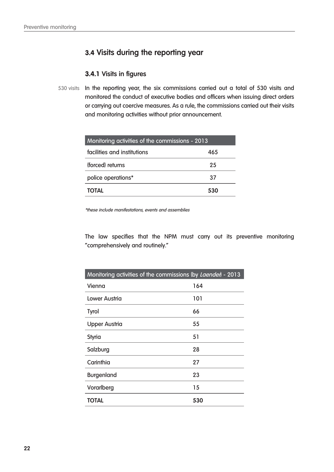## **3.4 Visits during the reporting year**

## **3.4.1 Visits in figures**

530 visits In the reporting year, the six commissions carried out a total of 530 visits and monitored the conduct of executive bodies and officers when issuing direct orders or carrying out coercive measures. As a rule, the commissions carried out their visits and monitoring activities without prior announcement.

| Monitoring activities of the commissions - 2013 |     |  |  |
|-------------------------------------------------|-----|--|--|
| facilities and institutions                     | 465 |  |  |
| (forced) returns                                | 25  |  |  |
| police operations*                              | 37  |  |  |
| <b>TOTAL</b>                                    | 530 |  |  |

\*these include manifestations, events and assemblies

The law specifies that the NPM must carry out its preventive monitoring "comprehensively and routinely."

| Monitoring activities of the commissions (by Laenden - 2013 |     |
|-------------------------------------------------------------|-----|
| Vienna                                                      | 164 |
| Lower Austria                                               | 101 |
| <b>Tyrol</b>                                                | 66  |
| <b>Upper Austria</b>                                        | 55  |
| <b>Styria</b>                                               | 51  |
| Salzburg                                                    | 28  |
| Carinthia                                                   | 27  |
| <b>Burgenland</b>                                           | 23  |
| Vorarlberg                                                  | 15  |
| <b>TOTAL</b>                                                | 530 |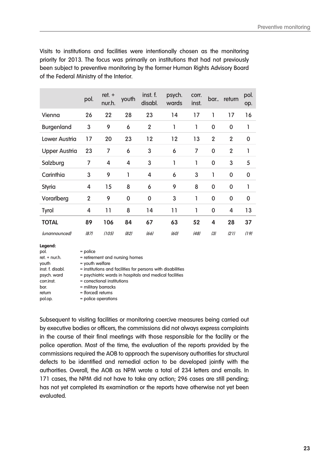Visits to institutions and facilities were intentionally chosen as the monitoring priority for 2013. The focus was primarily on institutions that had not previously been subject to preventive monitoring by the former Human Rights Advisory Board of the Federal Ministry of the Interior.

|                      | pol.           | $ret. +$<br>nur.h. | youth       | inst. f.<br>disabl. | psych.<br>wards | corr.<br>inst. | bar.           | return         | pol.<br>op. |
|----------------------|----------------|--------------------|-------------|---------------------|-----------------|----------------|----------------|----------------|-------------|
| Vienna               | 26             | 22                 | 28          | 23                  | 14              | 17             | 1              | 17             | 16          |
| <b>Burgenland</b>    | 3              | 9                  | 6           | $\overline{2}$      | 1               | 1              | $\mathbf 0$    | $\mathbf 0$    | 1           |
| <b>Lower Austria</b> | 17             | 20                 | 23          | 12                  | 12              | 13             | $\overline{2}$ | $\overline{2}$ | 0           |
| <b>Upper Austria</b> | 23             | 7                  | 6           | 3                   | 6               | 7              | $\mathbf 0$    | $\overline{2}$ | 1           |
| Salzburg             | 7              | 4                  | 4           | 3                   | 1               | 1              | $\mathbf 0$    | 3              | 5           |
| Carinthia            | 3              | 9                  | 1           | 4                   | 6               | 3              | 1              | 0              | 0           |
| <b>Styria</b>        | 4              | 15                 | 8           | 6                   | 9               | 8              | $\mathbf 0$    | $\mathbf 0$    | 1           |
| Vorarlberg           | $\overline{2}$ | 9                  | $\mathbf 0$ | 0                   | 3               | 1              | $\mathbf 0$    | $\mathbf 0$    | 0           |
| <b>Tyrol</b>         | 4              | 11                 | 8           | 14                  | 11              | 1              | $\mathbf 0$    | 4              | 13          |
| <b>TOTAL</b>         | 89             | 106                | 84          | 67                  | 63              | 52             | 4              | 28             | 37          |
| <i>(unannounced)</i> | (87)           | (105)              | (82)        | (66)                | (60)            | (48)           | (3)            | (21)           | (19)        |

**Legend:** 

| pol.             | $=$ police                                                  |
|------------------|-------------------------------------------------------------|
| ret. $+$ nur.h.  | = retirement and nursing homes                              |
| youth            | $=$ youth welfare                                           |
| inst. f. disabl. | = institutions and facilities for persons with disabilities |
| psych. ward      | = psychiatric wards in hospitals and medical facilities     |
| corr.inst.       | $=$ correctional institutions                               |
| bar.             | $=$ military barracks                                       |
| return           | = (forced) returns                                          |
| pol.op.          | = police operations                                         |

Subsequent to visiting facilities or monitoring coercive measures being carried out by executive bodies or officers, the commissions did not always express complaints in the course of their final meetings with those responsible for the facility or the police operation. Most of the time, the evaluation of the reports provided by the commissions required the AOB to approach the supervisory authorities for structural defects to be identified and remedial action to be developed jointly with the authorities. Overall, the AOB as NPM wrote a total of 234 letters and emails. In 171 cases, the NPM did not have to take any action; 296 cases are still pending; has not yet completed its examination or the reports have otherwise not yet been evaluated.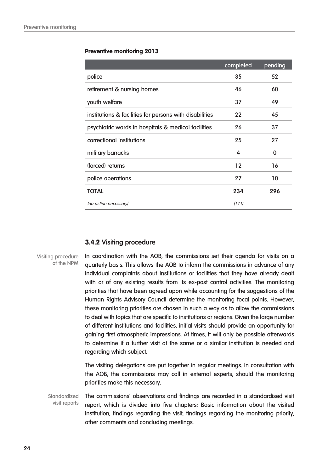|                                                         | completed | pending |
|---------------------------------------------------------|-----------|---------|
| police                                                  | 35        | 52      |
| retirement & nursing homes                              | 46        | 60      |
| youth welfare                                           | 37        | 49      |
| institutions & facilities for persons with disabilities | 22        | 45      |
| psychiatric wards in hospitals & medical facilities     | 26        | 37      |
| correctional institutions                               | 25        | 27      |
| military barracks                                       | 4         | 0       |
| (forced) returns                                        | 12        | 16      |
| police operations                                       | 27        | 10      |
| <b>TOTAL</b>                                            | 234       | 296     |
| (no action necessary)                                   | (171)     |         |

#### **3.4.2 Visiting procedure**

Visiting procedure of the NPM

In coordination with the AOB, the commissions set their agenda for visits on a quarterly basis. This allows the AOB to inform the commissions in advance of any individual complaints about institutions or facilities that they have already dealt with or of any existing results from its ex-post control activities. The monitoring priorities that have been agreed upon while accounting for the suggestions of the Human Rights Advisory Council determine the monitoring focal points. However, these monitoring priorities are chosen in such a way as to allow the commissions to deal with topics that are specific to institutions or regions. Given the large number of different institutions and facilities, initial visits should provide an opportunity for gaining first atmospheric impressions. At times, it will only be possible afterwards to determine if a further visit at the same or a similar institution is needed and regarding which subject.

The visiting delegations are put together in regular meetings. In consultation with the AOB, the commissions may call in external experts, should the monitoring priorities make this necessary.

The commissions' observations and findings are recorded in a standardised visit report, which is divided into five chapters: Basic information about the visited institution, findings regarding the visit, findings regarding the monitoring priority, other comments and concluding meetings. **Standardized** visit reports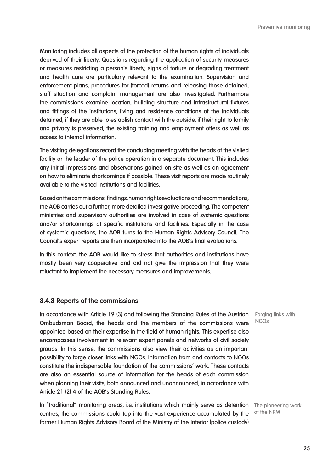Monitoring includes all aspects of the protection of the human rights of individuals deprived of their liberty. Questions regarding the application of security measures or measures restricting a person's liberty, signs of torture or degrading treatment and health care are particularly relevant to the examination. Supervision and enforcement plans, procedures for (forced) returns and releasing those detained, staff situation and complaint management are also investigated. Furthermore the commissions examine location, building structure and infrastructural fixtures and fittings of the institutions, living and residence conditions of the individuals detained, if they are able to establish contact with the outside, if their right to family and privacy is preserved, the existing training and employment offers as well as access to internal information.

The visiting delegations record the concluding meeting with the heads of the visited facility or the leader of the police operation in a separate document. This includes any initial impressions and observations gained on site as well as an agreement on how to eliminate shortcomings if possible. These visit reports are made routinely available to the visited institutions and facilities.

Based on the commissions' findings, human rights evaluations and recommendations, the AOB carries out a further, more detailed investigative proceeding. The competent ministries and supervisory authorities are involved in case of systemic questions and/or shortcomings at specific institutions and facilities. Especially in the case of systemic questions, the AOB turns to the Human Rights Advisory Council. The Council's expert reports are then incorporated into the AOB's final evaluations.

In this context, the AOB would like to stress that authorities and institutions have mostly been very cooperative and did not give the impression that they were reluctant to implement the necessary measures and improvements.

#### **3.4.3 Reports of the commissions**

In accordance with Article 19 (3) and following the Standing Rules of the Austrian Forging links with Ombudsman Board, the heads and the members of the commissions were appointed based on their expertise in the field of human rights. This expertise also encompasses involvement in relevant expert panels and networks of civil society groups. In this sense, the commissions also view their activities as an important possibility to forge closer links with NGOs. Information from and contacts to NGOs constitute the indispensable foundation of the commissions' work. These contacts are also an essential source of information for the heads of each commission when planning their visits, both announced and unannounced, in accordance with Article 21 (2) 4 of the AOB's Standing Rules.

In "traditional" monitoring areas, i.e. institutions which mainly serve as detention The pioneering work centres, the commissions could tap into the vast experience accumulated by the former Human Rights Advisory Board of the Ministry of the Interior (police custody)

NGOs

of the NPM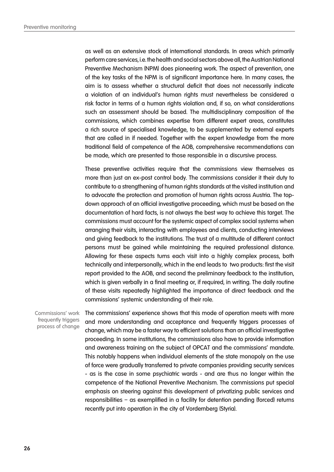as well as an extensive stock of international standards. In areas which primarily perform care services, i.e. the health and social sectors above all, the Austrian National Preventive Mechanism (NPM) does pioneering work. The aspect of prevention, one of the key tasks of the NPM is of significant importance here. In many cases, the aim is to assess whether a structural deficit that does not necessarily indicate a violation of an individual's human rights must nevertheless be considered a risk factor in terms of a human rights violation and, if so, on what considerations such an assessment should be based. The multidisciplinary composition of the commissions, which combines expertise from different expert areas, constitutes a rich source of specialised knowledge, to be supplemented by external experts that are called in if needed. Together with the expert knowledge from the more traditional field of competence of the AOB, comprehensive recommendations can be made, which are presented to those responsible in a discursive process.

These preventive activities require that the commissions view themselves as more than just an ex-post control body. The commissions consider it their duty to contribute to a strengthening of human rights standards at the visited institution and to advocate the protection and promotion of human rights across Austria. The topdown approach of an official investigative proceeding, which must be based on the documentation of hard facts, is not always the best way to achieve this target. The commissions must account for the systemic aspect of complex social systems when arranging their visits, interacting with employees and clients, conducting interviews and giving feedback to the institutions. The trust of a multitude of different contact persons must be gained while maintaining the required professional distance. Allowing for these aspects turns each visit into a highly complex process, both technically and interpersonally, which in the end leads to two products: first the visit report provided to the AOB, and second the preliminary feedback to the institution, which is given verbally in a final meeting or, if required, in writing. The daily routine of these visits repeatedly highlighted the importance of direct feedback and the commissions' systemic understanding of their role.

Commissions' work frequently triggers process of change

The commissions' experience shows that this mode of operation meets with more and more understanding and acceptance and frequently triggers processes of change, which may be a faster way to efficient solutions than an official investigative proceeding. In some institutions, the commissions also have to provide information and awareness training on the subject of OPCAT and the commissions' mandate. This notably happens when individual elements of the state monopoly on the use of force were gradually transferred to private companies providing security services - as is the case in some psychiatric wards - and are thus no longer within the competence of the National Preventive Mechanism. The commissions put special emphasis on steering against this development of privatizing public services and responsibilities – as exemplified in a facility for detention pending (forced) returns recently put into operation in the city of Vordernberg (Styria).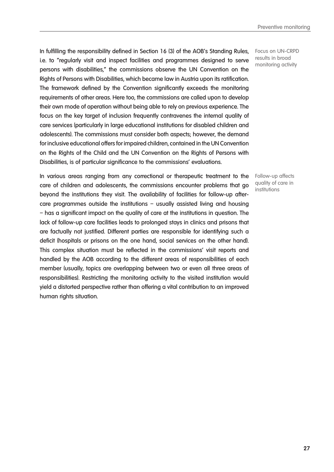In fulfilling the responsibility defined in Section 16 (3) of the AOB's Standing Rules, i.e. to "regularly visit and inspect facilities and programmes designed to serve persons with disabilities," the commissions observe the UN Convention on the Rights of Persons with Disabilities, which became law in Austria upon its ratification. The framework defined by the Convention significantly exceeds the monitoring requirements of other areas. Here too, the commissions are called upon to develop their own mode of operation without being able to rely on previous experience. The focus on the key target of inclusion frequently contravenes the internal quality of care services (particularly in large educational institutions for disabled children and adolescents). The commissions must consider both aspects; however, the demand for inclusive educational offers for impaired children, contained in the UN Convention on the Rights of the Child and the UN Convention on the Rights of Persons with Disabilities, is of particular significance to the commissions' evaluations.

In various areas ranging from any correctional or therapeutic treatment to the care of children and adolescents, the commissions encounter problems that go beyond the institutions they visit. The availability of facilities for follow-up aftercare programmes outside the institutions – usually assisted living and housing – has a significant impact on the quality of care at the institutions in question. The lack of follow-up care facilities leads to prolonged stays in clinics and prisons that are factually not justified. Different parties are responsible for identifying such a deficit (hospitals or prisons on the one hand, social services on the other hand). This complex situation must be reflected in the commissions' visit reports and handled by the AOB according to the different areas of responsibilities of each member (usually, topics are overlapping between two or even all three areas of responsibilities). Restricting the monitoring activity to the visited institution would yield a distorted perspective rather than offering a vital contribution to an improved human rights situation.

Focus on UN-CRPD results in broad monitoring activity

Follow-up affects quality of care in institutions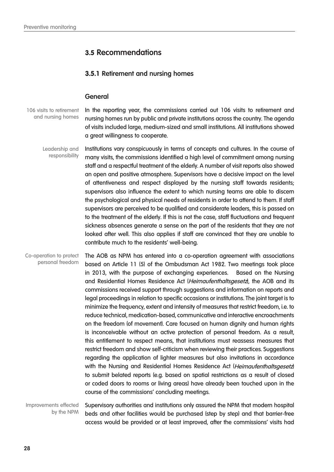## **3.5 Recommendations**

### **3.5.1 Retirement and nursing homes**

#### **General**

106 visits to retirement and nursing homes

In the reporting year, the commissions carried out 106 visits to retirement and nursing homes run by public and private institutions across the country. The agenda of visits included large, medium-sized and small institutions. All institutions showed a great willingness to cooperate.

Institutions vary conspicuously in terms of concepts and cultures. In the course of many visits, the commissions identified a high level of commitment among nursing staff and a respectful treatment of the elderly. A number of visit reports also showed an open and positive atmosphere. Supervisors have a decisive impact on the level of attentiveness and respect displayed by the nursing staff towards residents; supervisors also influence the extent to which nursing teams are able to discern the psychological and physical needs of residents in order to attend to them. If staff supervisors are perceived to be qualified and considerate leaders, this is passed on to the treatment of the elderly. If this is not the case, staff fluctuations and frequent sickness absences generate a sense on the part of the residents that they are not looked after well. This also applies if staff are convinced that they are unable to contribute much to the residents' well-being. Leadership and responsibility

The AOB as NPM has entered into a co-operation agreement with associations based on Article 11 (5) of the Ombudsman Act 1982. Two meetings took place in 2013, with the purpose of exchanging experiences. Based on the Nursing and Residential Homes Residence Act (Heimaufenthaltsgesetz), the AOB and its commissions received support through suggestions and information on reports and legal proceedings in relation to specific occasions or institutions. The joint target is to minimize the frequency, extent and intensity of measures that restrict freedom, i.e. to reduce technical, medication-based, communicative and interactive encroachments on the freedom (of movement). Care focused on human dignity and human rights is inconceivable without an active protection of personal freedom. As a result, this entitlement to respect means, that institutions must reassess measures that restrict freedom and show self-criticism when reviewing their practices. Suggestions regarding the application of lighter measures but also invitations in accordance with the Nursing and Residential Homes Residence Act (Heimaufenthaltsgesetz) to submit belated reports (e.g. based on spatial restrictions as a result of closed or coded doors to rooms or living areas) have already been touched upon in the course of the commissions' concluding meetings. Co-operation to protect personal freedom

Improvements effected by the NPM

Supervisory authorities and institutions only assured the NPM that modern hospital beds and other facilities would be purchased (step by step) and that barrier-free access would be provided or at least improved, after the commissions' visits had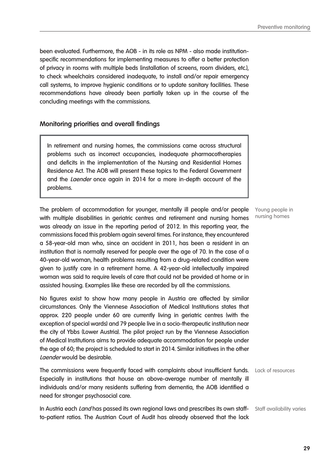been evaluated. Furthermore, the AOB - in its role as NPM - also made institutionspecific recommendations for implementing measures to offer a better protection of privacy in rooms with multiple beds (installation of screens, room dividers, etc.), to check wheelchairs considered inadequate, to install and/or repair emergency call systems, to improve hygienic conditions or to update sanitary facilities. These recommendations have already been partially taken up in the course of the concluding meetings with the commissions.

#### **Monitoring priorities and overall findings**

In retirement and nursing homes, the commissions came across structural problems such as incorrect occupancies, inadequate pharmacotherapies and deficits in the implementation of the Nursing and Residential Homes Residence Act. The AOB will present these topics to the Federal Government and the Laender once again in 2014 for a more in-depth account of the problems.

The problem of accommodation for younger, mentally ill people and/or people Young people in with multiple disabilities in geriatric centres and retirement and nursing homes was already an issue in the reporting period of 2012. In this reporting year, the commissions faced this problem again several times. For instance, they encountered a 58-year-old man who, since an accident in 2011, has been a resident in an institution that is normally reserved for people over the age of 70. In the case of a 40-year-old woman, health problems resulting from a drug-related condition were given to justify care in a retirement home. A 42-year-old intellectually impaired woman was said to require levels of care that could not be provided at home or in assisted housing. Examples like these are recorded by all the commissions.

No figures exist to show how many people in Austria are affected by similar circumstances. Only the Viennese Association of Medical Institutions states that approx. 220 people under 60 are currently living in geriatric centres (with the exception of special wards) and 79 people live in a socio-therapeutic institution near the city of Ybbs (Lower Austria). The pilot project run by the Viennese Association of Medical Institutions aims to provide adequate accommodation for people under the age of 60; the project is scheduled to start in 2014. Similar initiatives in the other Laender would be desirable.

The commissions were frequently faced with complaints about insufficient funds. Lack of resources Especially in institutions that house an above-average number of mentally ill individuals and/or many residents suffering from dementia, the AOB identified a need for stronger psychosocial care.

**In Austria each** *Land* **has passed its own regional laws and prescribes its own staff-** Staff availability varies to-patient ratios. The Austrian Court of Audit has already observed that the lack

nursing homes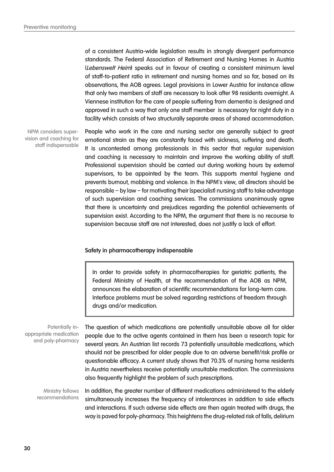of a consistent Austria-wide legislation results in strongly divergent performance standards. The Federal Association of Retirement and Nursing Homes in Austria (Lebenswelt Heim) speaks out in favour of creating a consistent minimum level of staff-to-patient ratio in retirement and nursing homes and so far, based on its observations, the AOB agrees. Legal provisions in Lower Austria for instance allow that only two members of staff are necessary to look after 98 residents overnight. A Viennese institution for the care of people suffering from dementia is designed and approved in such a way that only one staff member is necessary for night duty in a facility which consists of two structurally separate areas of shared accommodation.

NPM considers supervision and coaching for staff indispensable

People who work in the care and nursing sector are generally subject to great emotional strain as they are constantly faced with sickness, suffering and death. It is uncontested among professionals in this sector that regular supervision and coaching is necessary to maintain and improve the working ability of staff. Professional supervision should be carried out during working hours by external supervisors, to be appointed by the team. This supports mental hygiene and prevents burnout, mobbing and violence. In the NPM's view, all directors should be responsible – by law – for motivating their (specialist) nursing staff to take advantage of such supervision and coaching services. The commissions unanimously agree that there is uncertainty and prejudices regarding the potential achievements of supervision exist. According to the NPM, the argument that there is no recourse to supervision because staff are not interested, does not justify a lack of effort.

#### **Safety in pharmacotherapy indispensable**

In order to provide safety in pharmacotherapies for geriatric patients, the Federal Ministry of Health, at the recommendation of the AOB as NPM, announces the elaboration of scientific recommendations for long-term care. Interface problems must be solved regarding restrictions of freedom through drugs and/or medication.

Potentially inappropriate medication and poly-pharmacy

The question of which medications are potentially unsuitable above all for older people due to the active agents contained in them has been a research topic for several years. An Austrian list records 73 potentially unsuitable medications, which should not be prescribed for older people due to an adverse benefit/risk profile or questionable efficacy. A current study shows that 70.3% of nursing home residents in Austria nevertheless receive potentially unsuitable medication. The commissions also frequently highlight the problem of such prescriptions.

In addition, the greater number of different medications administered to the elderly simultaneously increases the frequency of intolerances in addition to side effects and interactions. If such adverse side effects are then again treated with drugs, the way is paved for poly-pharmacy. This heightens the drug-related risk of falls, delirium Ministry follows recommendations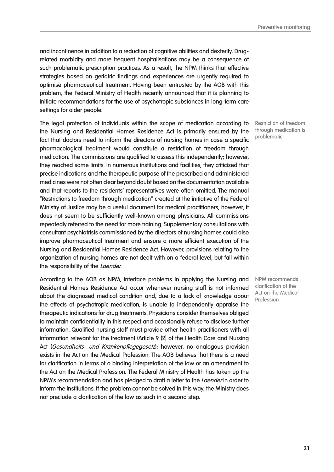and incontinence in addition to a reduction of cognitive abilities and dexterity. Drugrelated morbidity and more frequent hospitalisations may be a consequence of such problematic prescription practices. As a result, the NPM thinks that effective strategies based on geriatric findings and experiences are urgently required to optimise pharmaceutical treatment. Having been entrusted by the AOB with this problem, the Federal Ministry of Health recently announced that it is planning to initiate recommendations for the use of psychotropic substances in long-term care settings for older people.

The legal protection of individuals within the scope of medication according to the Nursing and Residential Homes Residence Act is primarily ensured by the fact that doctors need to inform the directors of nursing homes in case a specific pharmacological treatment would constitute a restriction of freedom through medication. The commissions are qualified to assess this independently; however, they reached some limits. In numerous institutions and facilities, they criticized that precise indications and the therapeutic purpose of the prescribed and administered medicines were not often clear beyond doubt based on the documentation available and that reports to the residents' representatives were often omitted. The manual "Restrictions to freedom through medication" created at the initiative of the Federal Ministry of Justice may be a useful document for medical practitioners; however, it does not seem to be sufficiently well-known among physicians. All commissions repeatedly referred to the need for more training. Supplementary consultations with consultant psychiatrists commissioned by the directors of nursing homes could also improve pharmaceutical treatment and ensure a more efficient execution of the Nursing and Residential Homes Residence Act. However, provisions relating to the organization of nursing homes are not dealt with on a federal level, but fall within the responsibility of the Laender.

According to the AOB as NPM, interface problems in applying the Nursing and Residential Homes Residence Act occur whenever nursing staff is not informed about the diagnosed medical condition and, due to a lack of knowledge about the effects of psychotropic medication, is unable to independently appraise the therapeutic indications for drug treatments. Physicians consider themselves obliged to maintain confidentiality in this respect and occasionally refuse to disclose further information. Qualified nursing staff must provide other health practitioners with all information relevant for the treatment (Article 9 (2) of the Health Care and Nursing Act (Gesundheits- und Krankenpflegegesetz); however, no analogous provision exists in the Act on the Medical Profession. The AOB believes that there is a need for clarification in terms of a binding interpretation of the law or an amendment to the Act on the Medical Profession. The Federal Ministry of Health has taken up the NPM's recommendation and has pledged to draft a letter to the *Laender* in order to inform the institutions. If the problem cannot be solved in this way, the Ministry does not preclude a clarification of the law as such in a second step.

Restriction of freedom through medication is problematic

NPM recommends clarification of the Act on the Medical Profession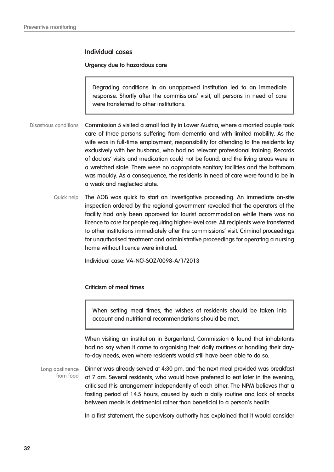#### **Individual cases**

#### **Urgency due to hazardous care**

Degrading conditions in an unapproved institution led to an immediate response. Shortly after the commissions' visit, all persons in need of care were transferred to other institutions.

Commission 5 visited a small facility in Lower Austria, where a married couple took care of three persons suffering from dementia and with limited mobility. As the wife was in full-time employment, responsibility for attending to the residents lay exclusively with her husband, who had no relevant professional training. Records of doctors' visits and medication could not be found, and the living areas were in a wretched state. There were no appropriate sanitary facilities and the bathroom was mouldy. As a consequence, the residents in need of care were found to be in a weak and neglected state. Disastrous conditions

The AOB was quick to start an investigative proceeding. An immediate on-site inspection ordered by the regional government revealed that the operators of the facility had only been approved for tourist accommodation while there was no licence to care for people requiring higher-level care. All recipients were transferred to other institutions immediately after the commissions' visit. Criminal proceedings for unauthorised treatment and administrative proceedings for operating a nursing home without licence were initiated. Quick help

Individual case: VA-NÖ-SOZ/0098-A/1/2013

#### **Criticism of meal times**

When setting meal times, the wishes of residents should be taken into account and nutritional recommendations should be met.

When visiting an institution in Burgenland, Commission 6 found that inhabitants had no say when it came to organising their daily routines or handling their dayto-day needs, even where residents would still have been able to do so.

Dinner was already served at 4:30 pm, and the next meal provided was breakfast at 7 am. Several residents, who would have preferred to eat later in the evening, criticised this arrangement independently of each other. The NPM believes that a fasting period of 14.5 hours, caused by such a daily routine and lack of snacks between meals is detrimental rather than beneficial to a person's health. Long abstinence from food

In a first statement, the supervisory authority has explained that it would consider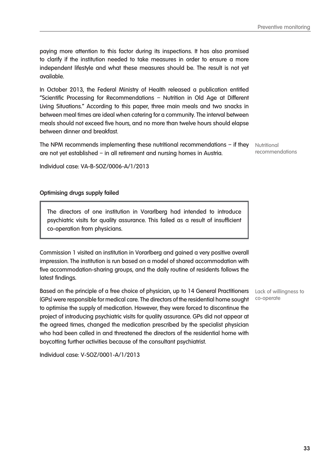paying more attention to this factor during its inspections. It has also promised to clarify if the institution needed to take measures in order to ensure a more independent lifestyle and what these measures should be. The result is not yet available.

In October 2013, the Federal Ministry of Health released a publication entitled "Scientific Processing for Recommendations – Nutrition in Old Age at Different Living Situations." According to this paper, three main meals and two snacks in between meal times are ideal when catering for a community. The interval between meals should not exceed five hours, and no more than twelve hours should elapse between dinner and breakfast.

**The NPM recommends implementing these nutritional recommendations - if they** Nutritional are not yet established – in all retirement and nursing homes in Austria.

Individual case: VA-B-SOZ/0006-A/1/2013

#### **Optimising drugs supply failed**

The directors of one institution in Vorarlberg had intended to introduce psychiatric visits for quality assurance. This failed as a result of insufficient co-operation from physicians.

Commission 1 visited an institution in Vorarlberg and gained a very positive overall impression. The institution is run based on a model of shared accommodation with five accommodation-sharing groups, and the daily routine of residents follows the latest findings.

Based on the principle of a free choice of physician, up to 14 General Practitioners Lack of willingness to (GPs) were responsible for medical care. The directors of the residential home sought to optimise the supply of medication. However, they were forced to discontinue the project of introducing psychiatric visits for quality assurance. GPs did not appear at the agreed times, changed the medication prescribed by the specialist physician who had been called in and threatened the directors of the residential home with boycotting further activities because of the consultant psychiatrist.

Individual case: V-SOZ/0001-A/1/2013

co-operate

recommendations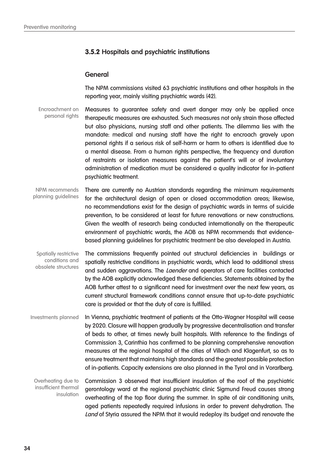## **3.5.2 Hospitals and psychiatric institutions**

#### **General**

The NPM commissions visited 63 psychiatric institutions and other hospitals in the reporting year, mainly visiting psychiatric wards (42).

Measures to guarantee safety and avert danger may only be applied once therapeutic measures are exhausted. Such measures not only strain those affected but also physicians, nursing staff and other patients. The dilemma lies with the mandate: medical and nursing staff have the right to encroach gravely upon personal rights if a serious risk of self-harm or harm to others is identified due to a mental disease. From a human rights perspective, the frequency and duration of restraints or isolation measures against the patient's will or of involuntary administration of medication must be considered a quality indicator for in-patient psychiatric treatment. Encroachment on personal rights

There are currently no Austrian standards regarding the minimum requirements for the architectural design of open or closed accommodation areas; likewise, no recommendations exist for the design of psychiatric wards in terms of suicide prevention, to be considered at least for future renovations or new constructions. Given the wealth of research being conducted internationally on the therapeutic environment of psychiatric wards, the AOB as NPM recommends that evidencebased planning guidelines for psychiatric treatment be also developed in Austria. NPM recommends planning guidelines

The commissions frequently pointed out structural deficiencies in buildings or spatially restrictive conditions in psychiatric wards, which lead to additional stress and sudden aggravations. The *Laender* and operators of care facilities contacted by the AOB explicitly acknowledged these deficiencies. Statements obtained by the AOB further attest to a significant need for investment over the next few years, as current structural framework conditions cannot ensure that up-to-date psychiatric care is provided or that the duty of care is fulfilled. Spatially restrictive conditions and obsolete structures

In Vienna, psychiatric treatment of patients at the Otto-Wagner Hospital will cease by 2020. Closure will happen gradually by progressive decentralisation and transfer of beds to other, at times newly built hospitals. With reference to the findings of Commission 3, Carinthia has confirmed to be planning comprehensive renovation measures at the regional hospital of the cities of Villach and Klagenfurt, so as to ensure treatment that maintains high standards and the greatest possible protection of in-patients. Capacity extensions are also planned in the Tyrol and in Vorarlberg. Investments planned

Commission 3 observed that insufficient insulation of the roof of the psychiatric gerontology ward at the regional psychiatric clinic Sigmund Freud causes strong overheating of the top floor during the summer. In spite of air conditioning units, aged patients repeatedly required infusions in order to prevent dehydration. The Land of Styria assured the NPM that it would redeploy its budget and renovate the Overheating due to insufficient thermal insulation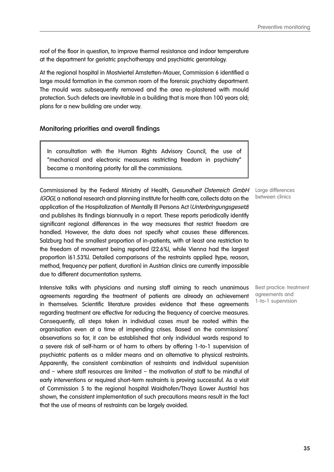roof of the floor in question, to improve thermal resistance and indoor temperature at the department for geriatric psychotherapy and psychiatric gerontology.

At the regional hospital in Mostviertel Amstetten-Mauer, Commission 6 identified a large mould formation in the common room of the forensic psychiatry department. The mould was subsequently removed and the area re-plastered with mould protection. Such defects are inevitable in a building that is more than 100 years old; plans for a new building are under way.

## **Monitoring priorities and overall findings**

In consultation with the Human Rights Advisory Council, the use of "mechanical and electronic measures restricting freedom in psychiatry" became a monitoring priority for all the commissions.

Commissioned by the Federal Ministry of Health, Gesundheit Österreich GmbH (GÖG), a national research and planning institute for health care, collects data on the application of the Hospitalization of Mentally III Persons Act (Unterbringungsgesetz) and publishes its findings biannually in a report. These reports periodically identify significant regional differences in the way measures that restrict freedom are handled. However, the data does not specify what causes these differences. Salzburg had the smallest proportion of in-patients, with at least one restriction to the freedom of movement being reported (22.6%), while Vienna had the largest proportion (61.53%). Detailed comparisons of the restraints applied (type, reason, method, frequency per patient, duration) in Austrian clinics are currently impossible due to different documentation systems.

Intensive talks with physicians and nursing staff aiming to reach unanimous agreements regarding the treatment of patients are already an achievement in themselves. Scientific literature provides evidence that these agreements regarding treatment are effective for reducing the frequency of coercive measures. Consequently, all steps taken in individual cases must be rooted within the organisation even at a time of impending crises. Based on the commissions' observations so far, it can be established that only individual wards respond to a severe risk of self-harm or of harm to others by offering 1-to-1 supervision of psychiatric patients as a milder means and an alternative to physical restraints. Apparently, the consistent combination of restraints and individual supervision and – where staff resources are limited – the motivation of staff to be mindful of early interventions or required short-term restraints is proving successful. As a visit of Commission 5 to the regional hospital Waidhofen/Thaya (Lower Austria) has shown, the consistent implementation of such precautions means result in the fact that the use of means of restraints can be largely avoided.

Large differences between clinics

Best practice: treatment agreements and 1-to-1 supervision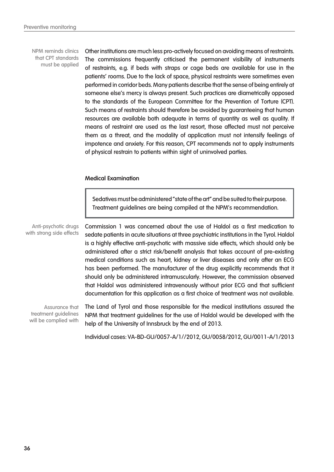NPM reminds clinics that CPT standards must be applied

Other institutions are much less pro-actively focused on avoiding means of restraints. The commissions frequently criticised the permanent visibility of instruments of restraints, e.g. if beds with straps or cage beds are available for use in the patients' rooms. Due to the lack of space, physical restraints were sometimes even performed in corridor beds. Many patients describe that the sense of being entirely at someone else's mercy is always present. Such practices are diametrically opposed to the standards of the European Committee for the Prevention of Torture (CPT). Such means of restraints should therefore be avoided by guaranteeing that human resources are available both adequate in terms of quantity as well as quality. If means of restraint are used as the last resort, those affected must not perceive them as a threat, and the modality of application must not intensify feelings of impotence and anxiety. For this reason, CPT recommends not to apply instruments of physical restrain to patients within sight of uninvolved parties.

#### **Medical Examination**

Sedatives must be administered "state of the art" and be suited to their purpose. Treatment guidelines are being compiled at the NPM's recommendation.

Anti-psychotic drugs with strong side effects

Commission 1 was concerned about the use of Haldol as a first medication to sedate patients in acute situations at three psychiatric institutions in the Tyrol. Haldol is a highly effective anti-psychotic with massive side effects, which should only be administered after a strict risk/benefit analysis that takes account of pre-existing medical conditions such as heart, kidney or liver diseases and only after an ECG has been performed. The manufacturer of the drug explicitly recommends that it should only be administered intramuscularly. However, the commission observed that Haldol was administered intravenously without prior ECG and that sufficient documentation for this application as a first choice of treatment was not available.

Assurance that treatment guidelines will be complied with

The Land of Tyrol and those responsible for the medical institutions assured the NPM that treatment guidelines for the use of Haldol would be developed with the help of the University of Innsbruck by the end of 2013.

Individual cases: VA-BD-GU/0057-A/1//2012, GU/0058/2012, GU/0011-A/1/2013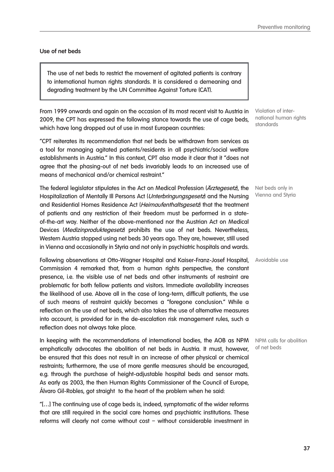#### **Use of net beds**

The use of net beds to restrict the movement of agitated patients is contrary to international human rights standards. It is considered a demeaning and degrading treatment by the UN Committee Against Torture (CAT).

From 1999 onwards and again on the occasion of its most recent visit to Austria in 2009, the CPT has expressed the following stance towards the use of cage beds, which have long dropped out of use in most European countries:

"CPT reiterates its recommendation that net beds be withdrawn from services as a tool for managing agitated patients/residents in all psychiatric/social welfare establishments in Austria." In this context, CPT also made it clear that it "does not agree that the phasing-out of net beds invariably leads to an increased use of means of mechanical and/or chemical restraint."

The federal legislator stipulates in the Act on Medical Profession (*Arztegesetz*), the Hospitalization of Mentally III Persons Act (Unterbringunasaesetz) and the Nursing and Residential Homes Residence Act (Heimaufenthaltsgesetz) that the treatment of patients and any restriction of their freedom must be performed in a stateof-the-art way. Neither of the above-mentioned nor the Austrian Act on Medical Devices (Medizinproduktegesetz) prohibits the use of net beds. Nevertheless, Western Austria stopped using net beds 30 years ago. They are, however, still used in Vienna and occasionally in Styria and not only in psychiatric hospitals and wards.

Following observations at Otto-Wagner Hospital and Kaiser-Franz-Josef Hospital, Avoidable use Commission 4 remarked that, from a human rights perspective, the constant presence, i.e. the visible use of net beds and other instruments of restraint are problematic for both fellow patients and visitors. Immediate availability increases the likelihood of use. Above all in the case of long-term, difficult patients, the use of such means of restraint quickly becomes a "foregone conclusion." While a reflection on the use of net beds, which also takes the use of alternative measures into account, is provided for in the de-escalation risk management rules, such a reflection does not always take place.

In keeping with the recommendations of international bodies, the AOB as NPM NPM calls for abolition emphatically advocates the abolition of net beds in Austria. It must, however, be ensured that this does not result in an increase of other physical or chemical restraints; furthermore, the use of more gentle measures should be encouraged, e.g. through the purchase of height-adjustable hospital beds and sensor mats. As early as 2003, the then Human Rights Commissioner of the Council of Europe, Álvaro Gil-Robles, got straight to the heart of the problem when he said:

"[…] The continuing use of cage beds is, indeed, symptomatic of the wider reforms that are still required in the social care homes and psychiatric institutions. These reforms will clearly not come without cost – without considerable investment in

Violation of international human rights standards

Net beds only in Vienna and Styria

of net beds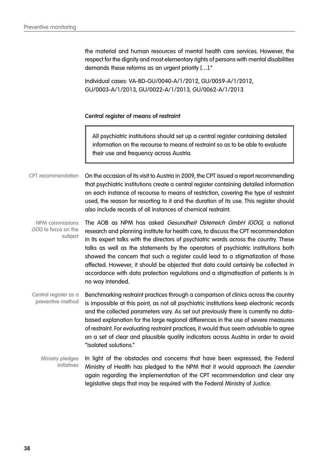the material and human resources of mental health care services. However, the respect for the dignity and most elementary rights of persons with mental disabilities demands these reforms as an urgent priority […]."

Individual cases: VA-BD-GU/0040-A/1/2012, GU/0059-A/1/2012, GU/0003-A/1/2013, GU/0022-A/1/2013, GU/0062-A/1/2013

#### **Central register of means of restraint**

All psychiatric institutions should set up a central register containing detailed information on the recourse to means of restraint so as to be able to evaluate their use and frequency across Austria.

On the occasion of its visit to Austria in 2009, the CPT issued a report recommending that psychiatric institutions create a central register containing detailed information on each instance of recourse to means of restriction, covering the type of restraint used, the reason for resorting to it and the duration of its use. This register should also include records of all instances of chemical restraint. CPT recommendation

The AOB as NPM has asked Gesundheit Österreich GmbH (GÖG), a national research and planning institute for health care, to discuss the CPT recommendation in its expert talks with the directors of psychiatric wards across the country. These talks as well as the statements by the operators of psychiatric institutions both showed the concern that such a register could lead to a stigmatization of those affected. However, it should be objected that data could certainly be collected in accordance with data protection regulations and a stigmatisation of patients is in no way intended. NPM commissions GÖG to focus on the subject

Benchmarking restraint practices through a comparison of clinics across the country is impossible at this point, as not all psychiatric institutions keep electronic records and the collected parameters vary. As set out previously there is currently no databased explanation for the large regional differences in the use of severe measures of restraint. For evaluating restraint practices, it would thus seem advisable to agree on a set of clear and plausible quality indicators across Austria in order to avoid "isolated solutions." Central register as a preventive method

In light of the obstacles and concerns that have been expressed, the Federal Ministry of Health has pledged to the NPM that it would approach the Laender again regarding the implementation of the CPT recommendation and clear any legislative steps that may be required with the Federal Ministry of Justice. Ministry pledges initiatives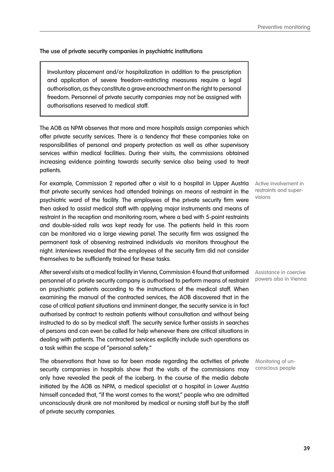**39**

# **The use of private security companies in psychiatric institutions**

Involuntary placement and/or hospitalization in addition to the prescription and application of severe freedom-restricting measures require a legal authorisation, as they constitute a grave encroachment on the right to personal freedom. Personnel of private security companies may not be assigned with authorisations reserved to medical staff.

The AOB as NPM observes that more and more hospitals assign companies which offer private security services. There is a tendency that these companies take on responsibilities of personal and property protection as well as other supervisory services within medical facilities. During their visits, the commissions obtained increasing evidence pointing towards security service also being used to treat patients.

For example, Commission 2 reported after a visit to a hospital in Upper Austria Active involvement in that private security services had attended trainings on means of restraint in the psychiatric ward of the facility. The employees of the private security firm were then asked to assist medical staff with applying major instruments and means of restraint in the reception and monitoring room, where a bed with 5-point restraints and double-sided rails was kept ready for use. The patients held in this room can be monitored via a large viewing panel. The security firm was assigned the permanent task of observing restrained individuals via monitors throughout the night. Interviews revealed that the employees of the security firm did not consider themselves to be sufficiently trained for these tasks.

After several visits at a medical facility in Vienna, Commission 4 found that uniformed Assistance in coercive personnel of a private security company is authorised to perform means of restraint on psychiatric patients according to the instructions of the medical staff. When examining the manual of the contracted services, the AOB discovered that in the case of critical patient situations and imminent danger, the security service is in fact authorised by contract to restrain patients without consultation and without being instructed to do so by medical staff. The security service further assists in searches of persons and can even be called for help whenever there are critical situations in dealing with patients. The contracted services explicitly include such operations as a task within the scope of "personal safety."

The observations that have so far been made regarding the activities of private security companies in hospitals show that the visits of the commissions may only have revealed the peak of the iceberg. In the course of the media debate initiated by the AOB as NPM, a medical specialist at a hospital in Lower Austria himself conceded that, "if the worst comes to the worst," people who are admitted unconsciously drunk are not monitored by medical or nursing staff but by the staff of private security companies.

restraints and supervisions

powers also in Vienna

Monitoring of unconscious people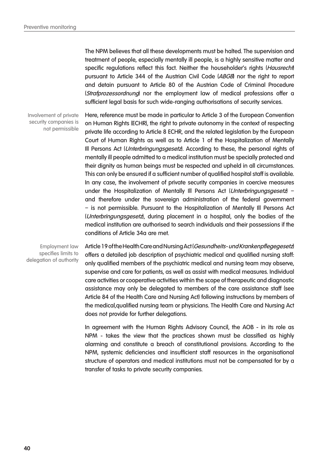The NPM believes that all these developments must be halted. The supervision and treatment of people, especially mentally ill people, is a highly sensitive matter and specific regulations reflect this fact. Neither the householder's rights (Hausrecht pursuant to Article 344 of the Austrian Civil Code (ABGB) nor the right to report and detain pursuant to Article 80 of the Austrian Code of Criminal Procedure (Strafprozessordnung) nor the employment law of medical professions offer a sufficient legal basis for such wide-ranging authorisations of security services.

Involvement of private security companies is not permissible Here, reference must be made in particular to Article 3 of the European Convention on Human Rights (ECHR), the right to private autonomy in the context of respecting private life according to Article 8 ECHR, and the related legislation by the European Court of Human Rights as well as to Article 1 of the Hospitalization of Mentally Ill Persons Act (Unterbringungsgesetz). According to these, the personal rights of mentally ill people admitted to a medical institution must be specially protected and their dignity as human beings must be respected and upheld in all circumstances. This can only be ensured if a sufficient number of qualified hospital staff is available. In any case, the involvement of private security companies in coercive measures under the Hospitalization of Mentally III Persons Act (Unterbringungsgesetz) and therefore under the sovereign administration of the federal government – is not permissible. Pursuant to the Hospitalization of Mentally Ill Persons Act (Unterbringungsgesetz), during placement in a hospital, only the bodies of the medical institution are authorised to search individuals and their possessions if the conditions of Article 34a are met.

Employment law specifies limits to delegation of authority Article 19 of the Health Care and Nursing Act (Gesundheits- und Krankenpflegegesetz) offers a detailed job description of psychiatric medical and qualified nursing staff: only qualified members of the psychiatric medical and nursing team may observe, supervise and care for patients, as well as assist with medical measures. Individual care activities or cooperative activities within the scope of therapeutic and diagnostic assistance may only be delegated to members of the care assistance staff (see Article 84 of the Health Care and Nursing Act) following instructions by members of the medical,qualified nursing team or physicians. The Health Care and Nursing Act does not provide for further delegations.

In agreement with the Human Rights Advisory Council, the AOB - in its role as NPM - takes the view that the practices shown must be classified as highly alarming and constitute a breach of constitutional provisions. According to the NPM, systemic deficiencies and insufficient staff resources in the organisational structure of operators and medical institutions must not be compensated for by a transfer of tasks to private security companies.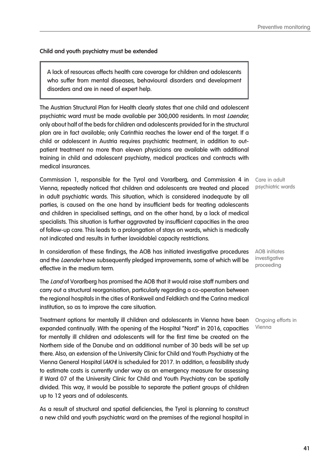**Child and youth psychiatry must be extended**

A lack of resources affects health care coverage for children and adolescents who suffer from mental diseases, behavioural disorders and development disorders and are in need of expert help.

The Austrian Structural Plan for Health clearly states that one child and adolescent psychiatric ward must be made available per 300,000 residents. In most Laender, only about half of the beds for children and adolescents provided for in the structural plan are in fact available; only Carinthia reaches the lower end of the target. If a child or adolescent in Austria requires psychiatric treatment, in addition to outpatient treatment no more than eleven physicians are available with additional training in child and adolescent psychiatry, medical practices and contracts with medical insurances.

Commission 1, responsible for the Tyrol and Vorarlberg, and Commission 4 in Vienna, repeatedly noticed that children and adolescents are treated and placed in adult psychiatric wards. This situation, which is considered inadequate by all parties, is caused on the one hand by insufficient beds for treating adolescents and children in specialised settings, and on the other hand, by a lack of medical specialists. This situation is further aggravated by insufficient capacities in the area of follow-up care. This leads to a prolongation of stays on wards, which is medically not indicated and results in further (avoidable) capacity restrictions.

In consideration of these findings, the AOB has initiated investigative procedures and the Laender have subsequently pledged improvements, some of which will be effective in the medium term.

The Land of Vorarlberg has promised the AOB that it would raise staff numbers and carry out a structural reorganisation, particularly regarding a co-operation between the regional hospitals in the cities of Rankweil and Feldkirch and the Carina medical institution, so as to improve the care situation.

Treatment options for mentally ill children and adolescents in Vienna have been expanded continually. With the opening of the Hospital "Nord" in 2016, capacities for mentally ill children and adolescents will for the first time be created on the Northern side of the Danube and an additional number of 30 beds will be set up there. Also, an extension of the University Clinic for Child and Youth Psychiatry at the Vienna General Hospital (AKH) is scheduled for 2017. In addition, a feasibility study to estimate costs is currently under way as an emergency measure for assessing if Ward 07 of the University Clinic for Child and Youth Psychiatry can be spatially divided. This way, it would be possible to separate the patient groups of children up to 12 years and of adolescents.

As a result of structural and spatial deficiencies, the Tyrol is planning to construct a new child and youth psychiatric ward on the premises of the regional hospital in

Care in adult psychiatric wards

AOB initiates investigative proceeding

Ongoing efforts in Vienna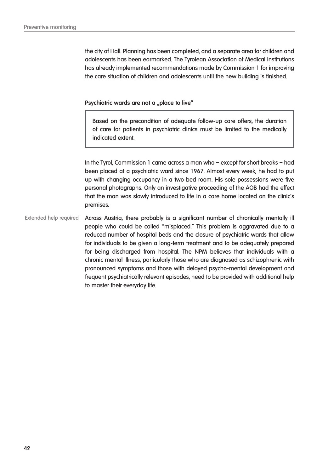the city of Hall. Planning has been completed, and a separate area for children and adolescents has been earmarked. The Tyrolean Association of Medical Institutions has already implemented recommendations made by Commission 1 for improving the care situation of children and adolescents until the new building is finished.

Psychiatric wards are not a "place to live"

Based on the precondition of adequate follow-up care offers, the duration of care for patients in psychiatric clinics must be limited to the medically indicated extent.

In the Tyrol, Commission 1 came across a man who – except for short breaks – had been placed at a psychiatric ward since 1967. Almost every week, he had to put up with changing occupancy in a two-bed room. His sole possessions were five personal photographs. Only an investigative proceeding of the AOB had the effect that the man was slowly introduced to life in a care home located on the clinic's premises.

Across Austria, there probably is a significant number of chronically mentally ill people who could be called "misplaced." This problem is aggravated due to a reduced number of hospital beds and the closure of psychiatric wards that allow for individuals to be given a long-term treatment and to be adequately prepared for being discharged from hospital. The NPM believes that individuals with a chronic mental illness, particularly those who are diagnosed as schizophrenic with pronounced symptoms and those with delayed psycho-mental development and frequent psychiatrically relevant episodes, need to be provided with additional help to master their everyday life. Extended help required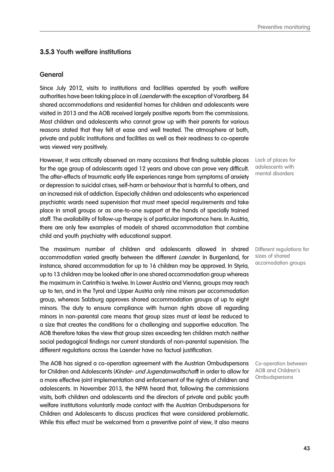# **3.5.3 Youth welfare institutions**

#### **General**

Since July 2012, visits to institutions and facilities operated by youth welfare authorities have been taking place in all *Laender* with the exception of Vorarlberg. 84 shared accommodations and residential homes for children and adolescents were visited in 2013 and the AOB received largely positive reports from the commissions. Most children and adolescents who cannot grow up with their parents for various reasons stated that they felt at ease and well treated. The atmosphere at both, private and public institutions and facilities as well as their readiness to co-operate was viewed very positively.

However, it was critically observed on many occasions that finding suitable places for the age group of adolescents aged 12 years and above can prove very difficult. The after-effects of traumatic early life experiences range from symptoms of anxiety or depression to suicidal crises, self-harm or behaviour that is harmful to others, and an increased risk of addiction. Especially children and adolescents who experienced psychiatric wards need supervision that must meet special requirements and take place in small groups or as one-to-one support at the hands of specially trained staff. The availability of follow-up therapy is of particular importance here. In Austria, there are only few examples of models of shared accommodation that combine child and youth psychiatry with educational support.

The maximum number of children and adolescents allowed in shared accommodation varied greatly between the different Laender. In Burgenland, for instance, shared accommodation for up to 16 children may be approved. In Styria, up to 13 children may be looked after in one shared accommodation group whereas the maximum in Carinthia is twelve. In Lower Austria and Vienna, groups may reach up to ten, and in the Tyrol and Upper Austria only nine minors per accommodation group, whereas Salzburg approves shared accommodation groups of up to eight minors. The duty to ensure compliance with human rights above all regarding minors in non-parental care means that group sizes must at least be reduced to a size that creates the conditions for a challenging and supportive education. The AOB therefore takes the view that group sizes exceeding ten children match neither social pedagogical findings nor current standards of non-parental supervision. The different regulations across the Laender have no factual justification.

The AOB has signed a co-operation agreement with the Austrian Ombudspersons for Children and Adolescents (Kinder- und Jugendanwaltschaft) in order to allow for a more effective joint implementation and enforcement of the rights of children and adolescents. In November 2013, the NPM heard that, following the commissions visits, both children and adolescents and the directors of private and public youth welfare institutions voluntarily made contact with the Austrian Ombudspersons for Children and Adolescents to discuss practices that were considered problematic. While this effect must be welcomed from a preventive point of view, it also means

Lack of places for adolescents with mental disorders

Different regulations for sizes of shared accomodation groups

Co-operation between AOB and Children's Ombudspersons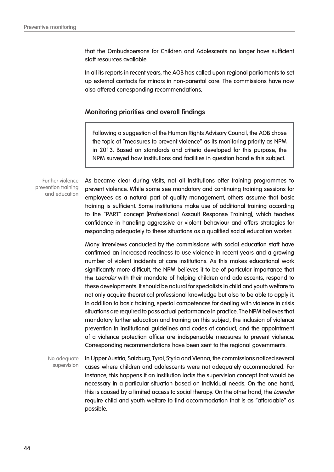that the Ombudspersons for Children and Adolescents no longer have sufficient staff resources available.

In all its reports in recent years, the AOB has called upon regional parliaments to set up external contacts for minors in non-parental care. The commissions have now also offered corresponding recommendations.

### **Monitoring priorities and overall findings**

Following a suggestion of the Human Rights Advisory Council, the AOB chose the topic of "measures to prevent violence" as its monitoring priority as NPM in 2013. Based on standards and criteria developed for this purpose, the NPM surveyed how institutions and facilities in question handle this subject.

Further violence prevention training and education

As became clear during visits, not all institutions offer training programmes to prevent violence. While some see mandatory and continuing training sessions for employees as a natural part of quality management, others assume that basic training is sufficient. Some institutions make use of additional training according to the "PART" concept (Professional Assault Response Training), which teaches confidence in handling aggressive or violent behaviour and offers strategies for responding adequately to these situations as a qualified social education worker.

Many interviews conducted by the commissions with social education staff have confirmed an increased readiness to use violence in recent years and a growing number of violent incidents at care institutions. As this makes educational work significantly more difficult, the NPM believes it to be of particular importance that the Laender with their mandate of helping children and adolescents, respond to these developments. It should be natural for specialists in child and youth welfare to not only acquire theoretical professional knowledge but also to be able to apply it. In addition to basic training, special competences for dealing with violence in crisis situations are required to pass actual performance in practice. The NPM believes that mandatory further education and training on this subject, the inclusion of violence prevention in institutional guidelines and codes of conduct, and the appointment of a violence protection officer are indispensable measures to prevent violence. Corresponding recommendations have been sent to the regional governments.

In Upper Austria, Salzburg, Tyrol, Styria and Vienna, the commissions noticed several cases where children and adolescents were not adequately accommodated. For instance, this happens if an institution lacks the supervision concept that would be necessary in a particular situation based on individual needs. On the one hand, this is caused by a limited access to social therapy. On the other hand, the *Laender* require child and youth welfare to find accommodation that is as "affordable" as possible. No adequate supervision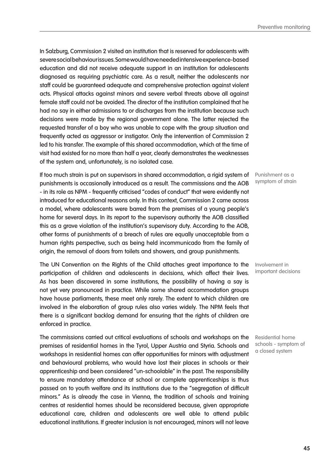In Salzburg, Commission 2 visited an institution that is reserved for adolescents with severe social behaviour issues. Some would have needed intensive experience-based education and did not receive adequate support in an institution for adolescents diagnosed as requiring psychiatric care. As a result, neither the adolescents nor staff could be guaranteed adequate and comprehensive protection against violent acts. Physical attacks against minors and severe verbal threats above all against female staff could not be avoided. The director of the institution complained that he had no say in either admissions to or discharges from the institution because such decisions were made by the regional government alone. The latter rejected the requested transfer of a boy who was unable to cope with the group situation and frequently acted as aggressor or instigator. Only the intervention of Commission 2 led to his transfer. The example of this shared accommodation, which at the time of visit had existed for no more than half a year, clearly demonstrates the weaknesses of the system and, unfortunately, is no isolated case.

If too much strain is put on supervisors in shared accommodation, a rigid system of punishments is occasionally introduced as a result. The commissions and the AOB - in its role as NPM - frequently criticised "codes of conduct" that were evidently not introduced for educational reasons only. In this context, Commission 2 came across a model, where adolescents were barred from the premises of a young people's home for several days. In its report to the supervisory authority the AOB classified this as a grave violation of the institution's supervisory duty. According to the AOB, other forms of punishments of a breach of rules are equally unacceptable from a human rights perspective, such as being held incommunicado from the family of origin, the removal of doors from toilets and showers, and group punishments.

The UN Convention on the Rights of the Child attaches great importance to the participation of children and adolescents in decisions, which affect their lives. As has been discovered in some institutions, the possibility of having a say is not yet very pronounced in practice. While some shared accommodation groups have house parliaments, these meet only rarely. The extent to which children are involved in the elaboration of group rules also varies widely. The NPM feels that there is a significant backlog demand for ensuring that the rights of children are enforced in practice.

The commissions carried out critical evaluations of schools and workshops on the premises of residential homes in the Tyrol, Upper Austria and Styria. Schools and workshops in residential homes can offer opportunities for minors with adjustment and behavioural problems, who would have lost their places in schools or their apprenticeship and been considered "un-schoolable" in the past. The responsibility to ensure mandatory attendance at school or complete apprenticeships is thus passed on to youth welfare and its institutions due to the "segregation of difficult minors." As is already the case in Vienna, the tradition of schools and training centres at residential homes should be reconsidered because, given appropriate educational care, children and adolescents are well able to attend public educational institutions. If greater inclusion is not encouraged, minors will not leave

Punishment as a symptom of strain

Involvement in important decisions

Residential home schools - symptom of a closed system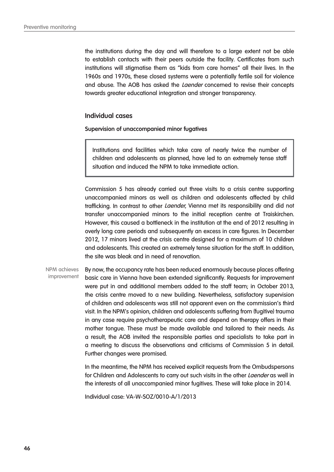the institutions during the day and will therefore to a large extent not be able to establish contacts with their peers outside the facility. Certificates from such institutions will stigmatise them as "kids from care homes" all their lives. In the 1960s and 1970s, these closed systems were a potentially fertile soil for violence and abuse. The AOB has asked the *Laender* concerned to revise their concepts towards greater educational integration and stronger transparency.

#### **Individual cases**

**Supervision of unaccompanied minor fugatives**

Institutions and facilities which take care of nearly twice the number of children and adolescents as planned, have led to an extremely tense staff situation and induced the NPM to take immediate action.

Commission 5 has already carried out three visits to a crisis centre supporting unaccompanied minors as well as children and adolescents affected by child trafficking. In contrast to other *Laender*, Vienna met its responsibility and did not transfer unaccompanied minors to the initial reception centre at Traiskirchen. However, this caused a bottleneck in the institution at the end of 2012 resulting in overly long care periods and subsequently an excess in care figures. In December 2012, 17 minors lived at the crisis centre designed for a maximum of 10 children and adolescents. This created an extremely tense situation for the staff. In addition, the site was bleak and in need of renovation.

By now, the occupancy rate has been reduced enormously because places offering basic care in Vienna have been extended significantly. Requests for improvement were put in and additional members added to the staff team; in October 2013, the crisis centre moved to a new building. Nevertheless, satisfactory supervision of children and adolescents was still not apparent even on the commission's third visit. In the NPM's opinion, children and adolescents suffering from (fugitive) trauma in any case require psychotherapeutic care and depend on therapy offers in their mother tongue. These must be made available and tailored to their needs. As a result, the AOB invited the responsible parties and specialists to take part in a meeting to discuss the observations and criticisms of Commission 5 in detail. Further changes were promised. NPM achieves improvement

> In the meantime, the NPM has received explicit requests from the Ombudspersons for Children and Adolescents to carry out such visits in the other Laender as well in the interests of all unaccompanied minor fugitives. These will take place in 2014.

Individual case: VA-W-SOZ/0010-A/1/2013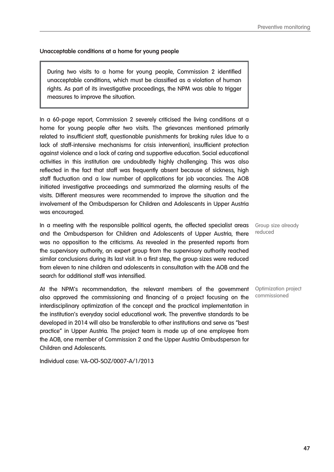#### **Unacceptable conditions at a home for young people**

During two visits to a home for young people, Commission 2 identified unacceptable conditions, which must be classified as a violation of human rights. As part of its investigative proceedings, the NPM was able to trigger measures to improve the situation.

In a 60-page report, Commission 2 severely criticised the living conditions at a home for young people after two visits. The grievances mentioned primarily related to insufficient staff, questionable punishments for braking rules (due to a lack of staff-intensive mechanisms for crisis intervention), insufficient protection against violence and a lack of caring and supportive education. Social educational activities in this institution are undoubtedly highly challenging. This was also reflected in the fact that staff was frequently absent because of sickness, high staff fluctuation and a low number of applications for job vacancies. The AOB initiated investigative proceedings and summarized the alarming results of the visits. Different measures were recommended to improve the situation and the involvement of the Ombudsperson for Children and Adolescents in Upper Austria was encouraged.

In a meeting with the responsible political agents, the affected specialist areas Group size already and the Ombudsperson for Children and Adolescents of Upper Austria, there was no opposition to the criticisms. As revealed in the presented reports from the supervisory authority, an expert group from the supervisory authority reached similar conclusions during its last visit. In a first step, the group sizes were reduced from eleven to nine children and adolescents in consultation with the AOB and the search for additional staff was intensified.

At the NPM's recommendation, the relevant members of the government also approved the commissioning and financing of a project focusing on the interdisciplinary optimization of the concept and the practical implementation in the institution's everyday social educational work. The preventive standards to be developed in 2014 will also be transferable to other institutions and serve as "best practice" in Upper Austria. The project team is made up of one employee from the AOB, one member of Commission 2 and the Upper Austria Ombudsperson for Children and Adolescents.

Individual case: VA-OÖ-SOZ/0007-A/1/2013

reduced

Optimization project commissioned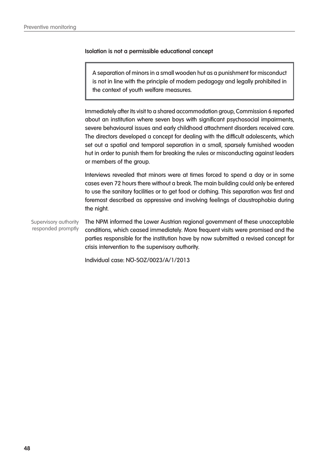### **Isolation is not a permissible educational concept**

A separation of minors in a small wooden hut as a punishment for misconduct is not in line with the principle of modern pedagogy and legally prohibited in the context of youth welfare measures.

Immediately after its visit to a shared accommodation group, Commission 6 reported about an institution where seven boys with significant psychosocial impairments, severe behavioural issues and early childhood attachment disorders received care. The directors developed a concept for dealing with the difficult adolescents, which set out a spatial and temporal separation in a small, sparsely furnished wooden hut in order to punish them for breaking the rules or misconducting against leaders or members of the group.

Interviews revealed that minors were at times forced to spend a day or in some cases even 72 hours there without a break. The main building could only be entered to use the sanitary facilities or to get food or clothing. This separation was first and foremost described as oppressive and involving feelings of claustrophobia during the night.

The NPM informed the Lower Austrian regional government of these unacceptable conditions, which ceased immediately. More frequent visits were promised and the parties responsible for the institution have by now submitted a revised concept for crisis intervention to the supervisory authority. Supervisory authority responded promptly

Individual case: NÖ-SOZ/0023/A/1/2013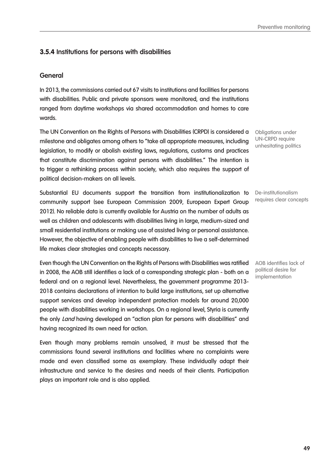# **3.5.4 Institutions for persons with disabilities**

## **General**

In 2013, the commissions carried out 67 visits to institutions and facilities for persons with disabilities. Public and private sponsors were monitored, and the institutions ranged from daytime workshops via shared accommodation and homes to care wards.

The UN Convention on the Rights of Persons with Disabilities (CRPD) is considered a milestone and obligates among others to "take all appropriate measures, including legislation, to modify or abolish existing laws, regulations, customs and practices that constitute discrimination against persons with disabilities." The intention is to trigger a rethinking process within society, which also requires the support of political decision-makers on all levels.

Substantial EU documents support the transition from institutionalization to community support (see European Commission 2009, European Expert Group 2012). No reliable data is currently available for Austria on the number of adults as well as children and adolescents with disabilities living in large, medium-sized and small residential institutions or making use of assisted living or personal assistance. However, the objective of enabling people with disabilities to live a self-determined life makes clear strategies and concepts necessary.

Even though the UN Convention on the Rights of Persons with Disabilities was ratified in 2008, the AOB still identifies a lack of a corresponding strategic plan - both on a federal and on a regional level. Nevertheless, the government programme 2013- 2018 contains declarations of intention to build large institutions, set up alternative support services and develop independent protection models for around 20,000 people with disabilities working in workshops. On a regional level, Styria is currently the only *Land* having developed an "action plan for persons with disabilities" and having recognized its own need for action.

Even though many problems remain unsolved, it must be stressed that the commissions found several institutions and facilities where no complaints were made and even classified some as exemplary. These individually adapt their infrastructure and service to the desires and needs of their clients. Participation plays an important role and is also applied.

Obligations under UN-CRPD require unhesitating politics

De-institutionalism requires clear concepts

AOB identifies lack of political desire for implementation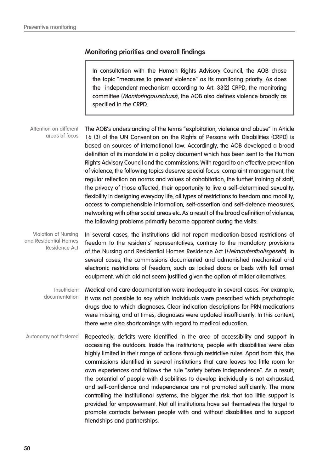# **Monitoring priorities and overall findings**

In consultation with the Human Rights Advisory Council, the AOB chose the topic "measures to prevent violence" as its monitoring priority. As does the independent mechanism according to Art. 33(2) CRPD, the monitoring committee (Monitoringausschuss), the AOB also defines violence broadly as specified in the CRPD.

The AOB's understanding of the terms "exploitation, violence and abuse" in Article 16 (3) of the UN Convention on the Rights of Persons with Disabilities (CRPD) is based on sources of international law. Accordingly, the AOB developed a broad definition of its mandate in a policy document which has been sent to the Human Rights Advisory Council and the commissions. With regard to an effective prevention of violence, the following topics deserve special focus: complaint management, the regular reflection on norms and values of cohabitation, the further training of staff, the privacy of those affected, their opportunity to live a self-determined sexuality, flexibility in designing everyday life, all types of restrictions to freedom and mobility, access to comprehensible information, self-assertion and self-defence measures, networking with other social areas etc. As a result of the broad definition of violence, the following problems primarily became apparent during the visits: Attention on different areas of focus

In several cases, the institutions did not report medication-based restrictions of freedom to the residents' representatives, contrary to the mandatory provisions of the Nursing and Residential Homes Residence Act (Heimaufenthaltsgesetz). In several cases, the commissions documented and admonished mechanical and electronic restrictions of freedom, such as locked doors or beds with fall arrest equipment, which did not seem justified given the option of milder alternatives. Violation of Nursing and Residential Homes Residence Act

Medical and care documentation were inadequate in several cases. For example, it was not possible to say which individuals were prescribed which psychotropic drugs due to which diagnoses. Clear indication descriptions for PRN medications were missing, and at times, diagnoses were updated insufficiently. In this context, there were also shortcomings with regard to medical education. Insufficient documentation

Repeatedly, deficits were identified in the area of accessibility and support in accessing the outdoors. Inside the institutions, people with disabilities were also highly limited in their range of actions through restrictive rules. Apart from this, the commissions identified in several institutions that care leaves too little room for own experiences and follows the rule "safety before independence". As a result, the potential of people with disabilities to develop individually is not exhausted, and self-confidence and independence are not promoted sufficiently. The more controlling the institutional systems, the bigger the risk that too little support is provided for empowerment. Not all institutions have set themselves the target to promote contacts between people with and without disabilities and to support friendships and partnerships. Autonomy not fostered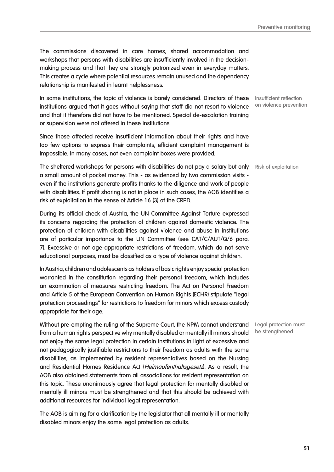The commissions discovered in care homes, shared accommodation and workshops that persons with disabilities are insufficiently involved in the decisionmaking process and that they are strongly patronized even in everyday matters. This creates a cycle where potential resources remain unused and the dependency relationship is manifested in learnt helplessness.

In some institutions, the topic of violence is barely considered. Directors of these institutions argued that it goes without saying that staff did not resort to violence and that it therefore did not have to be mentioned. Special de-escalation training or supervision were not offered in these institutions.

Since those affected receive insufficient information about their rights and have too few options to express their complaints, efficient complaint management is impossible. In many cases, not even complaint boxes were provided.

The sheltered workshops for persons with disabilities do not pay a salary but only Risk of exploitation a small amount of pocket money. This - as evidenced by two commission visits even if the institutions generate profits thanks to the diligence and work of people with disabilities. If profit sharing is not in place in such cases, the AOB identifies a risk of exploitation in the sense of Article 16 (3) of the CRPD.

During its official check of Austria, the UN Committee Against Torture expressed its concerns regarding the protection of children against domestic violence. The protection of children with disabilities against violence and abuse in institutions are of particular importance to the UN Committee (see CAT/C/AUT/Q/6 para. 7). Excessive or not age-appropriate restrictions of freedom, which do not serve educational purposes, must be classified as a type of violence against children.

In Austria, children and adolescents as holders of basic rights enjoy special protection warranted in the constitution regarding their personal freedom, which includes an examination of measures restricting freedom. The Act on Personal Freedom and Article 5 of the European Convention on Human Rights (ECHR) stipulate "legal protection proceedings" for restrictions to freedom for minors which excess custody appropriate for their age.

Without pre-empting the ruling of the Supreme Court, the NPM cannot understand from a human rights perspective why mentally disabled or mentally ill minors should not enjoy the same legal protection in certain institutions in light of excessive and not pedagogically justifiable restrictions to their freedom as adults with the same disabilities, as implemented by resident representatives based on the Nursing and Residential Homes Residence Act (Heimaufenthaltsgesetz). As a result, the AOB also obtained statements from all associations for resident representation on this topic. These unanimously agree that legal protection for mentally disabled or mentally ill minors must be strengthened and that this should be achieved with additional resources for individual legal representation.

The AOB is aiming for a clarification by the legislator that all mentally ill or mentally disabled minors enjoy the same legal protection as adults.

Insufficient reflection on violence prevention

Legal protection must be strengthened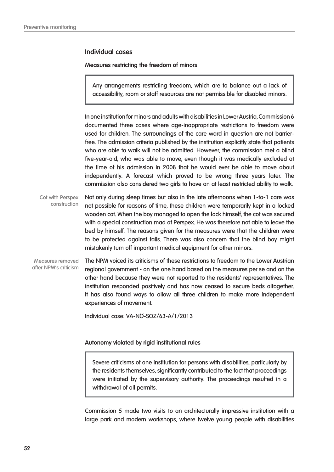### **Individual cases**

#### **Measures restricting the freedom of minors**

Any arrangements restricting freedom, which are to balance out a lack of accessibility, room or staff resources are not permissible for disabled minors.

In one institution for minors and adults with disabilities in Lower Austria, Commission 6 documented three cases where age-inappropriate restrictions to freedom were used for children. The surroundings of the care ward in question are not barrierfree. The admission criteria published by the institution explicitly state that patients who are able to walk will not be admitted. However, the commission met a blind five-year-old, who was able to move, even though it was medically excluded at the time of his admission in 2008 that he would ever be able to move about independently. A forecast which proved to be wrong three years later. The commission also considered two girls to have an at least restricted ability to walk.

Not only during sleep times but also in the late afternoons when 1-to-1 care was not possible for reasons of time, these children were temporarily kept in a locked wooden cot. When the boy managed to open the lock himself, the cot was secured with a special construction mad of Perspex. He was therefore not able to leave the bed by himself. The reasons given for the measures were that the children were to be protected against falls. There was also concern that the blind boy might mistakenly turn off important medical equipment for other minors. Cot with Perspex construction

The NPM voiced its criticisms of these restrictions to freedom to the Lower Austrian regional government - on the one hand based on the measures per se and on the other hand because they were not reported to the residents' representatives. The institution responded positively and has now ceased to secure beds altogether. It has also found ways to allow all three children to make more independent experiences of movement. Measures removed after NPM's criticism

Individual case: VA-NÖ-SOZ/63-A/1/2013

### **Autonomy violated by rigid institutional rules**

Severe criticisms of one institution for persons with disabilities, particularly by the residents themselves, significantly contributed to the fact that proceedings were initiated by the supervisory authority. The proceedings resulted in a withdrawal of all permits.

Commission 5 made two visits to an architecturally impressive institution with a large park and modern workshops, where twelve young people with disabilities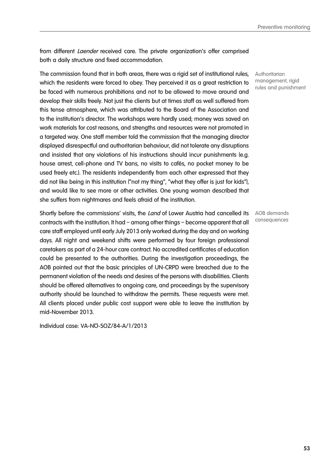from different *Laender* received care. The private organization's offer comprised both a daily structure and fixed accommodation.

The commission found that in both areas, there was a rigid set of institutional rules, which the residents were forced to obey. They perceived it as a great restriction to be faced with numerous prohibitions and not to be allowed to move around and develop their skills freely. Not just the clients but at times staff as well suffered from this tense atmosphere, which was attributed to the Board of the Association and to the institution's director. The workshops were hardly used; money was saved on work materials for cost reasons, and strengths and resources were not promoted in a targeted way. One staff member told the commission that the managing director displayed disrespectful and authoritarian behaviour, did not tolerate any disruptions and insisted that any violations of his instructions should incur punishments (e.g. house arrest, cell-phone and TV bans, no visits to cafés, no pocket money to be used freely etc.). The residents independently from each other expressed that they did not like being in this institution ("not my thing", "what they offer is just for kids"), and would like to see more or other activities. One young woman described that she suffers from nightmares and feels afraid of the institution.

Shortly before the commissions' visits, the Land of Lower Austria had cancelled its contracts with the institution. It had – among other things – become apparent that all care staff employed until early July 2013 only worked during the day and on working days. All night and weekend shifts were performed by four foreign professional caretakers as part of a 24-hour care contract. No accredited certificates of education could be presented to the authorities. During the investigation proceedings, the AOB pointed out that the basic principles of UN-CRPD were breached due to the permanent violation of the needs and desires of the persons with disabilities. Clients should be offered alternatives to ongoing care, and proceedings by the supervisory authority should be launched to withdraw the permits. These requests were met. All clients placed under public cost support were able to leave the institution by mid-November 2013.

Individual case: VA-NÖ-SOZ/84-A/1/2013

**Authoritarian** management, rigid rules and punishment

AOB demands consequences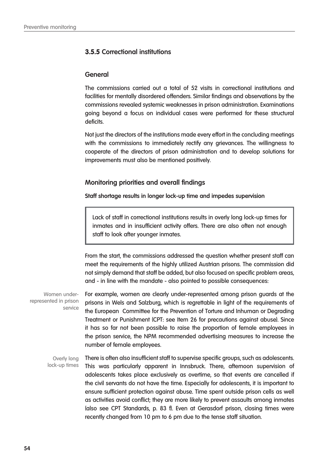# **3.5.5 Correctional institutions**

## **General**

The commissions carried out a total of 52 visits in correctional institutions and facilities for mentally disordered offenders. Similar findings and observations by the commissions revealed systemic weaknesses in prison administration. Examinations going beyond a focus on individual cases were performed for these structural deficits.

Not just the directors of the institutions made every effort in the concluding meetings with the commissions to immediately rectify any grievances. The willingness to cooperate of the directors of prison administration and to develop solutions for improvements must also be mentioned positively.

# **Monitoring priorities and overall findings**

**Staff shortage results in longer lock-up time and impedes supervision**

Lack of staff in correctional institutions results in overly long lock-up times for inmates and in insufficient activity offers. There are also often not enough staff to look after younger inmates.

From the start, the commissions addressed the question whether present staff can meet the requirements of the highly utilized Austrian prisons. The commission did not simply demand that staff be added, but also focused on specific problem areas, and - in line with the mandate - also pointed to possible consequences:

For example, women are clearly under-represented among prison guards at the prisons in Wels and Salzburg, which is regrettable in light of the requirements of the European Committee for the Prevention of Torture and Inhuman or Degrading Treatment or Punishment (CPT: see Item 26 for precautions against abuse). Since it has so far not been possible to raise the proportion of female employees in the prison service, the NPM recommended advertising measures to increase the number of female employees. Women underrepresented in prison service

There is often also insufficient staff to supervise specific groups, such as adolescents. This was particularly apparent in Innsbruck. There, afternoon supervision of adolescents takes place exclusively as overtime, so that events are cancelled if the civil servants do not have the time. Especially for adolescents, it is important to ensure sufficient protection against abuse. Time spent outside prison cells as well as activities avoid conflict; they are more likely to prevent assaults among inmates (also see CPT Standards, p. 83 f). Even at Gerasdorf prison, closing times were recently changed from 10 pm to 6 pm due to the tense staff situation. Overly long lock-up times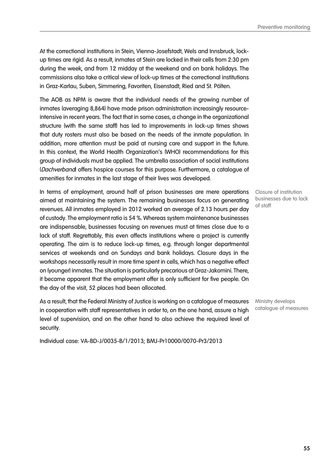Preventive monitoring

At the correctional institutions in Stein, Vienna-Josefstadt, Wels and Innsbruck, lockup times are rigid. As a result, inmates at Stein are locked in their cells from 2:30 pm during the week, and from 12 midday at the weekend and on bank holidays. The commissions also take a critical view of lock-up times at the correctional institutions in Graz-Karlau, Suben, Simmering, Favoriten, Eisenstadt, Ried and St. Pölten.

The AOB as NPM is aware that the individual needs of the growing number of inmates (averaging 8,864) have made prison administration increasingly resourceintensive in recent years. The fact that in some cases, a change in the organizational structure (with the same staff) has led to improvements in lock-up times shows that duty rosters must also be based on the needs of the inmate population. In addition, more attention must be paid at nursing care and support in the future. In this context, the World Health Organization's (WHO) recommendations for this group of individuals must be applied. The umbrella association of social institutions (Dachverband) offers hospice courses for this purpose. Furthermore, a catalogue of amenities for inmates in the last stage of their lives was developed.

In terms of employment, around half of prison businesses are mere operations aimed at maintaining the system. The remaining businesses focus on generating revenues. All inmates employed in 2012 worked an average of 2.13 hours per day of custody. The employment ratio is 54 %. Whereas system maintenance businesses are indispensable, businesses focusing on revenues must at times close due to a lack of staff. Regrettably, this even affects institutions where a project is currently operating. The aim is to reduce lock-up times, e.g. through longer departmental services at weekends and on Sundays and bank holidays. Closure days in the workshops necessarily result in more time spent in cells, which has a negative effect on (younger) inmates. The situation is particularly precarious at Graz-Jakomini. There, it became apparent that the employment offer is only sufficient for five people. On the day of the visit, 52 places had been allocated.

As a result, that the Federal Ministry of Justice is working on a catalogue of measures in cooperation with staff representatives in order to, on the one hand, assure a high level of supervision, and on the other hand to also achieve the required level of security.

Individual case: VA-BD-J/0035-B/1/2013; BMJ-Pr10000/0070-Pr3/2013

Closure of institution businesses due to lack of staff

Ministry develops catalogue of measures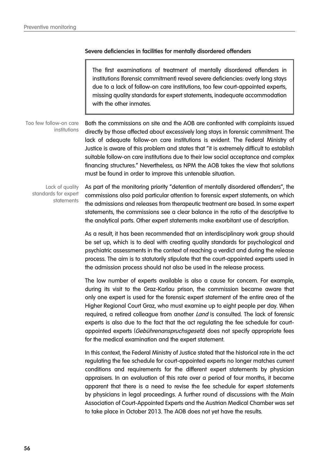## **Severe deficiencies in facilities for mentally disordered offenders**

The first examinations of treatment of mentally disordered offenders in institutions (forensic commitment) reveal severe deficiencies: overly long stays due to a lack of follow-on care institutions, too few court-appointed experts, missing quality standards for expert statements, inadequate accommodation with the other inmates.

Both the commissions on site and the AOB are confronted with complaints issued directly by those affected about excessively long stays in forensic commitment. The lack of adequate follow-on care institutions is evident. The Federal Ministry of Justice is aware of this problem and states that "it is extremely difficult to establish suitable follow-on care institutions due to their low social acceptance and complex financing structures." Nevertheless, as NPM the AOB takes the view that solutions must be found in order to improve this untenable situation. Too few follow-on care institutions

Lack of quality standards for expert statements

As part of the monitoring priority "detention of mentally disordered offenders", the commissions also paid particular attention to forensic expert statements, on which the admissions and releases from therapeutic treatment are based. In some expert statements, the commissions see a clear balance in the ratio of the descriptive to the analytical parts. Other expert statements make exorbitant use of description.

As a result, it has been recommended that an interdisciplinary work group should be set up, which is to deal with creating quality standards for psychological and psychiatric assessments in the context of reaching a verdict and during the release process. The aim is to statutorily stipulate that the court-appointed experts used in the admission process should not also be used in the release process.

The low number of experts available is also a cause for concern. For example, during its visit to the Graz-Karlau prison, the commission became aware that only one expert is used for the forensic expert statement of the entire area of the Higher Regional Court Graz, who must examine up to eight people per day. When required, a retired colleague from another Land is consulted. The lack of forensic experts is also due to the fact that the act regulating the fee schedule for courtappointed experts (Gebührenanspruchsgesetz) does not specify appropriate fees for the medical examination and the expert statement.

In this context, the Federal Ministry of Justice stated that the historical rate in the act regulating the fee schedule for court-appointed experts no longer matches current conditions and requirements for the different expert statements by physician appraisers. In an evaluation of this rate over a period of four months, it became apparent that there is a need to revise the fee schedule for expert statements by physicians in legal proceedings. A further round of discussions with the Main Association of Court-Appointed Experts and the Austrian Medical Chamber was set to take place in October 2013. The AOB does not yet have the results.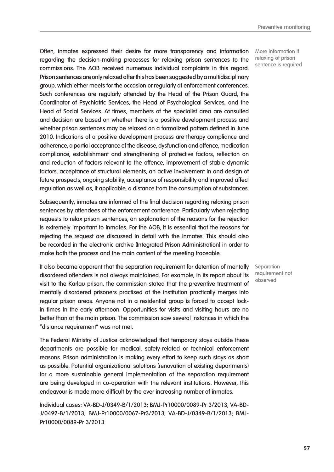Often, inmates expressed their desire for more transparency and information regarding the decision-making processes for relaxing prison sentences to the commissions. The AOB received numerous individual complaints in this regard. Prison sentences are only relaxed after this has been suggested by a multidisciplinary group, which either meets for the occasion or regularly at enforcement conferences. Such conferences are regularly attended by the Head of the Prison Guard, the Coordinator of Psychiatric Services, the Head of Psychological Services, and the Head of Social Services. At times, members of the specialist area are consulted and decision are based on whether there is a positive development process and whether prison sentences may be relaxed on a formalized pattern defined in June 2010. Indications of a positive development process are therapy compliance and adherence, a partial acceptance of the disease, dysfunction and offence, medication compliance, establishment and strengthening of protective factors, reflection on and reduction of factors relevant to the offence, improvement of stable-dynamic factors, acceptance of structural elements, an active involvement in and design of future prospects, ongoing stability, acceptance of responsibility and improved affect regulation as well as, if applicable, a distance from the consumption of substances.

Subsequently, inmates are informed of the final decision regarding relaxing prison sentences by attendees of the enforcement conference. Particularly when rejecting requests to relax prison sentences, an explanation of the reasons for the rejection is extremely important to inmates. For the AOB, it is essential that the reasons for rejecting the request are discussed in detail with the inmates. This should also be recorded in the electronic archive (Integrated Prison Administration) in order to make both the process and the main content of the meeting traceable.

It also became apparent that the separation requirement for detention of mentally disordered offenders is not always maintained. For example, in its report about its visit to the Karlau prison, the commission stated that the preventive treatment of mentally disordered prisoners practised at the institution practically merges into regular prison areas. Anyone not in a residential group is forced to accept lockin times in the early afternoon. Opportunities for visits and visiting hours are no better than at the main prison. The commission saw several instances in which the "distance requirement" was not met.

The Federal Ministry of Justice acknowledged that temporary stays outside these departments are possible for medical, safety-related or technical enforcement reasons. Prison administration is making every effort to keep such stays as short as possible. Potential organizational solutions (renovation of existing departments) for a more sustainable general implementation of the separation requirement are being developed in co-operation with the relevant institutions. However, this endeavour is made more difficult by the ever increasing number of inmates.

Individual cases: VA-BD-J/0349-B/1/2013; BMJ-Pr10000/0089-Pr 3/2013, VA-BD-J/0492-B/1/2013; BMJ-Pr10000/0067-Pr3/2013, VA-BD-J/0349-B/1/2013; BMJ-Pr10000/0089-Pr 3/2013

More information if relaxing of prison sentence is required

**Separation** requirement not observed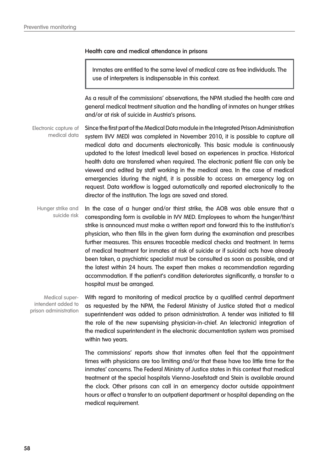#### **Health care and medical attendance in prisons**

Inmates are entitled to the same level of medical care as free individuals. The use of interpreters is indispensable in this context.

As a result of the commissions' observations, the NPM studied the health care and general medical treatment situation and the handling of inmates on hunger strikes and/or at risk of suicide in Austria's prisons.

Since the first part of the Medical Data module in the Integrated Prison Administration system (IVV MED) was completed in November 2010, it is possible to capture all medical data and documents electronically. This basic module is continuously updated to the latest (medical) level based on experiences in practice. Historical health data are transferred when required. The electronic patient file can only be viewed and edited by staff working in the medical area. In the case of medical emergencies (during the night), it is possible to access an emergency log on request. Data workflow is logged automatically and reported electronically to the director of the institution. The logs are saved and stored. Electronic capture of medical data

In the case of a hunger and/or thirst strike, the AOB was able ensure that a corresponding form is available in IVV MED. Employees to whom the hunger/thirst strike is announced must make a written report and forward this to the institution's physician, who then fills in the given form during the examination and prescribes further measures. This ensures traceable medical checks and treatment. In terms of medical treatment for inmates at risk of suicide or if suicidal acts have already been taken, a psychiatric specialist must be consulted as soon as possible, and at the latest within 24 hours. The expert then makes a recommendation regarding accommodation. If the patient's condition deteriorates significantly, a transfer to a hospital must be arranged. Hunger strike and suicide risk

Medical superintendent added to prison administration With regard to monitoring of medical practice by a qualified central department as requested by the NPM, the Federal Ministry of Justice stated that a medical superintendent was added to prison administration. A tender was initiated to fill the role of the new supervising physician-in-chief. An (electronic) integration of the medical superintendent in the electronic documentation system was promised within two years.

The commissions' reports show that inmates often feel that the appointment times with physicians are too limiting and/or that these have too little time for the inmates' concerns. The Federal Ministry of Justice states in this context that medical treatment at the special hospitals Vienna-Josefstadt and Stein is available around the clock. Other prisons can call in an emergency doctor outside appointment hours or affect a transfer to an outpatient department or hospital depending on the medical requirement.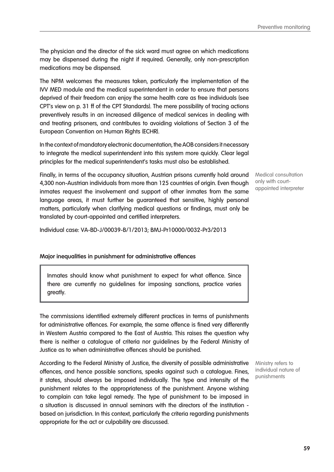The physician and the director of the sick ward must agree on which medications may be dispensed during the night if required. Generally, only non-prescription medications may be dispensed.

The NPM welcomes the measures taken, particularly the implementation of the IVV MED module and the medical superintendent in order to ensure that persons deprived of their freedom can enjoy the same health care as free individuals (see CPT's view on p. 31 ff of the CPT Standards). The mere possibility of tracing actions preventively results in an increased diligence of medical services in dealing with and treating prisoners, and contributes to avoiding violations of Section 3 of the European Convention on Human Rights (ECHR).

In the context of mandatory electronic documentation, the AOB considers it necessary to integrate the medical superintendent into this system more quickly. Clear legal principles for the medical superintendent's tasks must also be established.

Finally, in terms of the occupancy situation, Austrian prisons currently hold around 4,300 non-Austrian individuals from more than 125 countries of origin. Even though inmates request the involvement and support of other inmates from the same language areas, it must further be guaranteed that sensitive, highly personal matters, particularly when clarifying medical questions or findings, must only be translated by court-appointed and certified interpreters.

Individual case: VA-BD-J/00039-B/1/2013; BMJ-Pr10000/0032-Pr3/2013

# **Major inequalities in punishment for administrative offences**

Inmates should know what punishment to expect for what offence. Since there are currently no guidelines for imposing sanctions, practice varies greatly.

The commissions identified extremely different practices in terms of punishments for administrative offences. For example, the same offence is fined very differently in Western Austria compared to the East of Austria. This raises the question why there is neither a catalogue of criteria nor guidelines by the Federal Ministry of Justice as to when administrative offences should be punished.

According to the Federal Ministry of Justice, the diversity of possible administrative offences, and hence possible sanctions, speaks against such a catalogue. Fines, it states, should always be imposed individually. The type and intensity of the punishment relates to the appropriateness of the punishment. Anyone wishing to complain can take legal remedy. The type of punishment to be imposed in a situation is discussed in annual seminars with the directors of the institution based on jurisdiction. In this context, particularly the criteria regarding punishments appropriate for the act or culpability are discussed.

Ministry refers to individual nature of punishments

Medical consultation only with courtappointed interpreter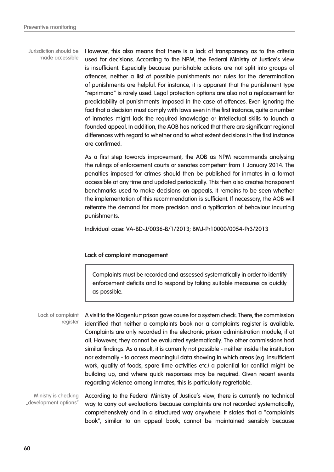However, this also means that there is a lack of transparency as to the criteria used for decisions. According to the NPM, the Federal Ministry of Justice's view is insufficient. Especially because punishable actions are not split into groups of offences, neither a list of possible punishments nor rules for the determination of punishments are helpful. For instance, it is apparent that the punishment type "reprimand" is rarely used. Legal protection options are also not a replacement for predictability of punishments imposed in the case of offences. Even ignoring the fact that a decision must comply with laws even in the first instance, quite a number of inmates might lack the required knowledge or intellectual skills to launch a founded appeal. In addition, the AOB has noticed that there are significant regional differences with regard to whether and to what extent decisions in the first instance are confirmed. Jurisdiction should be made accessible

> As a first step towards improvement, the AOB as NPM recommends analysing the rulings of enforcement courts or senates competent from 1 January 2014. The penalties imposed for crimes should then be published for inmates in a format accessible at any time and updated periodically. This then also creates transparent benchmarks used to make decisions on appeals. It remains to be seen whether the implementation of this recommendation is sufficient. If necessary, the AOB will reiterate the demand for more precision and a typification of behaviour incurring punishments.

Individual case: VA-BD-J/0036-B/1/2013; BMJ-Pr10000/0054-Pr3/2013

### **Lack of complaint management**

Complaints must be recorded and assessed systematically in order to identify enforcement deficits and to respond by taking suitable measures as quickly as possible.

A visit to the Klagenfurt prison gave cause for a system check. There, the commission identified that neither a complaints book nor a complaints register is available. Complaints are only recorded in the electronic prison administration module, if at all. However, they cannot be evaluated systematically. The other commissions had similar findings. As a result, it is currently not possible - neither inside the institution nor externally - to access meaningful data showing in which areas (e.g. insufficient work, quality of foods, spare time activities etc.) a potential for conflict might be building up, and where quick responses may be required. Given recent events regarding violence among inmates, this is particularly regrettable. Lack of complaint register

According to the Federal Ministry of Justice's view, there is currently no technical way to carry out evaluations because complaints are not recorded systematically, comprehensively and in a structured way anywhere. It states that a "complaints book", similar to an appeal book, cannot be maintained sensibly because Ministry is checking "development options"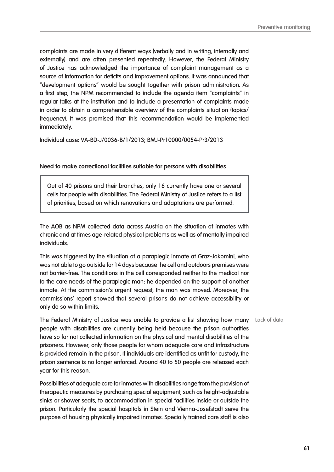complaints are made in very different ways (verbally and in writing, internally and externally) and are often presented repeatedly. However, the Federal Ministry of Justice has acknowledged the importance of complaint management as a source of information for deficits and improvement options. It was announced that "development options" would be sought together with prison administration. As a first step, the NPM recommended to include the agenda item "complaints" in regular talks at the institution and to include a presentation of complaints made in order to obtain a comprehensible overview of the complaints situation (topics/ frequency). It was promised that this recommendation would be implemented immediately.

Individual case: VA-BD-J/0036-B/1/2013; BMJ-Pr10000/0054-Pr3/2013

#### **Need to make correctional facilities suitable for persons with disabilities**

Out of 40 prisons and their branches, only 16 currently have one or several cells for people with disabilities. The Federal Ministry of Justice refers to a list of priorities, based on which renovations and adaptations are performed.

The AOB as NPM collected data across Austria on the situation of inmates with chronic and at times age-related physical problems as well as of mentally impaired individuals.

This was triggered by the situation of a paraplegic inmate at Graz-Jakomini, who was not able to go outside for 14 days because the cell and outdoors premises were not barrier-free. The conditions in the cell corresponded neither to the medical nor to the care needs of the paraplegic man; he depended on the support of another inmate. At the commission's urgent request, the man was moved. Moreover, the commissions' report showed that several prisons do not achieve accessibility or only do so within limits.

The Federal Ministry of Justice was unable to provide a list showing how many Lack of data people with disabilities are currently being held because the prison authorities have so far not collected information on the physical and mental disabilities of the prisoners. However, only those people for whom adequate care and infrastructure is provided remain in the prison. If individuals are identified as unfit for custody, the prison sentence is no longer enforced. Around 40 to 50 people are released each year for this reason.

Possibilities of adequate care for inmates with disabilities range from the provision of therapeutic measures by purchasing special equipment, such as height-adjustable sinks or shower seats, to accommodation in special facilities inside or outside the prison. Particularly the special hospitals in Stein and Vienna-Josefstadt serve the purpose of housing physically impaired inmates. Specially trained care staff is also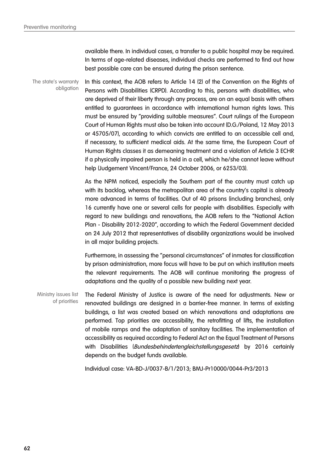available there. In individual cases, a transfer to a public hospital may be required. In terms of age-related diseases, individual checks are performed to find out how best possible care can be ensured during the prison sentence.

In this context, the AOB refers to Article 14 (2) of the Convention on the Rights of Persons with Disabilities (CRPD). According to this, persons with disabilities, who are deprived of their liberty through any process, are on an equal basis with others entitled to guarantees in accordance with international human rights laws. This must be ensured by "providing suitable measures". Court rulings of the European Court of Human Rights must also be taken into account (D.G./Poland, 12 May 2013 or 45705/07), according to which convicts are entitled to an accessible cell and, if necessary, to sufficient medical aids. At the same time, the European Court of Human Rights classes it as demeaning treatment and a violation of Article 3 ECHR if a physically impaired person is held in a cell, which he/she cannot leave without help (Judgement Vincent/France, 24 October 2006, or 6253/03). The state's warranty obligation

> As the NPM noticed, especially the Southern part of the country must catch up with its backlog, whereas the metropolitan area of the country's capital is already more advanced in terms of facilities. Out of 40 prisons (including branches), only 16 currently have one or several cells for people with disabilities. Especially with regard to new buildings and renovations, the AOB refers to the "National Action Plan - Disability 2012-2020", according to which the Federal Government decided on 24 July 2012 that representatives of disability organizations would be involved in all major building projects.

> Furthermore, in assessing the "personal circumstances" of inmates for classification by prison administration, more focus will have to be put on which institution meets the relevant requirements. The AOB will continue monitoring the progress of adaptations and the quality of a possible new building next year.

The Federal Ministry of Justice is aware of the need for adjustments. New or renovated buildings are designed in a barrier-free manner. In terms of existing buildings, a list was created based on which renovations and adaptations are performed. Top priorities are accessibility, the retrofitting of lifts, the installation of mobile ramps and the adaptation of sanitary facilities. The implementation of accessibility as required according to Federal Act on the Equal Treatment of Persons with Disabilities (Bundesbehindertengleichstellungsgesetz) by 2016 certainly depends on the budget funds available. Ministry issues list of priorities

Individual case: VA-BD-J/0037-B/1/2013; BMJ-Pr10000/0044-Pr3/2013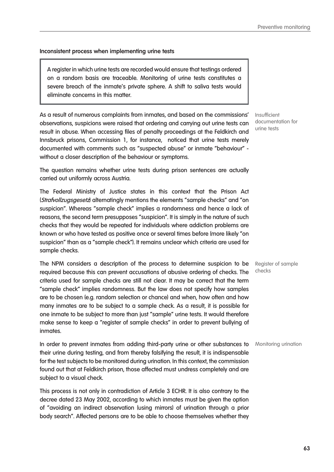### **Inconsistent process when implementing urine tests**

A register in which urine tests are recorded would ensure that testings ordered on a random basis are traceable. Monitoring of urine tests constitutes a severe breach of the inmate's private sphere. A shift to saliva tests would eliminate concerns in this matter.

As a result of numerous complaints from inmates, and based on the commissions' observations, suspicions were raised that ordering and carrying out urine tests can result in abuse. When accessing files of penalty proceedings at the Feldkirch and Innsbruck prisons, Commission 1, for instance, noticed that urine tests merely documented with comments such as "suspected abuse" or inmate "behaviour" without a closer description of the behaviour or symptoms.

The question remains whether urine tests during prison sentences are actually carried out uniformly across Austria.

The Federal Ministry of Justice states in this context that the Prison Act (*Strafvollzugsgesetz*) alternatingly mentions the elements "sample checks" and "on suspicion". Whereas "sample check" implies a randomness and hence a lack of reasons, the second term presupposes "suspicion". It is simply in the nature of such checks that they would be repeated for individuals where addiction problems are known or who have tested as positive once or several times before (more likely "on suspicion" than as a "sample check"). It remains unclear which criteria are used for sample checks.

The NPM considers a description of the process to determine suspicion to be required because this can prevent accusations of abusive ordering of checks. The criteria used for sample checks are still not clear. It may be correct that the term "sample check" implies randomness. But the law does not specify how samples are to be chosen (e.g. random selection or chance) and when, how often and how many inmates are to be subject to a sample check. As a result, it is possible for one inmate to be subject to more than just "sample" urine tests. It would therefore make sense to keep a "register of sample checks" in order to prevent bullying of inmates.

In order to prevent inmates from adding third-party urine or other substances to Monitoring urination their urine during testing, and from thereby falsifying the result, it is indispensable for the test subjects to be monitored during urination. In this context, the commission found out that at Feldkirch prison, those affected must undress completely and are subject to a visual check.

This process is not only in contradiction of Article 3 ECHR. It is also contrary to the decree dated 23 May 2002, according to which inmates must be given the option of "avoiding an indirect observation (using mirrors) of urination through a prior body search". Affected persons are to be able to choose themselves whether they

Insufficient documentation for urine tests

Register of sample checks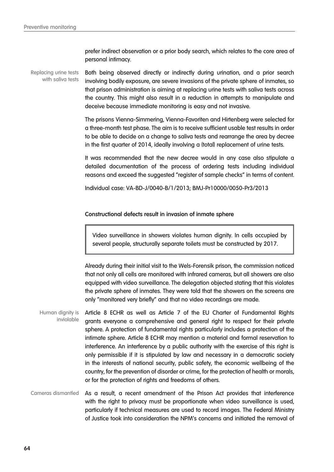prefer indirect observation or a prior body search, which relates to the core area of personal intimacy.

Both being observed directly or indirectly during urination, and a prior search involving bodily exposure, are severe invasions of the private sphere of inmates, so that prison administration is aiming at replacing urine tests with saliva tests across the country. This might also result in a reduction in attempts to manipulate and deceive because immediate monitoring is easy and not invasive. Replacing urine tests with saliva tests

> The prisons Vienna-Simmering, Vienna-Favoriten and Hirtenberg were selected for a three-month test phase. The aim is to receive sufficient usable test results in order to be able to decide on a change to saliva tests and rearrange the area by decree in the first quarter of 2014, ideally involving a (total) replacement of urine tests.

> It was recommended that the new decree would in any case also stipulate a detailed documentation of the process of ordering tests including individual reasons and exceed the suggested "register of sample checks" in terms of content.

Individual case: VA-BD-J/0040-B/1/2013; BMJ-Pr10000/0050-Pr3/2013

#### **Constructional defects result in invasion of inmate sphere**

Video surveillance in showers violates human dignity. In cells occupied by several people, structurally separate toilets must be constructed by 2017.

Already during their initial visit to the Wels-Forensik prison, the commission noticed that not only all cells are monitored with infrared cameras, but all showers are also equipped with video surveillance. The delegation objected stating that this violates the private sphere of inmates. They were told that the showers on the screens are only "monitored very briefly" and that no video recordings are made.

- Article 8 ECHR as well as Article 7 of the EU Charter of Fundamental Rights grants everyone a comprehensive and general right to respect for their private sphere. A protection of fundamental rights particularly includes a protection of the intimate sphere. Article 8 ECHR may mention a material and formal reservation to interference. An interference by a public authority with the exercise of this right is only permissible if it is stipulated by law and necessary in a democratic society in the interests of national security, public safety, the economic wellbeing of the country, for the prevention of disorder or crime, for the protection of health or morals, or for the protection of rights and freedoms of others. Human dignity is inviolable
- As a result, a recent amendment of the Prison Act provides that interference with the right to privacy must be proportionate when video surveillance is used, particularly if technical measures are used to record images. The Federal Ministry of Justice took into consideration the NPM's concerns and initiated the removal of Cameras dismantled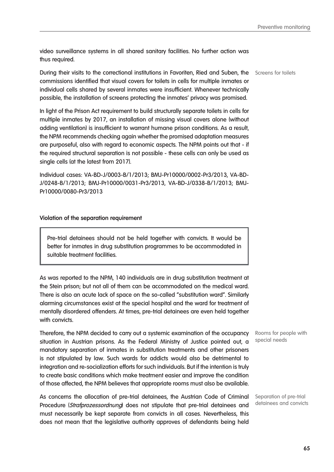video surveillance systems in all shared sanitary facilities. No further action was thus required.

During their visits to the correctional institutions in Favoriten, Ried and Suben, the Screens for toilets commissions identified that visual covers for toilets in cells for multiple inmates or individual cells shared by several inmates were insufficient. Whenever technically possible, the installation of screens protecting the inmates' privacy was promised.

In light of the Prison Act requirement to build structurally separate toilets in cells for multiple inmates by 2017, an installation of missing visual covers alone (without adding ventilation) is insufficient to warrant humane prison conditions. As a result, the NPM recommends checking again whether the promised adaptation measures are purposeful, also with regard to economic aspects. The NPM points out that - if the required structural separation is not possible - these cells can only be used as single cells (at the latest from 2017).

Individual cases: VA-BD-J/0003-B/1/2013; BMJ-Pr10000/0002-Pr3/2013, VA-BD-J/0248-B/1/2013; BMJ-Pr10000/0031-Pr3/2013, VA-BD-J/0338-B/1/2013; BMJ-Pr10000/0080-Pr3/2013

#### **Violation of the separation requirement**

Pre-trial detainees should not be held together with convicts. It would be better for inmates in drug substitution programmes to be accommodated in suitable treatment facilities.

As was reported to the NPM, 140 individuals are in drug substitution treatment at the Stein prison; but not all of them can be accommodated on the medical ward. There is also an acute lack of space on the so-called "substitution ward". Similarly alarming circumstances exist at the special hospital and the ward for treatment of mentally disordered offenders. At times, pre-trial detainees are even held together with convicts.

Therefore, the NPM decided to carry out a systemic examination of the occupancy situation in Austrian prisons. As the Federal Ministry of Justice pointed out, a mandatory separation of inmates in substitution treatments and other prisoners is not stipulated by law. Such wards for addicts would also be detrimental to integration and re-socialization efforts for such individuals. But if the intention is truly to create basic conditions which make treatment easier and improve the condition of those affected, the NPM believes that appropriate rooms must also be available.

As concerns the allocation of pre-trial detainees, the Austrian Code of Criminal Procedure (Strafprozessordnung) does not stipulate that pre-trial detainees and must necessarily be kept separate from convicts in all cases. Nevertheless, this does not mean that the legislative authority approves of defendants being held

Rooms for people with special needs

Separation of pre-trial detainees and convicts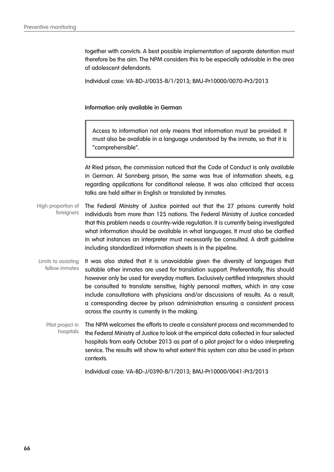together with convicts. A best possible implementation of separate detention must therefore be the aim. The NPM considers this to be especially advisable in the area of adolescent defendants.

Individual case: VA-BD-J/0035-B/1/2013; BMJ-Pr10000/0070-Pr3/2013

#### **Information only available in German**

Access to information not only means that information must be provided. It must also be available in a language understood by the inmate, so that it is "comprehensible".

At Ried prison, the commission noticed that the Code of Conduct is only available in German. At Sonnberg prison, the same was true of information sheets, e.g. regarding applications for conditional release. It was also criticized that access talks are held either in English or translated by inmates.

The Federal Ministry of Justice pointed out that the 27 prisons currently hold individuals from more than 125 nations. The Federal Ministry of Justice conceded that this problem needs a country-wide regulation. It is currently being investigated what information should be available in what languages. It must also be clarified in what instances an interpreter must necessarily be consulted. A draft guideline including standardized information sheets is in the pipeline. High proportion of foreigners

It was also stated that it is unavoidable given the diversity of languages that suitable other inmates are used for translation support. Preferentially, this should however only be used for everyday matters. Exclusively certified interpreters should be consulted to translate sensitive, highly personal matters, which in any case include consultations with physicians and/or discussions of results. As a result, a corresponding decree by prison administration ensuring a consistent process across the country is currently in the making. Limits to assisting fellow inmates

The NPM welcomes the efforts to create a consistent process and recommended to the Federal Ministry of Justice to look at the empirical data collected in four selected hospitals from early October 2013 as part of a pilot project for a video interpreting service. The results will show to what extent this system can also be used in prison contexts. Pilot project in hospitals

Individual case: VA-BD-J/0390-B/1/2013; BMJ-Pr10000/0041-Pr3/2013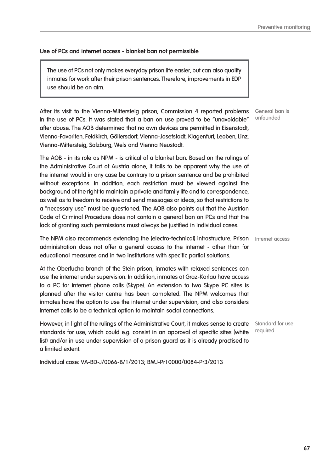# **Use of PCs and internet access - blanket ban not permissible**

The use of PCs not only makes everyday prison life easier, but can also qualify inmates for work after their prison sentences. Therefore, improvements in EDP use should be an aim.

After its visit to the Vienna-Mittersteig prison, Commission 4 reported problems in the use of PCs. It was stated that a ban on use proved to be "unavoidable" after abuse. The AOB determined that no own devices are permitted in Eisenstadt, Vienna-Favoriten, Feldkirch, Göllersdorf, Vienna-Josefstadt, Klagenfurt, Leoben, Linz, Vienna-Mittersteig, Salzburg, Wels and Vienna Neustadt.

The AOB - in its role as NPM - is critical of a blanket ban. Based on the rulings of the Administrative Court of Austria alone, it fails to be apparent why the use of the internet would in any case be contrary to a prison sentence and be prohibited without exceptions. In addition, each restriction must be viewed against the background of the right to maintain a private and family life and to correspondence, as well as to freedom to receive and send messages or ideas, so that restrictions to a "necessary use" must be questioned. The AOB also points out that the Austrian Code of Criminal Procedure does not contain a general ban on PCs and that the lack of granting such permissions must always be justified in individual cases.

The NPM also recommends extending the (electro-technical) infrastructure. Prison Internet access administration does not offer a general access to the internet - other than for educational measures and in two institutions with specific partial solutions.

At the Oberfucha branch of the Stein prison, inmates with relaxed sentences can use the internet under supervision. In addition, inmates at Graz-Karlau have access to a PC for internet phone calls (Skype). An extension to two Skype PC sites is planned after the visitor centre has been completed. The NPM welcomes that inmates have the option to use the internet under supervision, and also considers internet calls to be a technical option to maintain social connections.

However, in light of the rulings of the Administrative Court, it makes sense to create standards for use, which could e.g. consist in an approval of specific sites (white list) and/or in use under supervision of a prison guard as it is already practised to a limited extent.

Individual case: VA-BD-J/0066-B/1/2013; BMJ-Pr10000/0084-Pr3/2013

General ban is unfounded

Standard for use required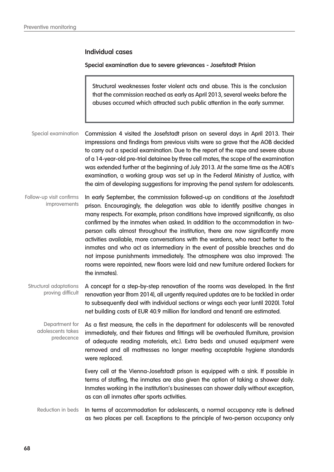# **Individual cases**

#### **Special examination due to severe grievances - Josefstadt Prision**

Structural weaknesses foster violent acts and abuse. This is the conclusion that the commission reached as early as April 2013, several weeks before the abuses occurred which attracted such public attention in the early summer.

Commission 4 visited the Josefstadt prison on several days in April 2013. Their impressions and findings from previous visits were so grave that the AOB decided to carry out a special examination. Due to the report of the rape and severe abuse of a 14-year-old pre-trial detainee by three cell mates, the scope of the examination was extended further at the beginning of July 2013. At the same time as the AOB's examination, a working group was set up in the Federal Ministry of Justice, with the aim of developing suggestions for improving the penal system for adolescents. Special examination

In early September, the commission followed-up on conditions at the Josefstadt prison. Encouragingly, the delegation was able to identify positive changes in many respects. For example, prison conditions have improved significantly, as also confirmed by the inmates when asked. In addition to the accommodation in twoperson cells almost throughout the institution, there are now significantly more activities available, more conversations with the wardens, who react better to the inmates and who act as intermediary in the event of possible breaches and do not impose punishments immediately. The atmosphere was also improved: The rooms were repainted, new floors were laid and new furniture ordered (lockers for the inmates). Follow-up visit confirms improvements

A concept for a step-by-step renovation of the rooms was developed. In the first renovation year (from 2014), all urgently required updates are to be tackled in order to subsequently deal with individual sections or wings each year (until 2020). Total net building costs of EUR 40.9 million (for landlord and tenant) are estimated. Structural adaptations proving difficult

As a first measure, the cells in the department for adolescents will be renovated immediately, and their fixtures and fittings will be overhauled (furniture, provision of adequate reading materials, etc.). Extra beds and unused equipment were removed and all mattresses no longer meeting acceptable hygiene standards were replaced. Department for adolescents takes predecence

> Every cell at the Vienna-Josefstadt prison is equipped with a sink. If possible in terms of staffing, the inmates are also given the option of taking a shower daily. Inmates working in the institution's businesses can shower daily without exception, as can all inmates after sports activities.

In terms of accommodation for adolescents, a normal occupancy rate is defined as two places per cell. Exceptions to the principle of two-person occupancy only Reduction in beds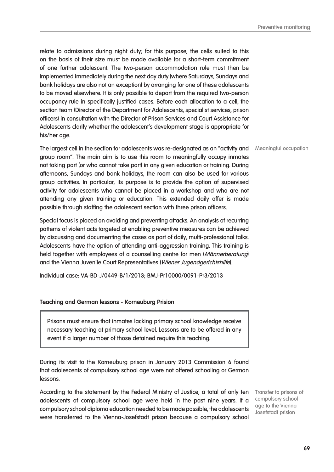relate to admissions during night duty; for this purpose, the cells suited to this on the basis of their size must be made available for a short-term commitment of one further adolescent. The two-person accommodation rule must then be implemented immediately during the next day duty (where Saturdays, Sundays and bank holidays are also not an exception) by arranging for one of these adolescents to be moved elsewhere. It is only possible to depart from the required two-person occupancy rule in specifically justified cases. Before each allocation to a cell, the section team (Director of the Department for Adolescents, specialist services, prison officers) in consultation with the Director of Prison Services and Court Assistance for Adolescents clarify whether the adolescent's development stage is appropriate for his/her age.

The largest cell in the section for adolescents was re-designated as an "activity and Meaningful occupation group room". The main aim is to use this room to meaningfully occupy inmates not taking part (or who cannot take part) in any given education or training. During afternoons, Sundays and bank holidays, the room can also be used for various group activities. In particular, its purpose is to provide the option of supervised activity for adolescents who cannot be placed in a workshop and who are not attending any given training or education. This extended daily offer is made possible through staffing the adolescent section with three prison officers.

Special focus is placed on avoiding and preventing attacks. An analysis of recurring patterns of violent acts targeted at enabling preventive measures can be achieved by discussing and documenting the cases as part of daily, multi-professional talks. Adolescents have the option of attending anti-aggression training. This training is held together with employees of a counselling centre for men (Männerberatung) and the Vienna Juvenile Court Representatives (Wiener Jugendgerichtshilfe).

Individual case: VA-BD-J/0449-B/1/2013; BMJ-Pr10000/0091-Pr3/2013

### **Teaching and German lessons - Korneuburg Prision**

Prisons must ensure that inmates lacking primary school knowledge receive necessary teaching at primary school level. Lessons are to be offered in any event if a larger number of those detained require this teaching.

During its visit to the Korneuburg prison in January 2013 Commission 6 found that adolescents of compulsory school age were not offered schooling or German lessons.

According to the statement by the Federal Ministry of Justice, a total of only ten adolescents of compulsory school age were held in the past nine years. If a compulsory school diploma education needed to be made possible, the adolescents were transferred to the Vienna-Josefstadt prison because a compulsory school

Transfer to prisons of compulsory school age to the Vienna Josefstadt prision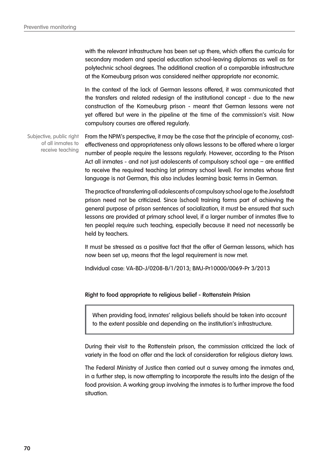with the relevant infrastructure has been set up there, which offers the curricula for secondary modern and special education school-leaving diplomas as well as for polytechnic school degrees. The additional creation of a comparable infrastructure at the Korneuburg prison was considered neither appropriate nor economic.

In the context of the lack of German lessons offered, it was communicated that the transfers and related redesign of the institutional concept - due to the new construction of the Korneuburg prison - meant that German lessons were not yet offered but were in the pipeline at the time of the commission's visit. Now compulsory courses are offered regularly.

From the NPM's perspective, it may be the case that the principle of economy, costeffectiveness and appropriateness only allows lessons to be offered where a larger number of people require the lessons regularly. However, according to the Prison Act all inmates - and not just adolescents of compulsory school age – are entitled to receive the required teaching (at primary school level). For inmates whose first language is not German, this also includes learning basic terms in German. Subjective, public right of all inmates to receive teaching

> The practice of transferring all adolescents of compulsory school age to the Josefstadt prison need not be criticized. Since (school) training forms part of achieving the general purpose of prison sentences of socialization, it must be ensured that such lessons are provided at primary school level, if a larger number of inmates (five to ten people) require such teaching, especially because it need not necessarily be held by teachers.

> It must be stressed as a positive fact that the offer of German lessons, which has now been set up, means that the legal requirement is now met.

Individual case: VA-BD-J/0208-B/1/2013; BMJ-Pr10000/0069-Pr 3/2013

#### **Right to food appropriate to religious belief - Rottenstein Prision**

When providing food, inmates' religious beliefs should be taken into account to the extent possible and depending on the institution's infrastructure.

During their visit to the Rottenstein prison, the commission criticized the lack of variety in the food on offer and the lack of consideration for religious dietary laws.

The Federal Ministry of Justice then carried out a survey among the inmates and, in a further step, is now attempting to incorporate the results into the design of the food provision. A working group involving the inmates is to further improve the food situation.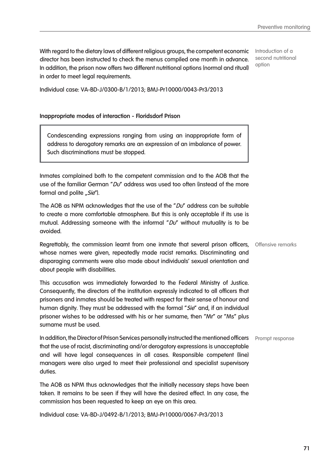With regard to the dietary laws of different religious groups, the competent economic director has been instructed to check the menus compiled one month in advance. In addition, the prison now offers two different nutritional options (normal and ritual) in order to meet legal requirements.

Introduction of a second nutritional option

Individual case: VA-BD-J/0300-B/1/2013; BMJ-Pr10000/0043-Pr3/2013

#### **Inappropriate modes of interaction - Floridsdorf Prison**

Condescending expressions ranging from using an inappropriate form of address to derogatory remarks are an expression of an imbalance of power. Such discriminations must be stopped.

Inmates complained both to the competent commission and to the AOB that the use of the familiar German " $DU'$  address was used too often (instead of the more formal and polite "Sie").

The AOB as NPM acknowledges that the use of the " $DU'$  address can be suitable to create a more comfortable atmosphere. But this is only acceptable if its use is mutual. Addressing someone with the informal " $DU'$  without mutuality is to be avoided.

Regrettably, the commission learnt from one inmate that several prison officers, Offensive remarks whose names were given, repeatedly made racist remarks. Discriminating and disparaging comments were also made about individuals' sexual orientation and about people with disabilities.

This accusation was immediately forwarded to the Federal Ministry of Justice. Consequently, the directors of the institution expressly indicated to all officers that prisoners and inmates should be treated with respect for their sense of honour and human dignity. They must be addressed with the formal "Sie" and, if an individual prisoner wishes to be addressed with his or her surname, then "Mr" or "Ms" plus surname must be used.

In addition, the Director of Prison Services personally instructed the mentioned officers Prompt response that the use of racist, discriminating and/or derogatory expressions is unacceptable and will have legal consequences in all cases. Responsible competent (line) managers were also urged to meet their professional and specialist supervisory duties.

The AOB as NPM thus acknowledges that the initially necessary steps have been taken. It remains to be seen if they will have the desired effect. In any case, the commission has been requested to keep an eye on this area.

Individual case: VA-BD-J/0492-B/1/2013; BMJ-Pr10000/0067-Pr3/2013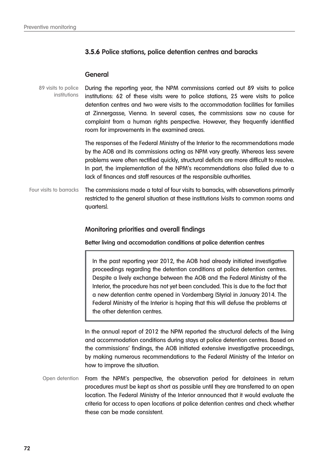# **3.5.6 Police stations, police detention centres and baracks**

### **General**

During the reporting year, the NPM commissions carried out 89 visits to police institutions: 62 of these visits were to police stations, 25 were visits to police detention centres and two were visits to the accommodation facilities for families at Zinnergasse, Vienna. In several cases, the commissions saw no cause for complaint from a human rights perspective. However, they frequently identified room for improvements in the examined areas. 89 visits to police institutions

> The responses of the Federal Ministry of the Interior to the recommendations made by the AOB and its commissions acting as NPM vary greatly. Whereas less severe problems were often rectified quickly, structural deficits are more difficult to resolve. In part, the implementation of the NPM's recommendations also failed due to a lack of finances and staff resources at the responsible authorities.

The commissions made a total of four visits to barracks, with observations primarily restricted to the general situation at these institutions (visits to common rooms and quarters). Four visits to barracks

# **Monitoring priorities and overall findings**

**Better living and accomodation conditions at police detention centres**

In the past reporting year 2012, the AOB had already initiated investigative proceedings regarding the detention conditions at police detention centres. Despite a lively exchange between the AOB and the Federal Ministry of the Interior, the procedure has not yet been concluded. This is due to the fact that a new detention centre opened in Vordernberg (Styria) in January 2014. The Federal Ministry of the Interior is hoping that this will defuse the problems at the other detention centres.

In the annual report of 2012 the NPM reported the structural defects of the living and accommodation conditions during stays at police detention centres. Based on the commissions' findings, the AOB initiated extensive investigative proceedings, by making numerous recommendations to the Federal Ministry of the Interior on how to improve the situation.

From the NPM's perspective, the observation period for detainees in return procedures must be kept as short as possible until they are transferred to an open location. The Federal Ministry of the Interior announced that it would evaluate the criteria for access to open locations at police detention centres and check whether these can be made consistent. Open detention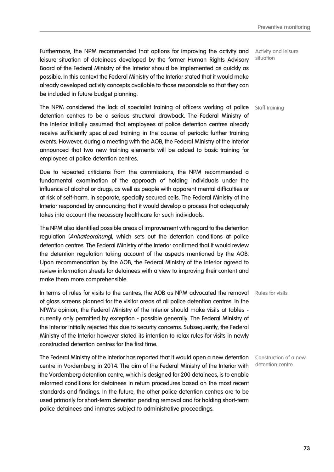Furthermore, the NPM recommended that options for improving the activity and leisure situation of detainees developed by the former Human Rights Advisory Board of the Federal Ministry of the Interior should be implemented as quickly as possible. In this context the Federal Ministry of the Interior stated that it would make already developed activity concepts available to those responsible so that they can be included in future budget planning.

The NPM considered the lack of specialist training of officers working at police detention centres to be a serious structural drawback. The Federal Ministry of the Interior initially assumed that employees at police detention centres already receive sufficiently specialized training in the course of periodic further training events. However, during a meeting with the AOB, the Federal Ministry of the Interior announced that two new training elements will be added to basic training for employees at police detention centres.

Due to repeated criticisms from the commissions, the NPM recommended a fundamental examination of the approach of holding individuals under the influence of alcohol or drugs, as well as people with apparent mental difficulties or at risk of self-harm, in separate, specially secured cells. The Federal Ministry of the Interior responded by announcing that it would develop a process that adequately takes into account the necessary healthcare for such individuals.

The NPM also identified possible areas of improvement with regard to the detention regulation (Anhalteordnung), which sets out the detention conditions at police detention centres. The Federal Ministry of the Interior confirmed that it would review the detention regulation taking account of the aspects mentioned by the AOB. Upon recommendation by the AOB, the Federal Ministry of the Interior agreed to review information sheets for detainees with a view to improving their content and make them more comprehensible.

In terms of rules for visits to the centres, the AOB as NPM advocated the removal Rules for visits of glass screens planned for the visitor areas of all police detention centres. In the NPM's opinion, the Federal Ministry of the Interior should make visits at tables currently only permitted by exception - possible generally. The Federal Ministry of the Interior initially rejected this due to security concerns. Subsequently, the Federal Ministry of the Interior however stated its intention to relax rules for visits in newly constructed detention centres for the first time.

The Federal Ministry of the Interior has reported that it would open a new detention Construction of a new centre in Vordernberg in 2014. The aim of the Federal Ministry of the Interior with the Vordernberg detention centre, which is designed for 200 detainees, is to enable reformed conditions for detainees in return procedures based on the most recent standards and findings. In the future, the other police detention centres are to be used primarily for short-term detention pending removal and for holding short-term police detainees and inmates subject to administrative proceedings.

Activity and leisure situation

Staff training

detention centre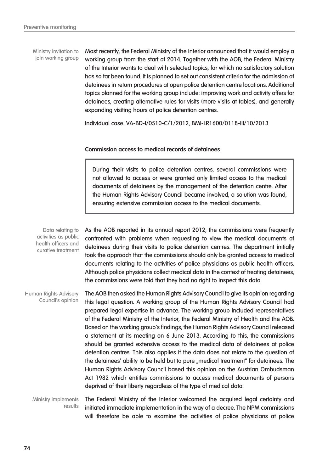Ministry invitation to join working group Most recently, the Federal Ministry of the Interior announced that it would employ a working group from the start of 2014. Together with the AOB, the Federal Ministry of the Interior wants to deal with selected topics, for which no satisfactory solution has so far been found. It is planned to set out consistent criteria for the admission of detainees in return procedures at open police detention centre locations. Additional topics planned for the working group include: improving work and activity offers for detainees, creating alternative rules for visits (more visits at tables), and generally expanding visiting hours at police detention centres.

Individual case: VA-BD-I/0510-C/1/2012, BMI-LR1600/0118-III/10/2013

#### **Commission access to medical records of detainees**

During their visits to police detention centres, several commissions were not allowed to access or were granted only limited access to the medical documents of detainees by the management of the detention centre. After the Human Rights Advisory Council became involved, a solution was found, ensuring extensive commission access to the medical documents.

As the AOB reported in its annual report 2012, the commissions were frequently confronted with problems when requesting to view the medical documents of detainees during their visits to police detention centres. The department initially took the approach that the commissions should only be granted access to medical documents relating to the activities of police physicians as public health officers. Although police physicians collect medical data in the context of treating detainees, the commissions were told that they had no right to inspect this data. The AOB then asked the Human Rights Advisory Council to give its opinion regarding this legal question. A working group of the Human Rights Advisory Council had prepared legal expertise in advance. The working group included representatives of the Federal Ministry of the Interior, the Federal Ministry of Health and the AOB. Based on the working group's findings, the Human Rights Advisory Council released a statement at its meeting on 6 June 2013. According to this, the commissions should be granted extensive access to the medical data of detainees at police detention centres. This also applies if the data does not relate to the question of the detainees' ability to be held but to pure "medical treatment" for detainees. The Human Rights Advisory Council based this opinion on the Austrian Ombudsman Act 1982 which entitles commissions to access medical documents of persons deprived of their liberty regardless of the type of medical data. The Federal Ministry of the Interior welcomed the acquired legal certainty and Data relating to activities as public health officers and curative treatment Human Rights Advisory Council's opinion Ministry implements

initiated immediate implementation in the way of a decree. The NPM commissions will therefore be able to examine the activities of police physicians at police results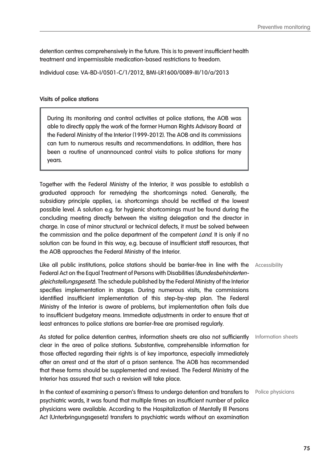detention centres comprehensively in the future. This is to prevent insufficient health treatment and impermissible medication-based restrictions to freedom.

Individual case: VA-BD-I/0501-C/1/2012, BMI-LR1600/0089-III/10/a/2013

#### **Visits of police stations**

During its monitoring and control activities at police stations, the AOB was able to directly apply the work of the former Human Rights Advisory Board at the Federal Ministry of the Interior (1999-2012). The AOB and its commissions can turn to numerous results and recommendations. In addition, there has been a routine of unannounced control visits to police stations for many years.

Together with the Federal Ministry of the Interior, it was possible to establish a graduated approach for remedying the shortcomings noted. Generally, the subsidiary principle applies, i.e. shortcomings should be rectified at the lowest possible level. A solution e.g. for hygienic shortcomings must be found during the concluding meeting directly between the visiting delegation and the director in charge. In case of minor structural or technical defects, it must be solved between the commission and the police department of the competent Land. It is only if no solution can be found in this way, e.g. because of insufficient staff resources, that the AOB approaches the Federal Ministry of the Interior.

Like all public institutions, police stations should be barrier-free in line with the Accessibility Federal Act on the Equal Treatment of Persons with Disabilities (Bundesbehindertengleichstellungsgesetz. The schedule published by the Federal Ministry of the Interior specifies implementation in stages. During numerous visits, the commissions identified insufficient implementation of this step-by-step plan. The Federal Ministry of the Interior is aware of problems, but implementation often fails due to insufficient budgetary means. Immediate adjustments in order to ensure that at least entrances to police stations are barrier-free are promised regularly.

As stated for police detention centres, information sheets are also not sufficiently Information sheets clear in the area of police stations. Substantive, comprehensible information for those affected regarding their rights is of key importance, especially immediately after an arrest and at the start of a prison sentence. The AOB has recommended that these forms should be supplemented and revised. The Federal Ministry of the Interior has assured that such a revision will take place.

In the context of examining a person's fitness to undergo detention and transfers to Police physicians psychiatric wards, it was found that multiple times an insufficient number of police physicians were available. According to the Hospitalization of Mentally Ill Persons Act (Unterbringungsgesetz) transfers to psychiatric wards without an examination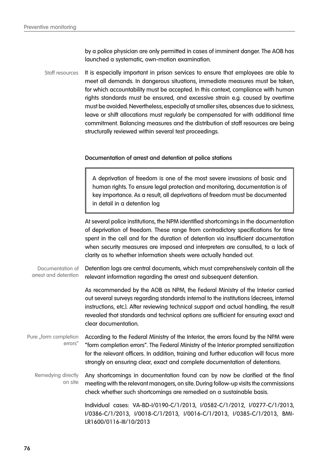by a police physician are only permitted in cases of imminent danger. The AOB has launched a systematic, own-motion examination.

It is especially important in prison services to ensure that employees are able to meet all demands. In dangerous situations, immediate measures must be taken, for which accountability must be accepted. In this context, compliance with human rights standards must be ensured, and excessive strain e.g. caused by overtime must be avoided. Nevertheless, especially at smaller sites, absences due to sickness, leave or shift allocations must regularly be compensated for with additional time commitment. Balancing measures and the distribution of staff resources are being structurally reviewed within several test proceedings. Staff resources

#### **Documentation of arrest and detention at police stations**

A deprivation of freedom is one of the most severe invasions of basic and human rights. To ensure legal protection and monitoring, documentation is of key importance. As a result, all deprivations of freedom must be documented in detail in a detention log

At several police institutions, the NPM identified shortcomings in the documentation of deprivation of freedom. These range from contradictory specifications for time spent in the cell and for the duration of detention via insufficient documentation when security measures are imposed and interpreters are consulted, to a lack of clarity as to whether information sheets were actually handed out.

Detention logs are central documents, which must comprehensively contain all the relevant information regarding the arrest and subsequent detention. Documentation of arrest and detention

> As recommended by the AOB as NPM, the Federal Ministry of the Interior carried out several surveys regarding standards internal to the institutions (decrees, internal instructions, etc.). After reviewing technical support and actual handling, the result revealed that standards and technical options are sufficient for ensuring exact and clear documentation.

According to the Federal Ministry of the Interior, the errors found by the NPM were "form completion errors". The Federal Ministry of the Interior prompted sensitization for the relevant officers. In addition, training and further education will focus more strongly on ensuring clear, exact and complete documentation of detentions. Pure "form completion errors"

Any shortcomings in documentation found can by now be clarified at the final meeting with the relevant managers, on site. During follow-up visits the commissions check whether such shortcomings are remedied on a sustainable basis. Remedying directly on site

> Individual cases: VA-BD-I/0190-C/1/2013, I/0582-C/1/2012, I/0277-C/1/2013, I/0386-C/1/2013, I/0018-C/1/2013, I/0016-C/1/2013, I/0385-C/1/2013, BMI-LR1600/0116-III/10/2013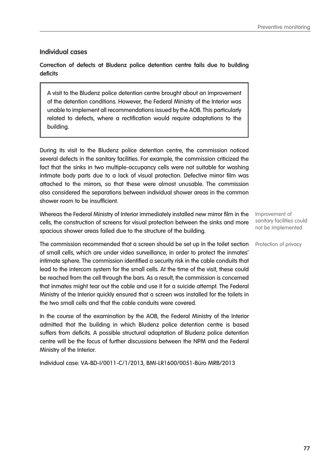# **Individual cases**

**Correction of defects at Bludenz police detention centre fails due to building deficits**

A visit to the Bludenz police detention centre brought about an improvement of the detention conditions. However, the Federal Ministry of the Interior was unable to implement all recommendations issued by the AOB. This particularly related to defects, where a rectification would require adaptations to the building.

During its visit to the Bludenz police detention centre, the commission noticed several defects in the sanitary facilities. For example, the commission criticized the fact that the sinks in two multiple-occupancy cells were not suitable for washing intimate body parts due to a lack of visual protection. Defective mirror film was attached to the mirrors, so that these were almost unusable. The commission also considered the separations between individual shower areas in the common shower room to be insufficient.

Whereas the Federal Ministry of Interior immediately installed new mirror film in the cells, the construction of screens for visual protection between the sinks and more spacious shower areas failed due to the structure of the building.

**The commission recommended that a screen should be set up in the toilet section** Protection of privacy of small cells, which are under video surveillance, in order to protect the inmates' intimate sphere. The commission identified a security risk in the cable conduits that lead to the intercom system for the small cells. At the time of the visit, these could be reached from the cell through the bars. As a result, the commission is concerned that inmates might tear out the cable and use it for a suicide attempt. The Federal Ministry of the Interior quickly ensured that a screen was installed for the toilets in the two small cells and that the cable conduits were covered.

In the course of the examination by the AOB, the Federal Ministry of the Interior admitted that the building in which Bludenz police detention centre is based suffers from deficits. A possible structural adaptation of Bludenz police detention centre will be the focus of further discussions between the NPM and the Federal Ministry of the Interior.

Individual case: VA-BD-I/0011-C/1/2013, BMI-LR1600/0051-Büro MRB/2013

Improvement of sanitary facilities could not be implemented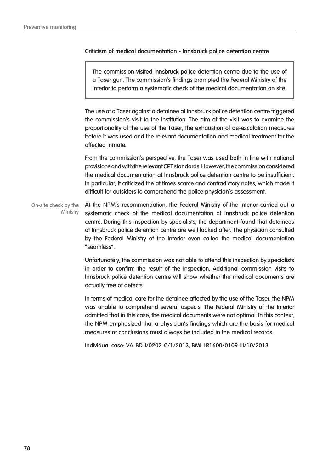#### **Criticism of medical documentation - Innsbruck police detention centre**

The commission visited Innsbruck police detention centre due to the use of a Taser gun. The commission's findings prompted the Federal Ministry of the Interior to perform a systematic check of the medical documentation on site.

The use of a Taser against a detainee at Innsbruck police detention centre triggered the commission's visit to the institution. The aim of the visit was to examine the proportionality of the use of the Taser, the exhaustion of de-escalation measures before it was used and the relevant documentation and medical treatment for the affected inmate.

From the commission's perspective, the Taser was used both in line with national provisions and with the relevant CPT standards. However, the commission considered the medical documentation at Innsbruck police detention centre to be insufficient. In particular, it criticized the at times scarce and contradictory notes, which made it difficult for outsiders to comprehend the police physician's assessment.

At the NPM's recommendation, the Federal Ministry of the Interior carried out a systematic check of the medical documentation at Innsbruck police detention centre. During this inspection by specialists, the department found that detainees at Innsbruck police detention centre are well looked after. The physician consulted by the Federal Ministry of the Interior even called the medical documentation "seamless". On-site check by the **Ministry** 

> Unfortunately, the commission was not able to attend this inspection by specialists in order to confirm the result of the inspection. Additional commission visits to Innsbruck police detention centre will show whether the medical documents are actually free of defects.

> In terms of medical care for the detainee affected by the use of the Taser, the NPM was unable to comprehend several aspects. The Federal Ministry of the Interior admitted that in this case, the medical documents were not optimal. In this context, the NPM emphasized that a physician's findings which are the basis for medical measures or conclusions must always be included in the medical records.

Individual case: VA-BD-I/0202-C/1/2013, BMI-LR1600/0109-III/10/2013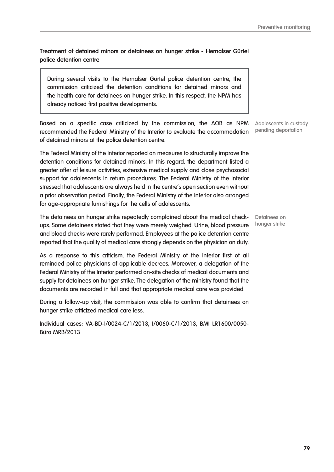**Treatment of detained minors or detainees on hunger strike - Hernalser Gürtel police detention centre**

During several visits to the Hernalser Gürtel police detention centre, the commission criticized the detention conditions for detained minors and the health care for detainees on hunger strike. In this respect, the NPM has already noticed first positive developments.

Based on a specific case criticized by the commission, the AOB as NPM recommended the Federal Ministry of the Interior to evaluate the accommodation of detained minors at the police detention centre.

The Federal Ministry of the Interior reported on measures to structurally improve the detention conditions for detained minors. In this regard, the department listed a greater offer of leisure activities, extensive medical supply and close psychosocial support for adolescents in return procedures. The Federal Ministry of the Interior stressed that adolescents are always held in the centre's open section even without a prior observation period. Finally, the Federal Ministry of the Interior also arranged for age-appropriate furnishings for the cells of adolescents.

The detainees on hunger strike repeatedly complained about the medical checkups. Some detainees stated that they were merely weighed. Urine, blood pressure and blood checks were rarely performed. Employees at the police detention centre reported that the quality of medical care strongly depends on the physician on duty.

As a response to this criticism, the Federal Ministry of the Interior first of all reminded police physicians of applicable decrees. Moreover, a delegation of the Federal Ministry of the Interior performed on-site checks of medical documents and supply for detainees on hunger strike. The delegation of the ministry found that the documents are recorded in full and that appropriate medical care was provided.

During a follow-up visit, the commission was able to confirm that detainees on hunger strike criticized medical care less.

Individual cases: VA-BD-I/0024-C/1/2013, I/0060-C/1/2013, BMI LR1600/0050- Büro MRB/2013

Adolescents in custody pending deportation

Detainees on hunger strike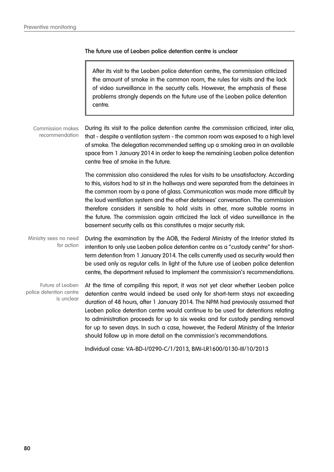#### **The future use of Leoben police detention centre is unclear**

After its visit to the Leoben police detention centre, the commission criticized the amount of smoke in the common room, the rules for visits and the lack of video surveillance in the security cells. However, the emphasis of these problems strongly depends on the future use of the Leoben police detention centre.

During its visit to the police detention centre the commission criticized, inter alia, that - despite a ventilation system - the common room was exposed to a high level of smoke. The delegation recommended setting up a smoking area in an available space from 1 January 2014 in order to keep the remaining Leoben police detention centre free of smoke in the future. Commission makes recommendation

> The commission also considered the rules for visits to be unsatisfactory. According to this, visitors had to sit in the hallways and were separated from the detainees in the common room by a pane of glass. Communication was made more difficult by the loud ventilation system and the other detainees' conversation. The commission therefore considers it sensible to hold visits in other, more suitable rooms in the future. The commission again criticized the lack of video surveillance in the basement security cells as this constitutes a major security risk.

During the examination by the AOB, the Federal Ministry of the Interior stated its intention to only use Leoben police detention centre as a "custody centre" for shortterm detention from 1 January 2014. The cells currently used as security would then be used only as regular cells. In light of the future use of Leoben police detention centre, the department refused to implement the commission's recommendations. Ministry sees no need for action

At the time of compiling this report, it was not yet clear whether Leoben police detention centre would indeed be used only for short-term stays not exceeding duration of 48 hours, after 1 January 2014. The NPM had previously assumed that Leoben police detention centre would continue to be used for detentions relating to administration proceeds for up to six weeks and for custody pending removal for up to seven days. In such a case, however, the Federal Ministry of the Interior should follow up in more detail on the commission's recommendations. Future of Leoben police detention centre is unclear

Individual case: VA-BD-I/0290-C/1/2013, BMI-LR1600/0130-III/10/2013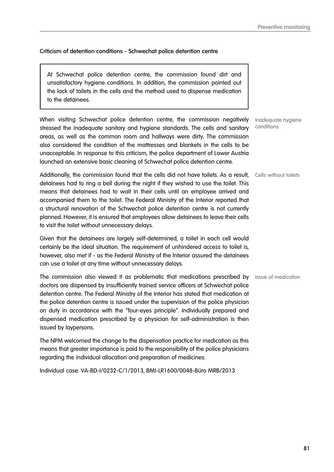#### **Criticism of detention conditions - Schwechat police detention centre**

At Schwechat police detention centre, the commission found dirt and unsatisfactory hygiene conditions. In addition, the commission pointed out the lack of toilets in the cells and the method used to dispense medication to the detainees.

When visiting Schwechat police detention centre, the commission negatively stressed the inadequate sanitary and hygiene standards. The cells and sanitary areas, as well as the common room and hallways were dirty. The commission also considered the condition of the mattresses and blankets in the cells to be unacceptable. In response to this criticism, the police department of Lower Austria launched an extensive basic cleaning of Schwechat police detention centre.

Additionally, the commission found that the cells did not have toilets. As a result, Cells without toilets detainees had to ring a bell during the night if they wished to use the toilet. This means that detainees had to wait in their cells until an employee arrived and accompanied them to the toilet. The Federal Ministry of the Interior reported that a structural renovation of the Schwechat police detention centre is not currently planned. However, it is ensured that employees allow detainees to leave their cells to visit the toilet without unnecessary delays.

Given that the detainees are largely self-determined, a toilet in each cell would certainly be the ideal situation. The requirement of unhindered access to toilet is, however, also met if - as the Federal Ministry of the Interior assured the detainees can use a toilet at any time without unnecessary delays.

The commission also viewed it as problematic that medications prescribed by Issue of medication doctors are dispensed by insufficiently trained service officers at Schwechat police detention centre. The Federal Ministry of the Interior has stated that medication at the police detention centre is issued under the supervision of the police physician on duty in accordance with the "four-eyes principle". Individually prepared and dispensed medication prescribed by a physician for self-administration is then issued by laypersons.

The NPM welcomed the change to the dispensation practice for medication as this means that greater importance is paid to the responsibility of the police physicians regarding the individual allocation and preparation of medicines.

Individual case: VA-BD-I/0232-C/1/2013, BMI-LR1600/0048-Büro MRB/2013

Inadequate hygiene conditions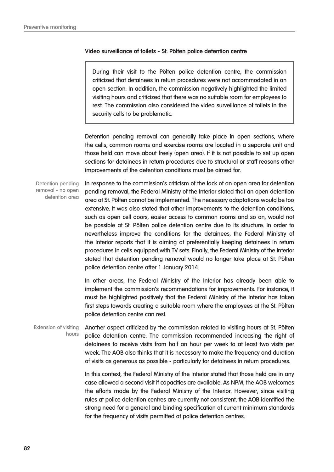#### **Video surveillance of toilets - St. Pölten police detention centre**

During their visit to the Pölten police detention centre, the commission criticized that detainees in return procedures were not accommodated in an open section. In addition, the commission negatively highlighted the limited visiting hours and criticized that there was no suitable room for employees to rest. The commission also considered the video surveillance of toilets in the security cells to be problematic.

Detention pending removal can generally take place in open sections, where the cells, common rooms and exercise rooms are located in a separate unit and those held can move about freely (open area). If it is not possible to set up open sections for detainees in return procedures due to structural or staff reasons other improvements of the detention conditions must be aimed for.

In response to the commission's criticism of the lack of an open area for detention pending removal, the Federal Ministry of the Interior stated that an open detention area at St. Pölten cannot be implemented. The necessary adaptations would be too extensive. It was also stated that other improvements to the detention conditions, such as open cell doors, easier access to common rooms and so on, would not be possible at St. Pölten police detention centre due to its structure. In order to nevertheless improve the conditions for the detainees, the Federal Ministry of the Interior reports that it is aiming at preferentially keeping detainees in return procedures in cells equipped with TV sets. Finally, the Federal Ministry of the Interior stated that detention pending removal would no longer take place at St. Pölten police detention centre after 1 January 2014. Detention pending removal - no open detention area

> In other areas, the Federal Ministry of the Interior has already been able to implement the commission's recommendations for improvements. For instance, it must be highlighted positively that the Federal Ministry of the Interior has taken first steps towards creating a suitable room where the employees at the St. Pölten police detention centre can rest.

Another aspect criticized by the commission related to visiting hours at St. Pölten police detention centre. The commission recommended increasing the right of detainees to receive visits from half an hour per week to at least two visits per week. The AOB also thinks that it is necessary to make the frequency and duration of visits as generous as possible - particularly for detainees in return procedures. Extension of visiting hours

> In this context, the Federal Ministry of the Interior stated that those held are in any case allowed a second visit if capacities are available. As NPM, the AOB welcomes the efforts made by the Federal Ministry of the Interior. However, since visiting rules at police detention centres are currently not consistent, the AOB identified the strong need for a general and binding specification of current minimum standards for the frequency of visits permitted at police detention centres.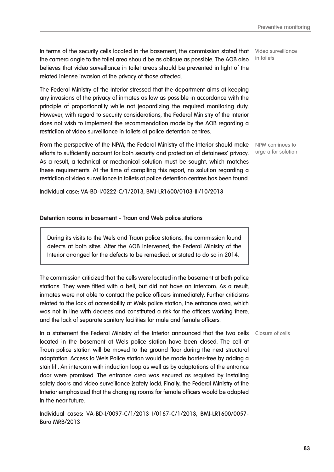In terms of the security cells located in the basement, the commission stated that the camera angle to the toilet area should be as oblique as possible. The AOB also believes that video surveillance in toilet areas should be prevented in light of the related intense invasion of the privacy of those affected.

The Federal Ministry of the Interior stressed that the department aims at keeping any invasions of the privacy of inmates as low as possible in accordance with the principle of proportionality while not jeopardizing the required monitoring duty. However, with regard to security considerations, the Federal Ministry of the Interior does not wish to implement the recommendation made by the AOB regarding a restriction of video surveillance in toilets at police detention centres.

From the perspective of the NPM, the Federal Ministry of the Interior should make NPM continues to efforts to sufficiently account for both security and protection of detainees' privacy. As a result, a technical or mechanical solution must be sought, which matches these requirements. At the time of compiling this report, no solution regarding a restriction of video surveillance in toilets at police detention centres has been found.

Individual case: VA-BD-I/0222-C/1/2013, BMI-LR1600/0103-III/10/2013

#### **Detention rooms in basement - Traun and Wels police stations**

During its visits to the Wels and Traun police stations, the commission found defects at both sites. After the AOB intervened, the Federal Ministry of the Interior arranged for the defects to be remedied, or stated to do so in 2014.

The commission criticized that the cells were located in the basement at both police stations. They were fitted with a bell, but did not have an intercom. As a result, inmates were not able to contact the police officers immediately. Further criticisms related to the lack of accessibility at Wels police station, the entrance area, which was not in line with decrees and constituted a risk for the officers working there, and the lack of separate sanitary facilities for male and female officers.

In a statement the Federal Ministry of the Interior announced that the two cells Closure of cells located in the basement at Wels police station have been closed. The cell at Traun police station will be moved to the ground floor during the next structural adaptation. Access to Wels Police station would be made barrier-free by adding a stair lift. An intercom with induction loop as well as by adaptations of the entrance door were promised. The entrance area was secured as required by installing safety doors and video surveillance (safety lock). Finally, the Federal Ministry of the Interior emphasized that the changing rooms for female officers would be adapted in the near future.

Individual cases: VA-BD-I/0097-C/1/2013 I/0167-C/1/2013, BMI-LR1600/0057- Büro MRB/2013

Video surveillance in toilets

urge a for solution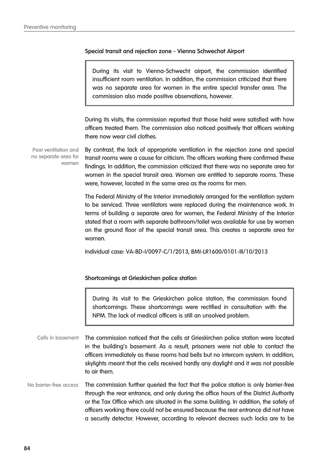#### **Special transit and rejection zone - Vienna Schwechat Airport**

During its visit to Vienna-Schwecht airport, the commission identified insufficient room ventilation. In addition, the commission criticized that there was no separate area for women in the entire special transfer area. The commission also made positive observations, however.

During its visits, the commission reported that those held were satisfied with how officers treated them. The commission also noticed positively that officers working there now wear civil clothes.

Poor ventilation and no separate area for women

By contrast, the lack of appropriate ventilation in the rejection zone and special transit rooms were a cause for criticism. The officers working there confirmed these findings. In addition, the commission criticized that there was no separate area for women in the special transit area. Women are entitled to separate rooms. These were, however, located in the same area as the rooms for men.

The Federal Ministry of the Interior immediately arranged for the ventilation system to be serviced. Three ventilators were replaced during the maintenance work. In terms of building a separate area for women, the Federal Ministry of the Interior stated that a room with separate bathroom/toilet was available for use by women on the ground floor of the special transit area. This creates a separate area for women.

Individual case: VA-BD-I/0097-C/1/2013, BMI-LR1600/0101-III/10/2013

#### **Shortcomings at Grieskirchen police station**

During its visit to the Grieskirchen police station, the commission found shortcomings. These shortcomings were rectified in consultation with the NPM. The lack of medical officers is still an unsolved problem.

- The commission noticed that the cells at Grieskirchen police station were located in the building's basement. As a result, prisoners were not able to contact the officers immediately as these rooms had bells but no intercom system. In addition, skylights meant that the cells received hardly any daylight and it was not possible to air them. Cells in basement
- The commission further queried the fact that the police station is only barrier-free through the rear entrance, and only during the office hours of the District Authority or the Tax Office which are situated in the same building. In addition, the safety of officers working there could not be ensured because the rear entrance did not have a security detector. However, according to relevant decrees such locks are to be No barrier-free access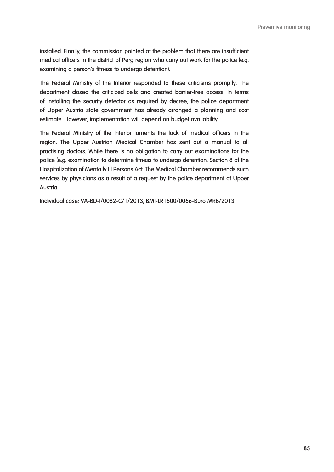installed. Finally, the commission pointed at the problem that there are insufficient medical officers in the district of Perg region who carry out work for the police (e.g. examining a person's fitness to undergo detention).

The Federal Ministry of the Interior responded to these criticisms promptly. The department closed the criticized cells and created barrier-free access. In terms of installing the security detector as required by decree, the police department of Upper Austria state government has already arranged a planning and cost estimate. However, implementation will depend on budget availability.

The Federal Ministry of the Interior laments the lack of medical officers in the region. The Upper Austrian Medical Chamber has sent out a manual to all practising doctors. While there is no obligation to carry out examinations for the police (e.g. examination to determine fitness to undergo detention, Section 8 of the Hospitalization of Mentally Ill Persons Act. The Medical Chamber recommends such services by physicians as a result of a request by the police department of Upper Austria.

Individual case: VA-BD-I/0082-C/1/2013, BMI-LR1600/0066-Büro MRB/2013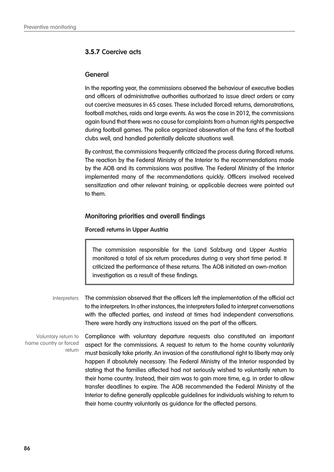# **3.5.7 Coercive acts**

#### **General**

In the reporting year, the commissions observed the behaviour of executive bodies and officers of administrative authorities authorized to issue direct orders or carry out coercive measures in 65 cases. These included (forced) returns, demonstrations, football matches, raids and large events. As was the case in 2012, the commissions again found that there was no cause for complaints from a human rights perspective during football games. The police organized observation of the fans of the football clubs well, and handled potentially delicate situations well.

By contrast, the commissions frequently criticized the process during (forced) returns. The reaction by the Federal Ministry of the Interior to the recommendations made by the AOB and its commissions was positive. The Federal Ministry of the Interior implemented many of the recommendations quickly. Officers involved received sensitization and other relevant training, or applicable decrees were pointed out to them.

### **Monitoring priorities and overall findings**

#### **(Forced) returns in Upper Austria**

The commission responsible for the Land Salzburg and Upper Austria monitored a total of six return procedures during a very short time period. It criticized the performance of these returns. The AOB initiated an own-motion investigation as a result of these findings.

The commission observed that the officers left the implementation of the official act to the interpreters. In other instances, the interpreters failed to interpret conversations with the affected parties, and instead at times had independent conversations. There were hardly any instructions issued on the part of the officers. **Interpreters** 

Voluntary return to home country or forced return

Compliance with voluntary departure requests also constituted an important aspect for the commissions. A request to return to the home country voluntarily must basically take priority. An invasion of the constitutional right to liberty may only happen if absolutely necessary. The Federal Ministry of the Interior responded by stating that the families affected had not seriously wished to voluntarily return to their home country. Instead, their aim was to gain more time, e.g. in order to allow transfer deadlines to expire. The AOB recommended the Federal Ministry of the Interior to define generally applicable guidelines for individuals wishing to return to their home country voluntarily as guidance for the affected persons.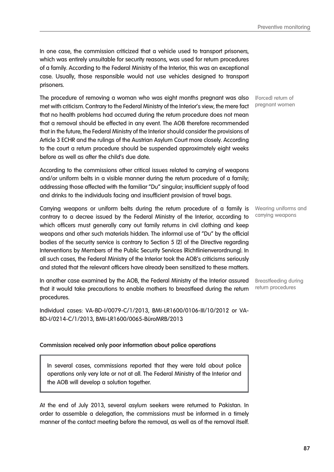In one case, the commission criticized that a vehicle used to transport prisoners, which was entirely unsuitable for security reasons, was used for return procedures of a family. According to the Federal Ministry of the Interior, this was an exceptional case. Usually, those responsible would not use vehicles designed to transport prisoners.

The procedure of removing a woman who was eight months pregnant was also (Forced) return of met with criticism. Contrary to the Federal Ministry of the Interior's view, the mere fact that no health problems had occurred during the return procedure does not mean that a removal should be effected in any event. The AOB therefore recommended that in the future, the Federal Ministry of the Interior should consider the provisions of Article 3 ECHR and the rulings of the Austrian Asylum Court more closely. According to the court a return procedure should be suspended approximately eight weeks before as well as after the child's due date.

According to the commissions other critical issues related to carrying of weapons and/or uniform belts in a visible manner during the return procedure of a family; addressing those affected with the familiar "Du" singular; insufficient supply of food and drinks to the individuals facing and insufficient provision of travel bags.

Carrying weapons or uniform belts during the return procedure of a family is contrary to a decree issued by the Federal Ministry of the Interior, according to which officers must generally carry out family returns in civil clothing and keep weapons and other such materials hidden. The informal use of "Du" by the official bodies of the security service is contrary to Section 5 (2) of the Directive regarding Interventions by Members of the Public Security Services (Richtlinienverordnung). In all such cases, the Federal Ministry of the Interior took the AOB's criticisms seriously and stated that the relevant officers have already been sensitized to these matters.

In another case examined by the AOB, the Federal Ministry of the Interior assured that it would take precautions to enable mothers to breastfeed during the return procedures.

Individual cases: VA-BD-I/0079-C/1/2013, BMI-LR1600/0106-III/10/2012 or VA-BD-I/0214-C/1/2013, BMI-LR1600/0065-BüroMRB/2013

#### **Commission received only poor information about police operations**

In several cases, commissions reported that they were told about police operations only very late or not at all. The Federal Ministry of the Interior and the AOB will develop a solution together.

At the end of July 2013, several asylum seekers were returned to Pakistan. In order to assemble a delegation, the commissions must be informed in a timely manner of the contact meeting before the removal, as well as of the removal itself.

pregnant women

Wearing uniforms and carrying weapons

Breastfeeding during return procedures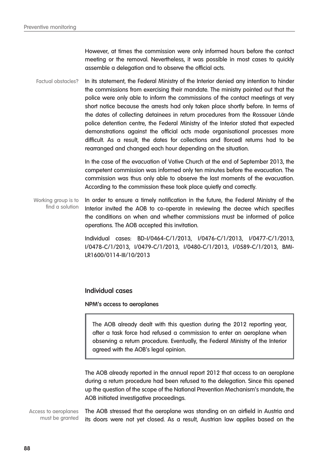However, at times the commission were only informed hours before the contact meeting or the removal. Nevertheless, it was possible in most cases to quickly assemble a delegation and to observe the official acts.

In its statement, the Federal Ministry of the Interior denied any intention to hinder the commissions from exercising their mandate. The ministry pointed out that the police were only able to inform the commissions of the contact meetings at very short notice because the arrests had only taken place shortly before. In terms of the dates of collecting detainees in return procedures from the Rossauer Lände police detention centre, the Federal Ministry of the Interior stated that expected demonstrations against the official acts made organisational processes more difficult. As a result, the dates for collections and (forced) returns had to be rearranged and changed each hour depending on the situation. Factual obstacles?

> In the case of the evacuation of Votive Church at the end of September 2013, the competent commission was informed only ten minutes before the evacuation. The commission was thus only able to observe the last moments of the evacuation. According to the commission these took place quietly and correctly.

In order to ensure a timely notification in the future, the Federal Ministry of the Interior invited the AOB to co-operate in reviewing the decree which specifies the conditions on when and whether commissions must be informed of police operations. The AOB accepted this invitation. Working group is to find a solution

> Individual cases: BD-I/0464-C/1/2013, I/0476-C/1/2013, I/0477-C/1/2013, I/0478-C/1/2013, I/0479-C/1/2013, I/0480-C/1/2013, I/0589-C/1/2013, BMI-LR1600/0114-III/10/2013

#### **Individual cases**

#### **NPM's access to aeroplanes**

The AOB already dealt with this question during the 2012 reporting year, after a task force had refused a commission to enter an aeroplane when observing a return procedure. Eventually, the Federal Ministry of the Interior agreed with the AOB's legal opinion.

The AOB already reported in the annual report 2012 that access to an aeroplane during a return procedure had been refused to the delegation. Since this opened up the question of the scope of the National Prevention Mechanism's mandate, the AOB initiated investigative proceedings.

The AOB stressed that the aeroplane was standing on an airfield in Austria and its doors were not yet closed. As a result, Austrian law applies based on the Access to aeroplanes must be granted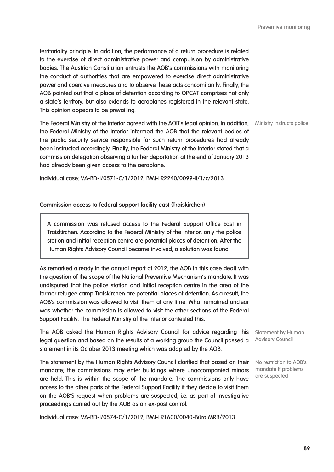**89**

Preventive monitoring

territoriality principle. In addition, the performance of a return procedure is related to the exercise of direct administrative power and compulsion by administrative bodies. The Austrian Constitution entrusts the AOB's commissions with monitoring the conduct of authorities that are empowered to exercise direct administrative power and coercive measures and to observe these acts concomitantly. Finally, the AOB pointed out that a place of detention according to OPCAT comprises not only a state's territory, but also extends to aeroplanes registered in the relevant state. This opinion appears to be prevailing.

The Federal Ministry of the Interior agreed with the AOB's legal opinion. In addition, Ministry instructs police the Federal Ministry of the Interior informed the AOB that the relevant bodies of the public security service responsible for such return procedures had already been instructed accordingly. Finally, the Federal Ministry of the Interior stated that a commission delegation observing a further deportation at the end of January 2013 had already been given access to the aeroplane.

Individual case: VA-BD-I/0571-C/1/2012, BMI-LR2240/0099-II/1/c/2013

#### **Commission access to federal support facility east (Traiskirchen)**

A commission was refused access to the Federal Support Office East in Traiskirchen. According to the Federal Ministry of the Interior, only the police station and initial reception centre are potential places of detention. After the Human Rights Advisory Council became involved, a solution was found.

As remarked already in the annual report of 2012, the AOB in this case dealt with the question of the scope of the National Preventive Mechanism's mandate. It was undisputed that the police station and initial reception centre in the area of the former refugee camp Traiskirchen are potential places of detention. As a result, the AOB's commission was allowed to visit them at any time. What remained unclear was whether the commission is allowed to visit the other sections of the Federal Support Facility. The Federal Ministry of the Interior contested this.

The AOB asked the Human Rights Advisory Council for advice regarding this legal question and based on the results of a working group the Council passed a statement in its October 2013 meeting which was adopted by the AOB.

The statement by the Human Rights Advisory Council clarified that based on their mandate; the commissions may enter buildings where unaccompanied minors are held. This is within the scope of the mandate. The commissions only have access to the other parts of the Federal Support Facility if they decide to visit them on the AOB'S request when problems are suspected, i.e. as part of investigative proceedings carried out by the AOB as an ex-post control.

Individual case: VA-BD-I/0574-C/1/2012, BMI-LR1600/0040-Büro MRB/2013

Statement by Human Advisory Council

No restriction to AOB's mandate if problems are suspected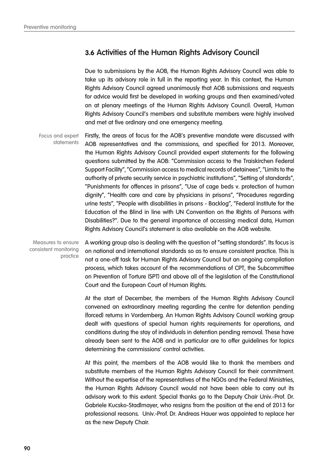# **3.6 Activities of the Human Rights Advisory Council**

Due to submissions by the AOB, the Human Rights Advisory Council was able to take up its advisory role in full in the reporting year. In this context, the Human Rights Advisory Council agreed unanimously that AOB submissions and requests for advice would first be developed in working groups and then examined/voted on at plenary meetings of the Human Rights Advisory Council. Overall, Human Rights Advisory Council's members and substitute members were highly involved and met at five ordinary and one emergency meeting.

Firstly, the areas of focus for the AOB's preventive mandate were discussed with AOB representatives and the commissions, and specified for 2013. Moreover, the Human Rights Advisory Council provided expert statements for the following questions submitted by the AOB: "Commission access to the Traiskirchen Federal Support Facility", "Commission access to medical records of detainees", "Limits to the authority of private security service in psychiatric institutions", "Setting of standards", "Punishments for offences in prisons", "Use of cage beds v. protection of human dignity", "Health care and care by physicians in prisons", "Procedures regarding urine tests", "People with disabilities in prisons - Backlog", "Federal Institute for the Education of the Blind in line with UN Convention on the Rights of Persons with Disabilities?". Due to the general importance of accessing medical data, Human Rights Advisory Council's statement is also available on the AOB website. Focus and expert **statements** 

Measures to ensure consistent monitoring practice

A working group also is dealing with the question of "setting standards". Its focus is on national and international standards so as to ensure consistent practice. This is not a one-off task for Human Rights Advisory Council but an ongoing compilation process, which takes account of the recommendations of CPT, the Subcommittee on Prevention of Torture (SPT) and above all of the legislation of the Constitutional Court and the European Court of Human Rights.

At the start of December, the members of the Human Rights Advisory Council convened an extraordinary meeting regarding the centre for detention pending (forced) returns in Vordernberg. An Human Rights Advisory Council working group dealt with questions of special human rights requirements for operations, and conditions during the stay of individuals in detention pending removal. These have already been sent to the AOB and in particular are to offer guidelines for topics determining the commissions' control activities.

At this point, the members of the AOB would like to thank the members and substitute members of the Human Rights Advisory Council for their commitment. Without the expertise of the representatives of the NGOs and the Federal Ministries, the Human Rights Advisory Council would not have been able to carry out its advisory work to this extent. Special thanks go to the Deputy Chair Univ.-Prof. Dr. Gabriele Kucsko-Stadlmayer, who resigns from the position at the end of 2013 for professional reasons. Univ.-Prof. Dr. Andreas Hauer was appointed to replace her as the new Deputy Chair.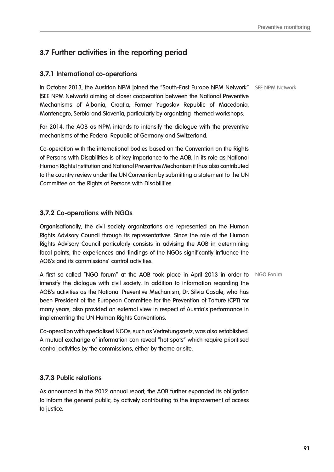# **3.7 Further activities in the reporting period**

### **3.7.1 International co-operations**

In October 2013, the Austrian NPM joined the "South-East Europe NPM Network" SEE NPM Network (SEE NPM Network) aiming at closer cooperation between the National Preventive Mechanisms of Albania, Croatia, Former Yugoslav Republic of Macedonia, Montenegro, Serbia and Slovenia, particularly by organizing themed workshops.

For 2014, the AOB as NPM intends to intensify the dialogue with the preventive mechanisms of the Federal Republic of Germany and Switzerland.

Co-operation with the international bodies based on the Convention on the Rights of Persons with Disabilities is of key importance to the AOB. In its role as National Human Rights Institution and National Preventive Mechanism it thus also contributed to the country review under the UN Convention by submitting a statement to the UN Committee on the Rights of Persons with Disabilities.

### **3.7.2 Co-operations with NGOs**

Organisationally, the civil society organizations are represented on the Human Rights Advisory Council through its representatives. Since the role of the Human Rights Advisory Council particularly consists in advising the AOB in determining focal points, the experiences and findings of the NGOs significantly influence the AOB's and its commissions' control activities.

**A first so-called "NGO forum" at the AOB took place in April 2013 in order to** MGO Forum intensify the dialogue with civil society. In addition to information regarding the AOB's activities as the National Preventive Mechanism, Dr. Silvia Casale, who has been President of the European Committee for the Prevention of Torture (CPT) for many years, also provided an external view in respect of Austria's performance in implementing the UN Human Rights Conventions.

Co-operation with specialised NGOs, such as Vertretungsnetz, was also established. A mutual exchange of information can reveal "hot spots" which require prioritised control activities by the commissions, either by theme or site.

#### **3.7.3 Public relations**

As announced in the 2012 annual report, the AOB further expanded its obligation to inform the general public, by actively contributing to the improvement of access to justice.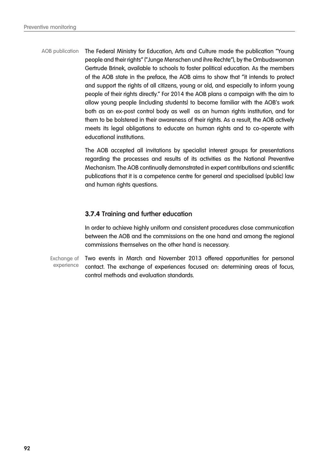The Federal Ministry for Education, Arts and Culture made the publication "Young people and their rights" ("Junge Menschen und ihre Rechte"), by the Ombudswoman Gertrude Brinek, available to schools to foster political education. As the members of the AOB state in the preface, the AOB aims to show that "it intends to protect and support the rights of all citizens, young or old, and especially to inform young people of their rights directly." For 2014 the AOB plans a campaign with the aim to allow young people (including students) to become familiar with the AOB's work both as an ex-post control body as well as an human rights institution, and for them to be bolstered in their awareness of their rights. As a result, the AOB actively meets its legal obligations to educate on human rights and to co-operate with educational institutions. AOB publication

> The AOB accepted all invitations by specialist interest groups for presentations regarding the processes and results of its activities as the National Preventive Mechanism. The AOB continually demonstrated in expert contributions and scientific publications that it is a competence centre for general and specialised (public) law and human rights questions.

# **3.7.4 Training and further education**

In order to achieve highly uniform and consistent procedures close communication between the AOB and the commissions on the one hand and among the regional commissions themselves on the other hand is necessary.

Two events in March and November 2013 offered opportunities for personal contact. The exchange of experiences focused on: determining areas of focus, control methods and evaluation standards. Exchange of experience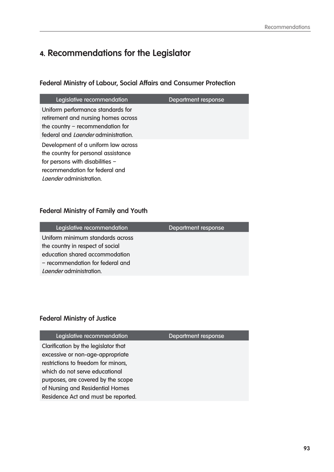# **4. Recommendations for the Legislator**

# **Federal Ministry of Labour, Social Affairs and Consumer Protection**

| Legislative recommendation                                                                                                                                                        | Department response |
|-----------------------------------------------------------------------------------------------------------------------------------------------------------------------------------|---------------------|
| Uniform performance standards for<br>retirement and nursing homes across<br>the country $-$ recommendation for<br>federal and <i>Laender</i> administration.                      |                     |
| Development of a uniform law across<br>the country for personal assistance<br>for persons with disabilities -<br>recommendation for federal and<br><i>Laender</i> administration. |                     |

# **Federal Ministry of Family and Youth**

| Department response |
|---------------------|
|                     |
|                     |
|                     |
|                     |
|                     |
|                     |

# **Federal Ministry of Justice**

| Legislative recommendation           | Department response |
|--------------------------------------|---------------------|
| Clarification by the legislator that |                     |
| excessive or non-age-appropriate     |                     |
| restrictions to freedom for minors,  |                     |
| which do not serve educational       |                     |
| purposes, are covered by the scope   |                     |
| of Nursing and Residential Homes     |                     |
| Residence Act and must be reported.  |                     |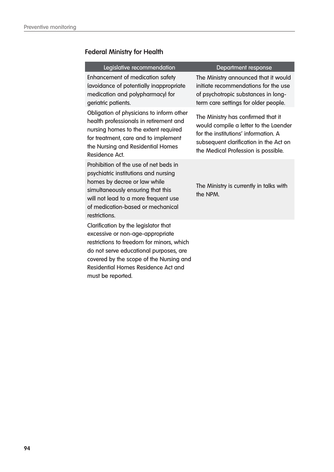# **Federal Ministry for Health**

#### Legislative recommendation and Department response

Enhancement of medication safety (avoidance of potentially inappropriate medication and polypharmacy) for geriatric patients.

Obligation of physicians to inform other health professionals in retirement and nursing homes to the extent required for treatment, care and to implement the Nursing and Residential Homes Residence Act.

Prohibition of the use of net beds in psychiatric institutions and nursing homes by decree or law while simultaneously ensuring that this will not lead to a more frequent use of medication-based or mechanical restrictions.

Clarification by the legislator that excessive or non-age-appropriate restrictions to freedom for minors, which do not serve educational purposes, are covered by the scope of the Nursing and Residential Homes Residence Act and must be reported.

The Ministry announced that it would initiate recommendations for the use of psychotropic substances in longterm care settings for older people.

The Ministry has confirmed that it would compile a letter to the Laender for the institutions' information. A subsequent clarification in the Act on the Medical Profession is possible.

The Ministry is currently in talks with the NPM.